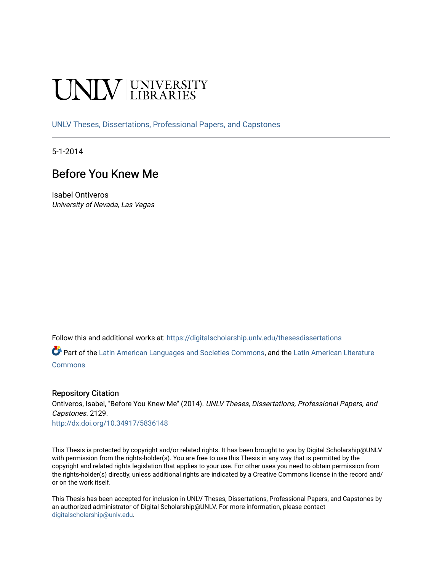# **INIVERSITY**

[UNLV Theses, Dissertations, Professional Papers, and Capstones](https://digitalscholarship.unlv.edu/thesesdissertations)

5-1-2014

## Before You Knew Me

Isabel Ontiveros University of Nevada, Las Vegas

Follow this and additional works at: [https://digitalscholarship.unlv.edu/thesesdissertations](https://digitalscholarship.unlv.edu/thesesdissertations?utm_source=digitalscholarship.unlv.edu%2Fthesesdissertations%2F2129&utm_medium=PDF&utm_campaign=PDFCoverPages)

Part of the [Latin American Languages and Societies Commons,](http://network.bepress.com/hgg/discipline/483?utm_source=digitalscholarship.unlv.edu%2Fthesesdissertations%2F2129&utm_medium=PDF&utm_campaign=PDFCoverPages) and the [Latin American Literature](http://network.bepress.com/hgg/discipline/547?utm_source=digitalscholarship.unlv.edu%2Fthesesdissertations%2F2129&utm_medium=PDF&utm_campaign=PDFCoverPages)  [Commons](http://network.bepress.com/hgg/discipline/547?utm_source=digitalscholarship.unlv.edu%2Fthesesdissertations%2F2129&utm_medium=PDF&utm_campaign=PDFCoverPages)

#### Repository Citation

Ontiveros, Isabel, "Before You Knew Me" (2014). UNLV Theses, Dissertations, Professional Papers, and Capstones. 2129.

<http://dx.doi.org/10.34917/5836148>

This Thesis is protected by copyright and/or related rights. It has been brought to you by Digital Scholarship@UNLV with permission from the rights-holder(s). You are free to use this Thesis in any way that is permitted by the copyright and related rights legislation that applies to your use. For other uses you need to obtain permission from the rights-holder(s) directly, unless additional rights are indicated by a Creative Commons license in the record and/ or on the work itself.

This Thesis has been accepted for inclusion in UNLV Theses, Dissertations, Professional Papers, and Capstones by an authorized administrator of Digital Scholarship@UNLV. For more information, please contact [digitalscholarship@unlv.edu](mailto:digitalscholarship@unlv.edu).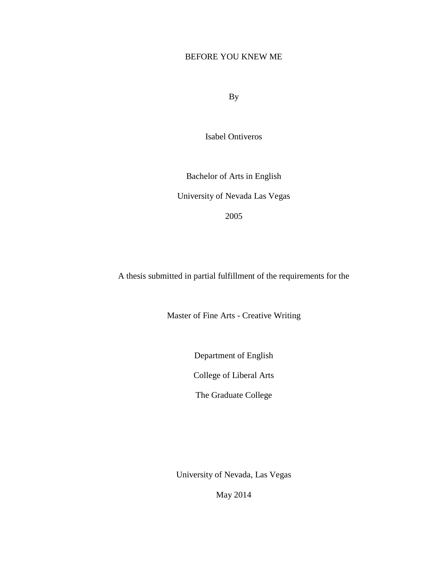## BEFORE YOU KNEW ME

By

Isabel Ontiveros

Bachelor of Arts in English University of Nevada Las Vegas 2005

A thesis submitted in partial fulfillment of the requirements for the

Master of Fine Arts - Creative Writing

Department of English

College of Liberal Arts

The Graduate College

University of Nevada, Las Vegas

May 2014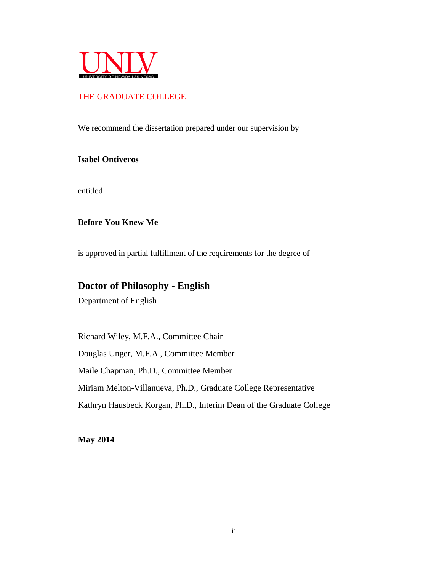

## THE GRADUATE COLLEGE

We recommend the dissertation prepared under our supervision by

#### **Isabel Ontiveros**

entitled

### **Before You Knew Me**

is approved in partial fulfillment of the requirements for the degree of

## **Doctor of Philosophy - English**

Department of English

Richard Wiley, M.F.A., Committee Chair Douglas Unger, M.F.A., Committee Member Maile Chapman, Ph.D., Committee Member Miriam Melton-Villanueva, Ph.D., Graduate College Representative Kathryn Hausbeck Korgan, Ph.D., Interim Dean of the Graduate College

**May 2014**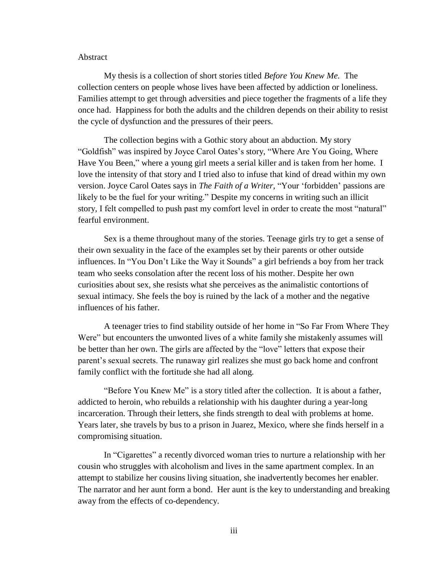#### Abstract

My thesis is a collection of short stories titled *Before You Knew Me.* The collection centers on people whose lives have been affected by addiction or loneliness. Families attempt to get through adversities and piece together the fragments of a life they once had. Happiness for both the adults and the children depends on their ability to resist the cycle of dysfunction and the pressures of their peers.

The collection begins with a Gothic story about an abduction. My story "Goldfish" was inspired by Joyce Carol Oates's story, "Where Are You Going, Where Have You Been," where a young girl meets a serial killer and is taken from her home. I love the intensity of that story and I tried also to infuse that kind of dread within my own version. Joyce Carol Oates says in *The Faith of a Writer*, "Your 'forbidden' passions are likely to be the fuel for your writing." Despite my concerns in writing such an illicit story, I felt compelled to push past my comfort level in order to create the most "natural" fearful environment.

Sex is a theme throughout many of the stories. Teenage girls try to get a sense of their own sexuality in the face of the examples set by their parents or other outside influences. In "You Don't Like the Way it Sounds" a girl befriends a boy from her track team who seeks consolation after the recent loss of his mother. Despite her own curiosities about sex, she resists what she perceives as the animalistic contortions of sexual intimacy. She feels the boy is ruined by the lack of a mother and the negative influences of his father.

A teenager tries to find stability outside of her home in "So Far From Where They Were" but encounters the unwonted lives of a white family she mistakenly assumes will be better than her own. The girls are affected by the "love" letters that expose their parent's sexual secrets. The runaway girl realizes she must go back home and confront family conflict with the fortitude she had all along.

"Before You Knew Me" is a story titled after the collection. It is about a father, addicted to heroin, who rebuilds a relationship with his daughter during a year-long incarceration. Through their letters, she finds strength to deal with problems at home. Years later, she travels by bus to a prison in Juarez, Mexico, where she finds herself in a compromising situation.

In "Cigarettes" a recently divorced woman tries to nurture a relationship with her cousin who struggles with alcoholism and lives in the same apartment complex. In an attempt to stabilize her cousins living situation, she inadvertently becomes her enabler. The narrator and her aunt form a bond. Her aunt is the key to understanding and breaking away from the effects of co-dependency.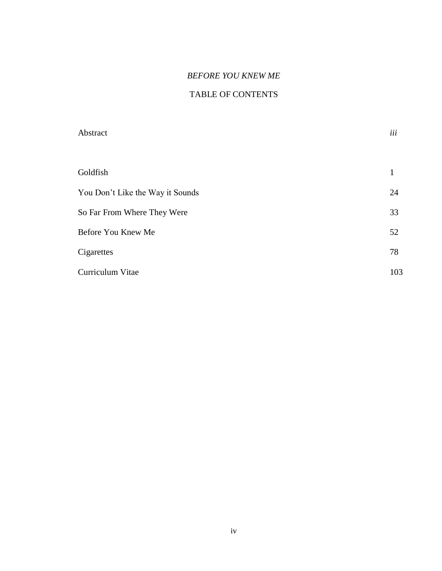## *BEFORE YOU KNEW ME*

## TABLE OF CONTENTS

| Abstract                         | iii |
|----------------------------------|-----|
|                                  |     |
| Goldfish                         | 1   |
| You Don't Like the Way it Sounds | 24  |
| So Far From Where They Were      | 33  |
| Before You Knew Me               | 52  |
| Cigarettes                       | 78  |
| Curriculum Vitae                 | 103 |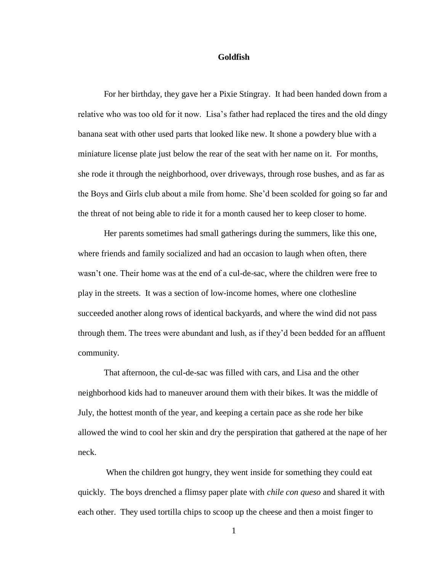#### **Goldfish**

For her birthday, they gave her a Pixie Stingray. It had been handed down from a relative who was too old for it now. Lisa's father had replaced the tires and the old dingy banana seat with other used parts that looked like new. It shone a powdery blue with a miniature license plate just below the rear of the seat with her name on it. For months, she rode it through the neighborhood, over driveways, through rose bushes, and as far as the Boys and Girls club about a mile from home. She'd been scolded for going so far and the threat of not being able to ride it for a month caused her to keep closer to home.

Her parents sometimes had small gatherings during the summers, like this one, where friends and family socialized and had an occasion to laugh when often, there wasn't one. Their home was at the end of a cul-de-sac, where the children were free to play in the streets. It was a section of low-income homes, where one clothesline succeeded another along rows of identical backyards, and where the wind did not pass through them. The trees were abundant and lush, as if they'd been bedded for an affluent community.

That afternoon, the cul-de-sac was filled with cars, and Lisa and the other neighborhood kids had to maneuver around them with their bikes. It was the middle of July, the hottest month of the year, and keeping a certain pace as she rode her bike allowed the wind to cool her skin and dry the perspiration that gathered at the nape of her neck.

When the children got hungry, they went inside for something they could eat quickly. The boys drenched a flimsy paper plate with *chile con queso* and shared it with each other. They used tortilla chips to scoop up the cheese and then a moist finger to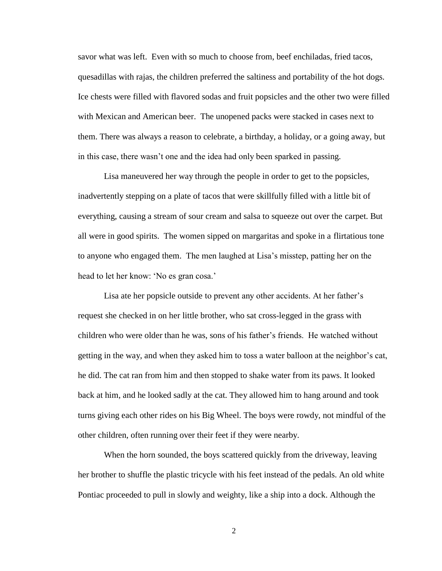savor what was left. Even with so much to choose from, beef enchiladas, fried tacos, quesadillas with rajas, the children preferred the saltiness and portability of the hot dogs. Ice chests were filled with flavored sodas and fruit popsicles and the other two were filled with Mexican and American beer. The unopened packs were stacked in cases next to them. There was always a reason to celebrate, a birthday, a holiday, or a going away, but in this case, there wasn't one and the idea had only been sparked in passing.

Lisa maneuvered her way through the people in order to get to the popsicles, inadvertently stepping on a plate of tacos that were skillfully filled with a little bit of everything, causing a stream of sour cream and salsa to squeeze out over the carpet. But all were in good spirits. The women sipped on margaritas and spoke in a flirtatious tone to anyone who engaged them. The men laughed at Lisa's misstep, patting her on the head to let her know: 'No es gran cosa.'

Lisa ate her popsicle outside to prevent any other accidents. At her father's request she checked in on her little brother, who sat cross-legged in the grass with children who were older than he was, sons of his father's friends. He watched without getting in the way, and when they asked him to toss a water balloon at the neighbor's cat, he did. The cat ran from him and then stopped to shake water from its paws. It looked back at him, and he looked sadly at the cat. They allowed him to hang around and took turns giving each other rides on his Big Wheel. The boys were rowdy, not mindful of the other children, often running over their feet if they were nearby.

When the horn sounded, the boys scattered quickly from the driveway, leaving her brother to shuffle the plastic tricycle with his feet instead of the pedals. An old white Pontiac proceeded to pull in slowly and weighty, like a ship into a dock. Although the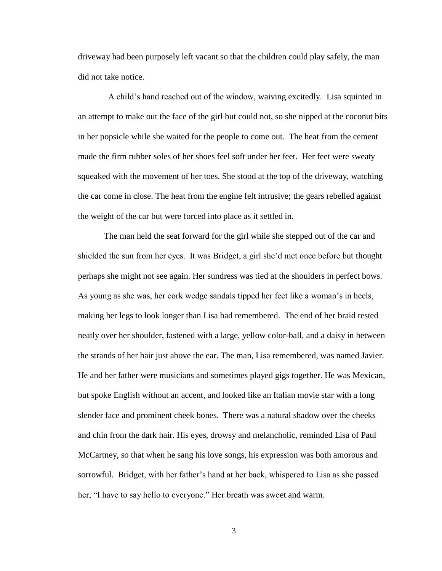driveway had been purposely left vacant so that the children could play safely, the man did not take notice.

 A child's hand reached out of the window, waiving excitedly. Lisa squinted in an attempt to make out the face of the girl but could not, so she nipped at the coconut bits in her popsicle while she waited for the people to come out. The heat from the cement made the firm rubber soles of her shoes feel soft under her feet. Her feet were sweaty squeaked with the movement of her toes. She stood at the top of the driveway, watching the car come in close. The heat from the engine felt intrusive; the gears rebelled against the weight of the car but were forced into place as it settled in.

The man held the seat forward for the girl while she stepped out of the car and shielded the sun from her eyes. It was Bridget, a girl she'd met once before but thought perhaps she might not see again. Her sundress was tied at the shoulders in perfect bows. As young as she was, her cork wedge sandals tipped her feet like a woman's in heels, making her legs to look longer than Lisa had remembered. The end of her braid rested neatly over her shoulder, fastened with a large, yellow color-ball, and a daisy in between the strands of her hair just above the ear. The man, Lisa remembered, was named Javier. He and her father were musicians and sometimes played gigs together. He was Mexican, but spoke English without an accent, and looked like an Italian movie star with a long slender face and prominent cheek bones. There was a natural shadow over the cheeks and chin from the dark hair. His eyes, drowsy and melancholic, reminded Lisa of Paul McCartney, so that when he sang his love songs, his expression was both amorous and sorrowful. Bridget, with her father's hand at her back, whispered to Lisa as she passed her, "I have to say hello to everyone." Her breath was sweet and warm.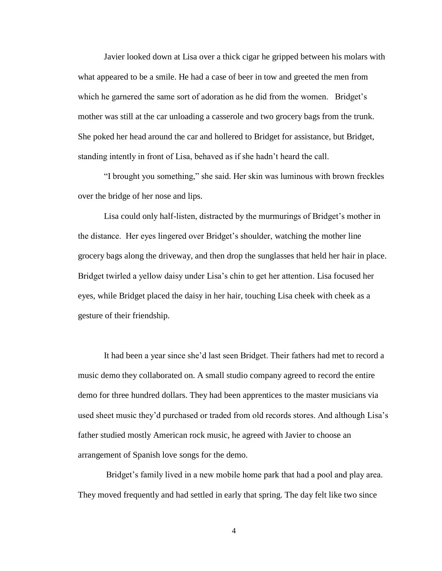Javier looked down at Lisa over a thick cigar he gripped between his molars with what appeared to be a smile. He had a case of beer in tow and greeted the men from which he garnered the same sort of adoration as he did from the women. Bridget's mother was still at the car unloading a casserole and two grocery bags from the trunk. She poked her head around the car and hollered to Bridget for assistance, but Bridget, standing intently in front of Lisa, behaved as if she hadn't heard the call.

"I brought you something," she said. Her skin was luminous with brown freckles over the bridge of her nose and lips.

Lisa could only half-listen, distracted by the murmurings of Bridget's mother in the distance. Her eyes lingered over Bridget's shoulder, watching the mother line grocery bags along the driveway, and then drop the sunglasses that held her hair in place. Bridget twirled a yellow daisy under Lisa's chin to get her attention. Lisa focused her eyes, while Bridget placed the daisy in her hair, touching Lisa cheek with cheek as a gesture of their friendship.

It had been a year since she'd last seen Bridget. Their fathers had met to record a music demo they collaborated on. A small studio company agreed to record the entire demo for three hundred dollars. They had been apprentices to the master musicians via used sheet music they'd purchased or traded from old records stores. And although Lisa's father studied mostly American rock music, he agreed with Javier to choose an arrangement of Spanish love songs for the demo.

Bridget's family lived in a new mobile home park that had a pool and play area. They moved frequently and had settled in early that spring. The day felt like two since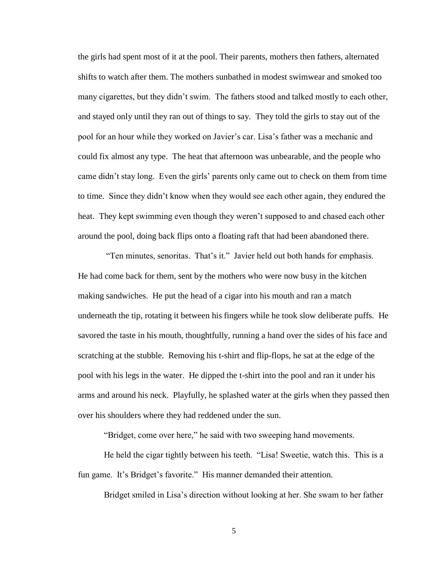the girls had spent most of it at the pool. Their parents, mothers then fathers, alternated shifts to watch after them. The mothers sunbathed in modest swimwear and smoked too many cigarettes, but they didn't swim. The fathers stood and talked mostly to each other, and stayed only until they ran out of things to say. They told the girls to stay out of the pool for an hour while they worked on Javier's car. Lisa's father was a mechanic and could fix almost any type. The heat that afternoon was unbearable, and the people who came didn't stay long. Even the girls' parents only came out to check on them from time to time. Since they didn't know when they would see each other again, they endured the heat. They kept swimming even though they weren't supposed to and chased each other around the pool, doing back flips onto a floating raft that had been abandoned there.

"Ten minutes, senoritas. That's it." Javier held out both hands for emphasis. He had come back for them, sent by the mothers who were now busy in the kitchen making sandwiches. He put the head of a cigar into his mouth and ran a match underneath the tip, rotating it between his fingers while he took slow deliberate puffs. He savored the taste in his mouth, thoughtfully, running a hand over the sides of his face and scratching at the stubble. Removing his t-shirt and flip-flops, he sat at the edge of the pool with his legs in the water. He dipped the t-shirt into the pool and ran it under his arms and around his neck. Playfully, he splashed water at the girls when they passed then over his shoulders where they had reddened under the sun.

"Bridget, come over here," he said with two sweeping hand movements.

He held the cigar tightly between his teeth. "Lisa! Sweetie, watch this. This is a fun game. It's Bridget's favorite." His manner demanded their attention.

Bridget smiled in Lisa's direction without looking at her. She swam to her father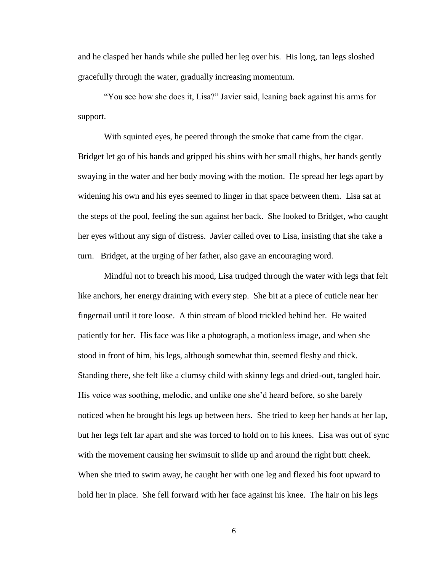and he clasped her hands while she pulled her leg over his. His long, tan legs sloshed gracefully through the water, gradually increasing momentum.

"You see how she does it, Lisa?" Javier said, leaning back against his arms for support.

With squinted eyes, he peered through the smoke that came from the cigar. Bridget let go of his hands and gripped his shins with her small thighs, her hands gently swaying in the water and her body moving with the motion. He spread her legs apart by widening his own and his eyes seemed to linger in that space between them. Lisa sat at the steps of the pool, feeling the sun against her back. She looked to Bridget, who caught her eyes without any sign of distress. Javier called over to Lisa, insisting that she take a turn. Bridget, at the urging of her father, also gave an encouraging word.

Mindful not to breach his mood, Lisa trudged through the water with legs that felt like anchors, her energy draining with every step. She bit at a piece of cuticle near her fingernail until it tore loose. A thin stream of blood trickled behind her. He waited patiently for her. His face was like a photograph, a motionless image, and when she stood in front of him, his legs, although somewhat thin, seemed fleshy and thick. Standing there, she felt like a clumsy child with skinny legs and dried-out, tangled hair. His voice was soothing, melodic, and unlike one she'd heard before, so she barely noticed when he brought his legs up between hers. She tried to keep her hands at her lap, but her legs felt far apart and she was forced to hold on to his knees. Lisa was out of sync with the movement causing her swimsuit to slide up and around the right butt cheek. When she tried to swim away, he caught her with one leg and flexed his foot upward to hold her in place. She fell forward with her face against his knee. The hair on his legs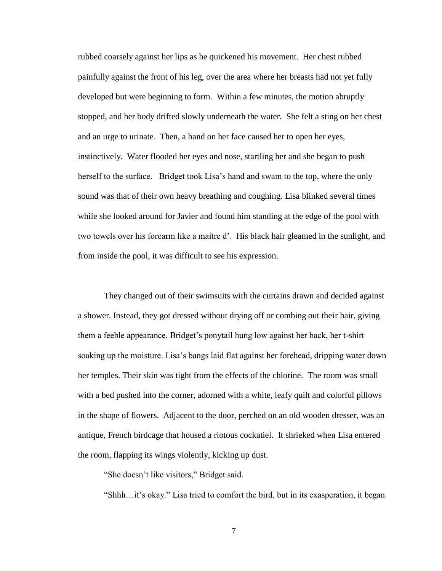rubbed coarsely against her lips as he quickened his movement. Her chest rubbed painfully against the front of his leg, over the area where her breasts had not yet fully developed but were beginning to form. Within a few minutes, the motion abruptly stopped, and her body drifted slowly underneath the water. She felt a sting on her chest and an urge to urinate. Then, a hand on her face caused her to open her eyes, instinctively. Water flooded her eyes and nose, startling her and she began to push herself to the surface. Bridget took Lisa's hand and swam to the top, where the only sound was that of their own heavy breathing and coughing. Lisa blinked several times while she looked around for Javier and found him standing at the edge of the pool with two towels over his forearm like a maitre d'. His black hair gleamed in the sunlight, and from inside the pool, it was difficult to see his expression.

They changed out of their swimsuits with the curtains drawn and decided against a shower. Instead, they got dressed without drying off or combing out their hair, giving them a feeble appearance. Bridget's ponytail hung low against her back, her t-shirt soaking up the moisture. Lisa's bangs laid flat against her forehead, dripping water down her temples. Their skin was tight from the effects of the chlorine. The room was small with a bed pushed into the corner, adorned with a white, leafy quilt and colorful pillows in the shape of flowers. Adjacent to the door, perched on an old wooden dresser, was an antique, French birdcage that housed a riotous cockatiel. It shrieked when Lisa entered the room, flapping its wings violently, kicking up dust.

"She doesn't like visitors," Bridget said.

"Shhh…it's okay." Lisa tried to comfort the bird, but in its exasperation, it began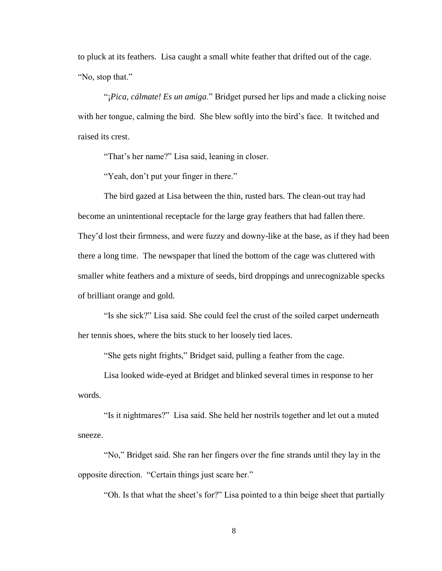to pluck at its feathers. Lisa caught a small white feather that drifted out of the cage. "No, stop that."

"¡*Pica, cálmate! Es un amiga*." Bridget pursed her lips and made a clicking noise with her tongue, calming the bird. She blew softly into the bird's face. It twitched and raised its crest.

"That's her name?" Lisa said, leaning in closer.

"Yeah, don't put your finger in there."

The bird gazed at Lisa between the thin, rusted bars. The clean-out tray had become an unintentional receptacle for the large gray feathers that had fallen there. They'd lost their firmness, and were fuzzy and downy-like at the base, as if they had been there a long time. The newspaper that lined the bottom of the cage was cluttered with smaller white feathers and a mixture of seeds, bird droppings and unrecognizable specks of brilliant orange and gold.

"Is she sick?" Lisa said. She could feel the crust of the soiled carpet underneath her tennis shoes, where the bits stuck to her loosely tied laces.

"She gets night frights," Bridget said, pulling a feather from the cage.

Lisa looked wide-eyed at Bridget and blinked several times in response to her words.

"Is it nightmares?" Lisa said. She held her nostrils together and let out a muted sneeze.

"No," Bridget said. She ran her fingers over the fine strands until they lay in the opposite direction. "Certain things just scare her."

"Oh. Is that what the sheet's for?" Lisa pointed to a thin beige sheet that partially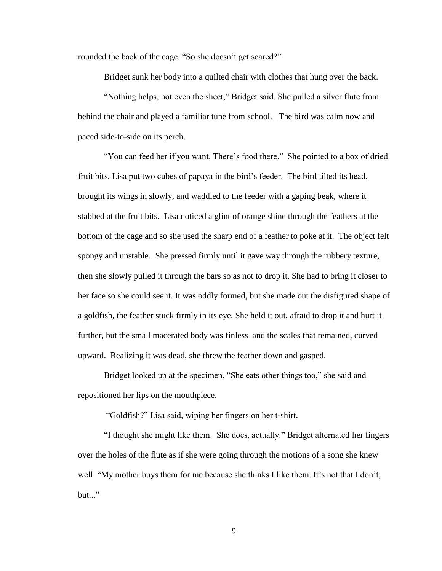rounded the back of the cage. "So she doesn't get scared?"

Bridget sunk her body into a quilted chair with clothes that hung over the back.

"Nothing helps, not even the sheet," Bridget said. She pulled a silver flute from behind the chair and played a familiar tune from school. The bird was calm now and paced side-to-side on its perch.

"You can feed her if you want. There's food there." She pointed to a box of dried fruit bits. Lisa put two cubes of papaya in the bird's feeder. The bird tilted its head, brought its wings in slowly, and waddled to the feeder with a gaping beak, where it stabbed at the fruit bits. Lisa noticed a glint of orange shine through the feathers at the bottom of the cage and so she used the sharp end of a feather to poke at it. The object felt spongy and unstable. She pressed firmly until it gave way through the rubbery texture, then she slowly pulled it through the bars so as not to drop it. She had to bring it closer to her face so she could see it. It was oddly formed, but she made out the disfigured shape of a goldfish, the feather stuck firmly in its eye. She held it out, afraid to drop it and hurt it further, but the small macerated body was finless and the scales that remained, curved upward. Realizing it was dead, she threw the feather down and gasped.

Bridget looked up at the specimen, "She eats other things too," she said and repositioned her lips on the mouthpiece.

"Goldfish?" Lisa said, wiping her fingers on her t-shirt.

"I thought she might like them. She does, actually." Bridget alternated her fingers over the holes of the flute as if she were going through the motions of a song she knew well. "My mother buys them for me because she thinks I like them. It's not that I don't,  $but...$ "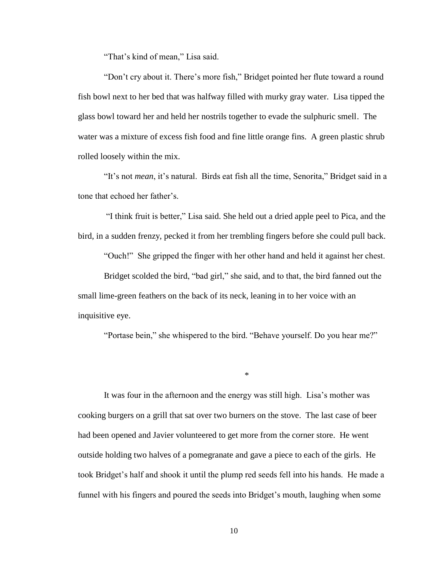"That's kind of mean," Lisa said.

"Don't cry about it. There's more fish," Bridget pointed her flute toward a round fish bowl next to her bed that was halfway filled with murky gray water. Lisa tipped the glass bowl toward her and held her nostrils together to evade the sulphuric smell. The water was a mixture of excess fish food and fine little orange fins. A green plastic shrub rolled loosely within the mix.

"It's not *mean*, it's natural. Birds eat fish all the time, Senorita," Bridget said in a tone that echoed her father's.

"I think fruit is better," Lisa said. She held out a dried apple peel to Pica, and the bird, in a sudden frenzy, pecked it from her trembling fingers before she could pull back.

"Ouch!" She gripped the finger with her other hand and held it against her chest.

Bridget scolded the bird, "bad girl," she said, and to that, the bird fanned out the small lime-green feathers on the back of its neck, leaning in to her voice with an inquisitive eye.

"Portase bein," she whispered to the bird. "Behave yourself. Do you hear me?"

\*

It was four in the afternoon and the energy was still high. Lisa's mother was cooking burgers on a grill that sat over two burners on the stove. The last case of beer had been opened and Javier volunteered to get more from the corner store. He went outside holding two halves of a pomegranate and gave a piece to each of the girls. He took Bridget's half and shook it until the plump red seeds fell into his hands. He made a funnel with his fingers and poured the seeds into Bridget's mouth, laughing when some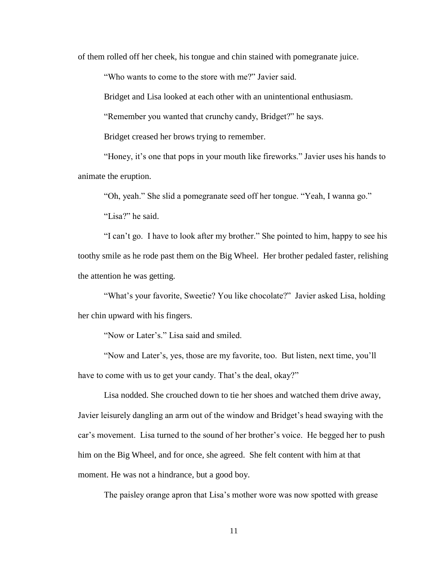of them rolled off her cheek, his tongue and chin stained with pomegranate juice.

"Who wants to come to the store with me?" Javier said.

Bridget and Lisa looked at each other with an unintentional enthusiasm.

"Remember you wanted that crunchy candy, Bridget?" he says.

Bridget creased her brows trying to remember.

"Honey, it's one that pops in your mouth like fireworks." Javier uses his hands to animate the eruption.

"Oh, yeah." She slid a pomegranate seed off her tongue. "Yeah, I wanna go."

"Lisa?" he said.

"I can't go. I have to look after my brother." She pointed to him, happy to see his toothy smile as he rode past them on the Big Wheel. Her brother pedaled faster, relishing the attention he was getting.

"What's your favorite, Sweetie? You like chocolate?" Javier asked Lisa, holding her chin upward with his fingers.

"Now or Later's." Lisa said and smiled.

"Now and Later's, yes, those are my favorite, too. But listen, next time, you'll have to come with us to get your candy. That's the deal, okay?"

Lisa nodded. She crouched down to tie her shoes and watched them drive away, Javier leisurely dangling an arm out of the window and Bridget's head swaying with the car's movement. Lisa turned to the sound of her brother's voice. He begged her to push him on the Big Wheel, and for once, she agreed. She felt content with him at that moment. He was not a hindrance, but a good boy.

The paisley orange apron that Lisa's mother wore was now spotted with grease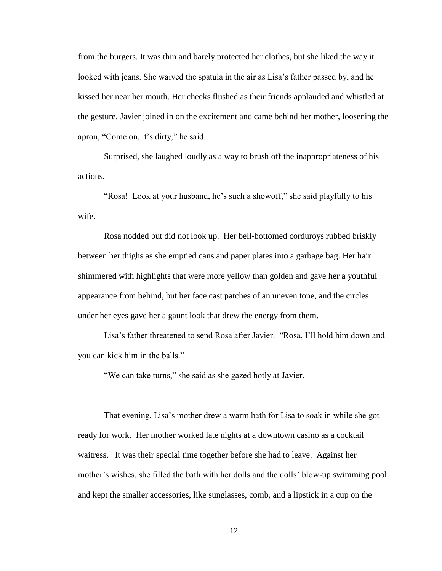from the burgers. It was thin and barely protected her clothes, but she liked the way it looked with jeans. She waived the spatula in the air as Lisa's father passed by, and he kissed her near her mouth. Her cheeks flushed as their friends applauded and whistled at the gesture. Javier joined in on the excitement and came behind her mother, loosening the apron, "Come on, it's dirty," he said.

Surprised, she laughed loudly as a way to brush off the inappropriateness of his actions.

"Rosa! Look at your husband, he's such a showoff," she said playfully to his wife.

Rosa nodded but did not look up. Her bell-bottomed corduroys rubbed briskly between her thighs as she emptied cans and paper plates into a garbage bag. Her hair shimmered with highlights that were more yellow than golden and gave her a youthful appearance from behind, but her face cast patches of an uneven tone, and the circles under her eyes gave her a gaunt look that drew the energy from them.

Lisa's father threatened to send Rosa after Javier. "Rosa, I'll hold him down and you can kick him in the balls."

"We can take turns," she said as she gazed hotly at Javier.

That evening, Lisa's mother drew a warm bath for Lisa to soak in while she got ready for work. Her mother worked late nights at a downtown casino as a cocktail waitress. It was their special time together before she had to leave. Against her mother's wishes, she filled the bath with her dolls and the dolls' blow-up swimming pool and kept the smaller accessories, like sunglasses, comb, and a lipstick in a cup on the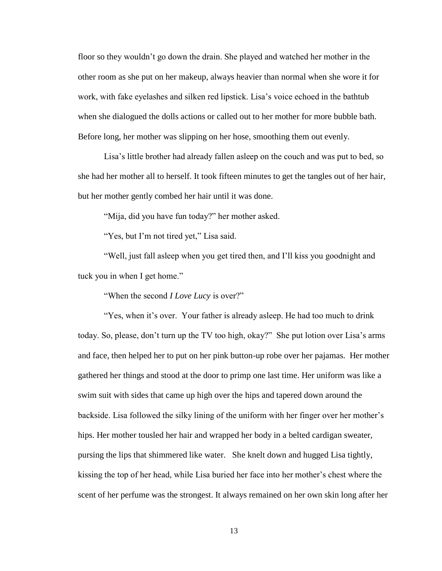floor so they wouldn't go down the drain. She played and watched her mother in the other room as she put on her makeup, always heavier than normal when she wore it for work, with fake eyelashes and silken red lipstick. Lisa's voice echoed in the bathtub when she dialogued the dolls actions or called out to her mother for more bubble bath. Before long, her mother was slipping on her hose, smoothing them out evenly.

Lisa's little brother had already fallen asleep on the couch and was put to bed, so she had her mother all to herself. It took fifteen minutes to get the tangles out of her hair, but her mother gently combed her hair until it was done.

"Mija, did you have fun today?" her mother asked.

"Yes, but I'm not tired yet," Lisa said.

"Well, just fall asleep when you get tired then, and I'll kiss you goodnight and tuck you in when I get home."

"When the second *I Love Lucy* is over?"

"Yes, when it's over. Your father is already asleep. He had too much to drink today. So, please, don't turn up the TV too high, okay?" She put lotion over Lisa's arms and face, then helped her to put on her pink button-up robe over her pajamas. Her mother gathered her things and stood at the door to primp one last time. Her uniform was like a swim suit with sides that came up high over the hips and tapered down around the backside. Lisa followed the silky lining of the uniform with her finger over her mother's hips. Her mother tousled her hair and wrapped her body in a belted cardigan sweater, pursing the lips that shimmered like water. She knelt down and hugged Lisa tightly, kissing the top of her head, while Lisa buried her face into her mother's chest where the scent of her perfume was the strongest. It always remained on her own skin long after her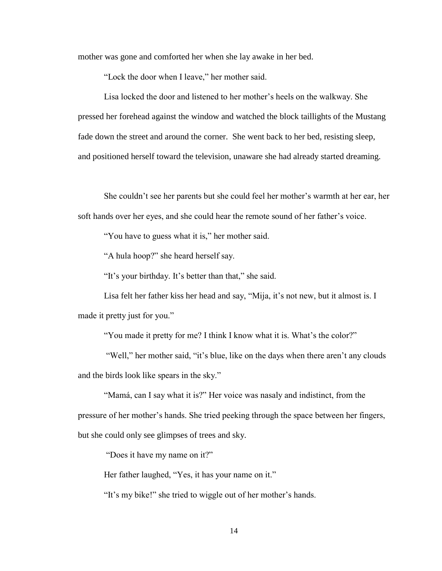mother was gone and comforted her when she lay awake in her bed.

"Lock the door when I leave," her mother said.

Lisa locked the door and listened to her mother's heels on the walkway. She pressed her forehead against the window and watched the block taillights of the Mustang fade down the street and around the corner. She went back to her bed, resisting sleep, and positioned herself toward the television, unaware she had already started dreaming.

She couldn't see her parents but she could feel her mother's warmth at her ear, her soft hands over her eyes, and she could hear the remote sound of her father's voice.

"You have to guess what it is," her mother said.

"A hula hoop?" she heard herself say.

"It's your birthday. It's better than that," she said.

Lisa felt her father kiss her head and say, "Mija, it's not new, but it almost is. I made it pretty just for you."

"You made it pretty for me? I think I know what it is. What's the color?"

"Well," her mother said, "it's blue, like on the days when there aren't any clouds and the birds look like spears in the sky."

"Mamá, can I say what it is?" Her voice was nasaly and indistinct, from the pressure of her mother's hands. She tried peeking through the space between her fingers, but she could only see glimpses of trees and sky.

"Does it have my name on it?"

Her father laughed, "Yes, it has your name on it."

"It's my bike!" she tried to wiggle out of her mother's hands.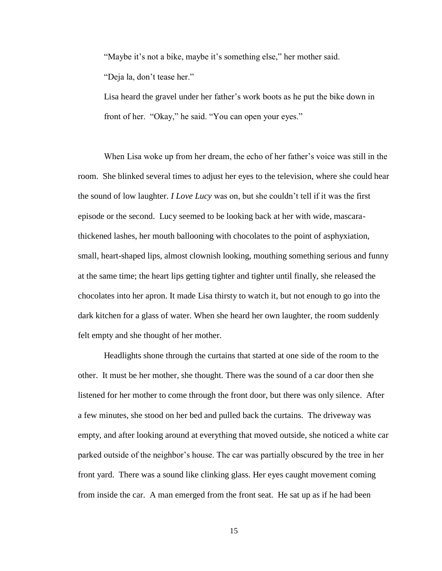"Maybe it's not a bike, maybe it's something else," her mother said. "Deja la, don't tease her."

Lisa heard the gravel under her father's work boots as he put the bike down in front of her. "Okay," he said. "You can open your eyes."

When Lisa woke up from her dream, the echo of her father's voice was still in the room. She blinked several times to adjust her eyes to the television, where she could hear the sound of low laughter. *I Love Lucy* was on, but she couldn't tell if it was the first episode or the second. Lucy seemed to be looking back at her with wide, mascarathickened lashes, her mouth ballooning with chocolates to the point of asphyxiation, small, heart-shaped lips, almost clownish looking, mouthing something serious and funny at the same time; the heart lips getting tighter and tighter until finally, she released the chocolates into her apron. It made Lisa thirsty to watch it, but not enough to go into the dark kitchen for a glass of water. When she heard her own laughter, the room suddenly felt empty and she thought of her mother.

Headlights shone through the curtains that started at one side of the room to the other. It must be her mother, she thought. There was the sound of a car door then she listened for her mother to come through the front door, but there was only silence. After a few minutes, she stood on her bed and pulled back the curtains. The driveway was empty, and after looking around at everything that moved outside, she noticed a white car parked outside of the neighbor's house. The car was partially obscured by the tree in her front yard. There was a sound like clinking glass. Her eyes caught movement coming from inside the car. A man emerged from the front seat. He sat up as if he had been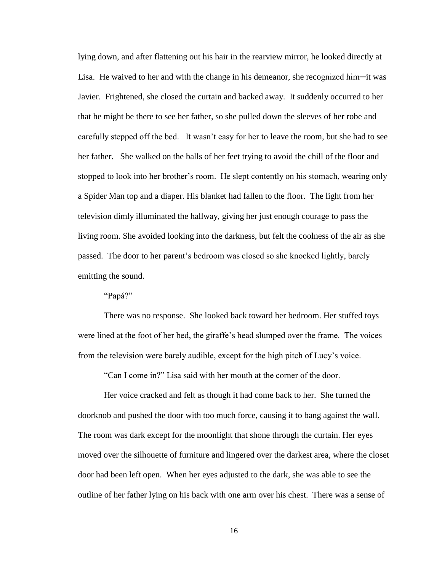lying down, and after flattening out his hair in the rearview mirror, he looked directly at Lisa. He waived to her and with the change in his demeanor, she recognized him─it was Javier. Frightened, she closed the curtain and backed away. It suddenly occurred to her that he might be there to see her father, so she pulled down the sleeves of her robe and carefully stepped off the bed. It wasn't easy for her to leave the room, but she had to see her father. She walked on the balls of her feet trying to avoid the chill of the floor and stopped to look into her brother's room. He slept contently on his stomach, wearing only a Spider Man top and a diaper. His blanket had fallen to the floor. The light from her television dimly illuminated the hallway, giving her just enough courage to pass the living room. She avoided looking into the darkness, but felt the coolness of the air as she passed. The door to her parent's bedroom was closed so she knocked lightly, barely emitting the sound.

"Papá?"

There was no response. She looked back toward her bedroom. Her stuffed toys were lined at the foot of her bed, the giraffe's head slumped over the frame. The voices from the television were barely audible, except for the high pitch of Lucy's voice.

"Can I come in?" Lisa said with her mouth at the corner of the door.

Her voice cracked and felt as though it had come back to her. She turned the doorknob and pushed the door with too much force, causing it to bang against the wall. The room was dark except for the moonlight that shone through the curtain. Her eyes moved over the silhouette of furniture and lingered over the darkest area, where the closet door had been left open. When her eyes adjusted to the dark, she was able to see the outline of her father lying on his back with one arm over his chest. There was a sense of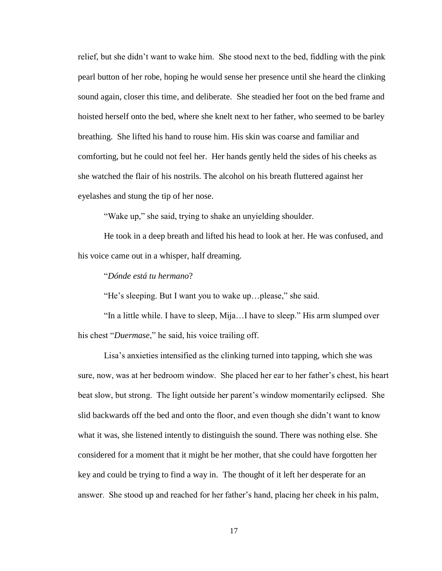relief, but she didn't want to wake him. She stood next to the bed, fiddling with the pink pearl button of her robe, hoping he would sense her presence until she heard the clinking sound again, closer this time, and deliberate. She steadied her foot on the bed frame and hoisted herself onto the bed, where she knelt next to her father, who seemed to be barley breathing. She lifted his hand to rouse him. His skin was coarse and familiar and comforting, but he could not feel her. Her hands gently held the sides of his cheeks as she watched the flair of his nostrils. The alcohol on his breath fluttered against her eyelashes and stung the tip of her nose.

"Wake up," she said, trying to shake an unyielding shoulder.

He took in a deep breath and lifted his head to look at her. He was confused, and his voice came out in a whisper, half dreaming.

#### "*Dónde está tu hermano*?

"He's sleeping. But I want you to wake up…please," she said.

"In a little while. I have to sleep, Mija…I have to sleep." His arm slumped over his chest "*Duermase*," he said, his voice trailing off.

Lisa's anxieties intensified as the clinking turned into tapping, which she was sure, now, was at her bedroom window. She placed her ear to her father's chest, his heart beat slow, but strong. The light outside her parent's window momentarily eclipsed. She slid backwards off the bed and onto the floor, and even though she didn't want to know what it was, she listened intently to distinguish the sound. There was nothing else. She considered for a moment that it might be her mother, that she could have forgotten her key and could be trying to find a way in. The thought of it left her desperate for an answer. She stood up and reached for her father's hand, placing her cheek in his palm,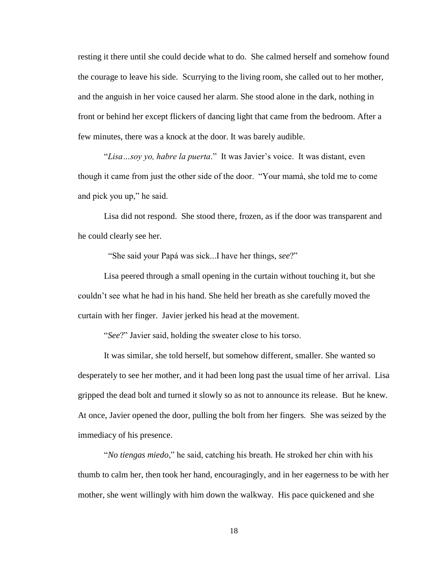resting it there until she could decide what to do. She calmed herself and somehow found the courage to leave his side. Scurrying to the living room, she called out to her mother, and the anguish in her voice caused her alarm. She stood alone in the dark, nothing in front or behind her except flickers of dancing light that came from the bedroom. After a few minutes, there was a knock at the door. It was barely audible.

"*Lisa…soy yo, habre la puerta*." It was Javier's voice. It was distant, even though it came from just the other side of the door. "Your mamá, she told me to come and pick you up," he said.

Lisa did not respond. She stood there, frozen, as if the door was transparent and he could clearly see her.

"She said your Papá was sick...I have her things, *see*?"

Lisa peered through a small opening in the curtain without touching it, but she couldn't see what he had in his hand. She held her breath as she carefully moved the curtain with her finger. Javier jerked his head at the movement.

"*See*?" Javier said, holding the sweater close to his torso.

It was similar, she told herself, but somehow different, smaller. She wanted so desperately to see her mother, and it had been long past the usual time of her arrival. Lisa gripped the dead bolt and turned it slowly so as not to announce its release. But he knew. At once, Javier opened the door, pulling the bolt from her fingers. She was seized by the immediacy of his presence.

"*No tiengas miedo*," he said, catching his breath. He stroked her chin with his thumb to calm her, then took her hand, encouragingly, and in her eagerness to be with her mother, she went willingly with him down the walkway. His pace quickened and she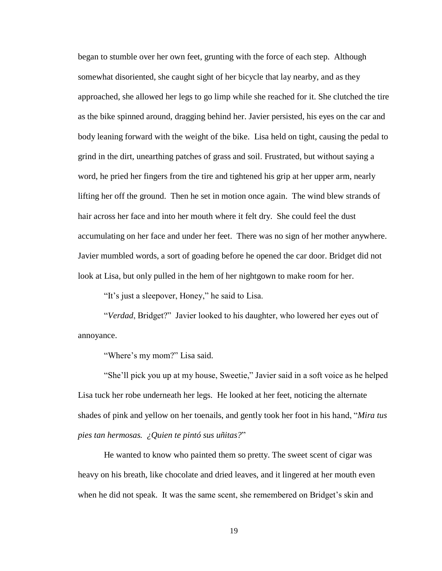began to stumble over her own feet, grunting with the force of each step. Although somewhat disoriented, she caught sight of her bicycle that lay nearby, and as they approached, she allowed her legs to go limp while she reached for it. She clutched the tire as the bike spinned around, dragging behind her. Javier persisted, his eyes on the car and body leaning forward with the weight of the bike. Lisa held on tight, causing the pedal to grind in the dirt, unearthing patches of grass and soil. Frustrated, but without saying a word, he pried her fingers from the tire and tightened his grip at her upper arm, nearly lifting her off the ground. Then he set in motion once again. The wind blew strands of hair across her face and into her mouth where it felt dry. She could feel the dust accumulating on her face and under her feet. There was no sign of her mother anywhere. Javier mumbled words, a sort of goading before he opened the car door. Bridget did not look at Lisa, but only pulled in the hem of her nightgown to make room for her.

"It's just a sleepover, Honey," he said to Lisa.

"*Verdad*, Bridget?" Javier looked to his daughter, who lowered her eyes out of annoyance.

"Where's my mom?" Lisa said.

"She'll pick you up at my house, Sweetie," Javier said in a soft voice as he helped Lisa tuck her robe underneath her legs. He looked at her feet, noticing the alternate shades of pink and yellow on her toenails, and gently took her foot in his hand, "*Mira tus pies tan hermosas. ¿Quien te pintó sus uñitas?*"

He wanted to know who painted them so pretty. The sweet scent of cigar was heavy on his breath, like chocolate and dried leaves, and it lingered at her mouth even when he did not speak. It was the same scent, she remembered on Bridget's skin and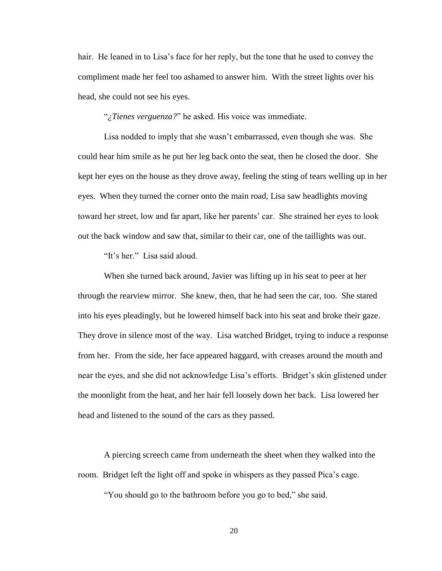hair. He leaned in to Lisa's face for her reply, but the tone that he used to convey the compliment made her feel too ashamed to answer him. With the street lights over his head, she could not see his eyes.

"*¿Tienes verguenza?*" he asked. His voice was immediate.

Lisa nodded to imply that she wasn't embarrassed, even though she was. She could hear him smile as he put her leg back onto the seat, then he closed the door. She kept her eyes on the house as they drove away, feeling the sting of tears welling up in her eyes. When they turned the corner onto the main road, Lisa saw headlights moving toward her street, low and far apart, like her parents' car. She strained her eyes to look out the back window and saw that, similar to their car, one of the taillights was out.

"It's her." Lisa said aloud.

When she turned back around, Javier was lifting up in his seat to peer at her through the rearview mirror. She knew, then, that he had seen the car, too. She stared into his eyes pleadingly, but he lowered himself back into his seat and broke their gaze. They drove in silence most of the way. Lisa watched Bridget, trying to induce a response from her. From the side, her face appeared haggard, with creases around the mouth and near the eyes, and she did not acknowledge Lisa's efforts. Bridget's skin glistened under the moonlight from the heat, and her hair fell loosely down her back. Lisa lowered her head and listened to the sound of the cars as they passed.

A piercing screech came from underneath the sheet when they walked into the room. Bridget left the light off and spoke in whispers as they passed Pica's cage.

"You should go to the bathroom before you go to bed," she said.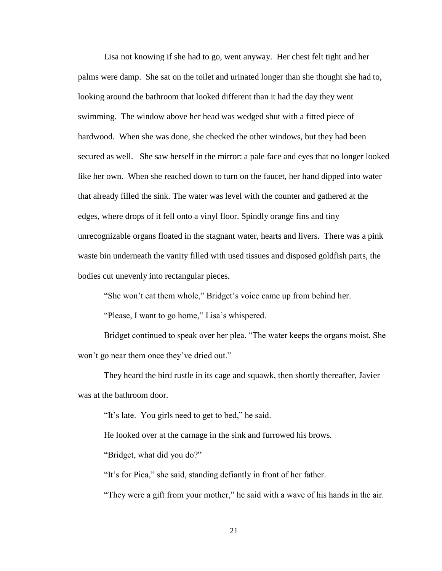Lisa not knowing if she had to go, went anyway. Her chest felt tight and her palms were damp. She sat on the toilet and urinated longer than she thought she had to, looking around the bathroom that looked different than it had the day they went swimming. The window above her head was wedged shut with a fitted piece of hardwood. When she was done, she checked the other windows, but they had been secured as well. She saw herself in the mirror: a pale face and eyes that no longer looked like her own. When she reached down to turn on the faucet, her hand dipped into water that already filled the sink. The water was level with the counter and gathered at the edges, where drops of it fell onto a vinyl floor. Spindly orange fins and tiny unrecognizable organs floated in the stagnant water, hearts and livers. There was a pink waste bin underneath the vanity filled with used tissues and disposed goldfish parts, the bodies cut unevenly into rectangular pieces.

"She won't eat them whole," Bridget's voice came up from behind her.

"Please, I want to go home," Lisa's whispered.

Bridget continued to speak over her plea. "The water keeps the organs moist. She won't go near them once they've dried out."

They heard the bird rustle in its cage and squawk, then shortly thereafter, Javier was at the bathroom door.

"It's late. You girls need to get to bed," he said.

He looked over at the carnage in the sink and furrowed his brows.

"Bridget, what did you do?"

"It's for Pica," she said, standing defiantly in front of her father.

"They were a gift from your mother," he said with a wave of his hands in the air.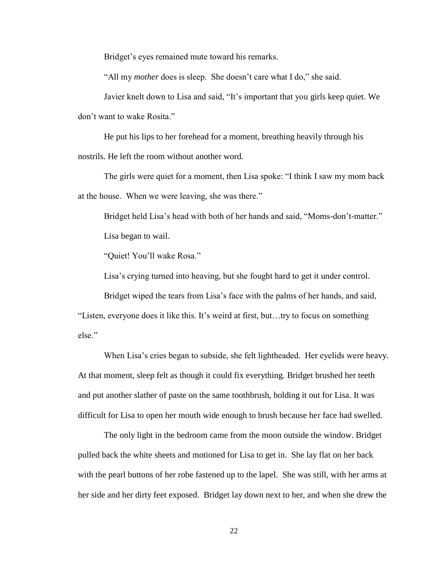Bridget's eyes remained mute toward his remarks.

"All my *mother* does is sleep. She doesn't care what I do," she said.

Javier knelt down to Lisa and said, "It's important that you girls keep quiet. We don't want to wake Rosita."

He put his lips to her forehead for a moment, breathing heavily through his nostrils. He left the room without another word.

The girls were quiet for a moment, then Lisa spoke: "I think I saw my mom back at the house. When we were leaving, she was there."

Bridget held Lisa's head with both of her hands and said, "Moms-don't-matter." Lisa began to wail.

"Quiet! You'll wake Rosa."

Lisa's crying turned into heaving, but she fought hard to get it under control.

Bridget wiped the tears from Lisa's face with the palms of her hands, and said,

"Listen, everyone does it like this. It's weird at first, but…try to focus on something else."

When Lisa's cries began to subside, she felt lightheaded. Her eyelids were heavy. At that moment, sleep felt as though it could fix everything. Bridget brushed her teeth and put another slather of paste on the same toothbrush, holding it out for Lisa. It was difficult for Lisa to open her mouth wide enough to brush because her face had swelled.

The only light in the bedroom came from the moon outside the window. Bridget pulled back the white sheets and motioned for Lisa to get in. She lay flat on her back with the pearl buttons of her robe fastened up to the lapel. She was still, with her arms at her side and her dirty feet exposed. Bridget lay down next to her, and when she drew the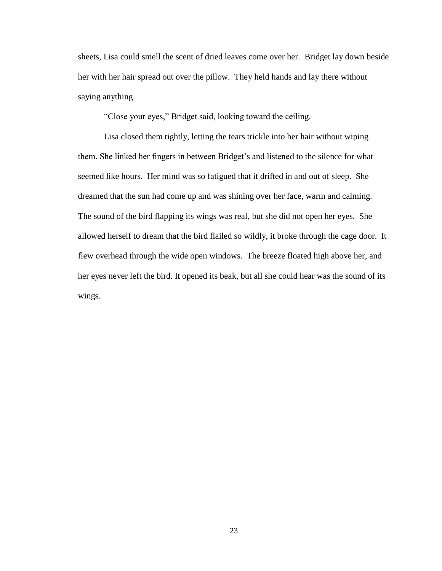sheets, Lisa could smell the scent of dried leaves come over her. Bridget lay down beside her with her hair spread out over the pillow. They held hands and lay there without saying anything.

"Close your eyes," Bridget said, looking toward the ceiling.

Lisa closed them tightly, letting the tears trickle into her hair without wiping them. She linked her fingers in between Bridget's and listened to the silence for what seemed like hours. Her mind was so fatigued that it drifted in and out of sleep. She dreamed that the sun had come up and was shining over her face, warm and calming. The sound of the bird flapping its wings was real, but she did not open her eyes. She allowed herself to dream that the bird flailed so wildly, it broke through the cage door. It flew overhead through the wide open windows. The breeze floated high above her, and her eyes never left the bird. It opened its beak, but all she could hear was the sound of its wings.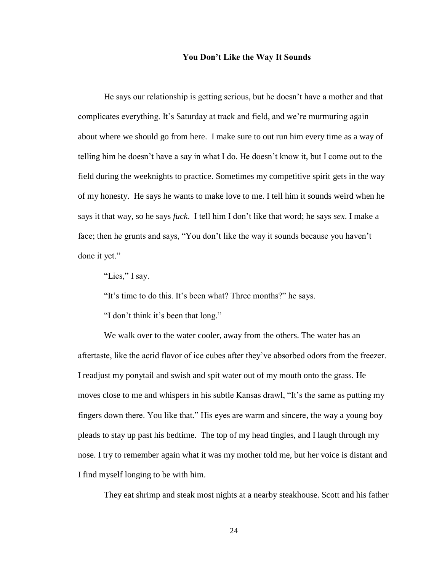#### **You Don't Like the Way It Sounds**

He says our relationship is getting serious, but he doesn't have a mother and that complicates everything. It's Saturday at track and field, and we're murmuring again about where we should go from here. I make sure to out run him every time as a way of telling him he doesn't have a say in what I do. He doesn't know it, but I come out to the field during the weeknights to practice. Sometimes my competitive spirit gets in the way of my honesty. He says he wants to make love to me. I tell him it sounds weird when he says it that way, so he says *fuck*. I tell him I don't like that word; he says *sex*. I make a face; then he grunts and says, "You don't like the way it sounds because you haven't done it yet."

"Lies," I say.

"It's time to do this. It's been what? Three months?" he says.

"I don't think it's been that long."

We walk over to the water cooler, away from the others. The water has an aftertaste, like the acrid flavor of ice cubes after they've absorbed odors from the freezer. I readjust my ponytail and swish and spit water out of my mouth onto the grass. He moves close to me and whispers in his subtle Kansas drawl, "It's the same as putting my fingers down there. You like that." His eyes are warm and sincere, the way a young boy pleads to stay up past his bedtime. The top of my head tingles, and I laugh through my nose. I try to remember again what it was my mother told me, but her voice is distant and I find myself longing to be with him.

They eat shrimp and steak most nights at a nearby steakhouse. Scott and his father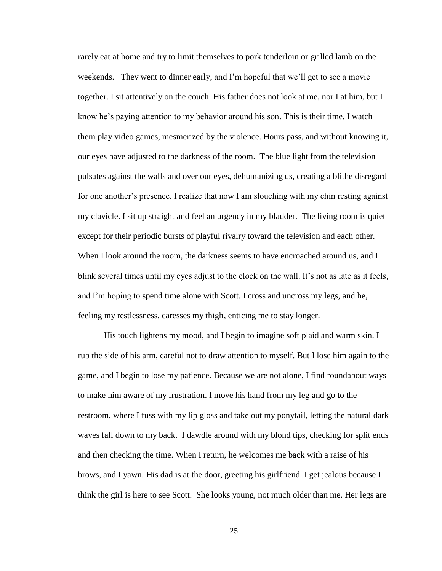rarely eat at home and try to limit themselves to pork tenderloin or grilled lamb on the weekends. They went to dinner early, and I'm hopeful that we'll get to see a movie together. I sit attentively on the couch. His father does not look at me, nor I at him, but I know he's paying attention to my behavior around his son. This is their time. I watch them play video games, mesmerized by the violence. Hours pass, and without knowing it, our eyes have adjusted to the darkness of the room. The blue light from the television pulsates against the walls and over our eyes, dehumanizing us, creating a blithe disregard for one another's presence. I realize that now I am slouching with my chin resting against my clavicle. I sit up straight and feel an urgency in my bladder. The living room is quiet except for their periodic bursts of playful rivalry toward the television and each other. When I look around the room, the darkness seems to have encroached around us, and I blink several times until my eyes adjust to the clock on the wall. It's not as late as it feels, and I'm hoping to spend time alone with Scott. I cross and uncross my legs, and he, feeling my restlessness, caresses my thigh, enticing me to stay longer.

His touch lightens my mood, and I begin to imagine soft plaid and warm skin. I rub the side of his arm, careful not to draw attention to myself. But I lose him again to the game, and I begin to lose my patience. Because we are not alone, I find roundabout ways to make him aware of my frustration. I move his hand from my leg and go to the restroom, where I fuss with my lip gloss and take out my ponytail, letting the natural dark waves fall down to my back. I dawdle around with my blond tips, checking for split ends and then checking the time. When I return, he welcomes me back with a raise of his brows, and I yawn. His dad is at the door, greeting his girlfriend. I get jealous because I think the girl is here to see Scott. She looks young, not much older than me. Her legs are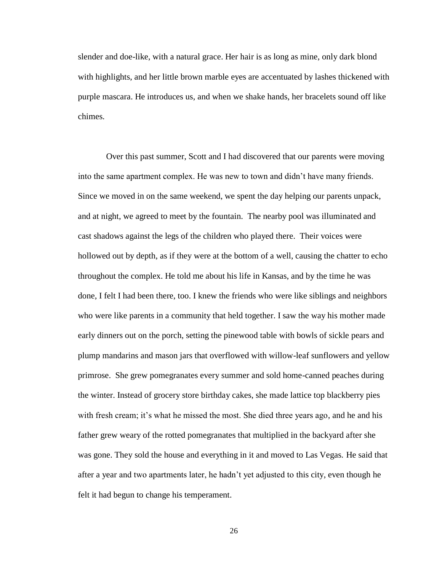slender and doe-like, with a natural grace. Her hair is as long as mine, only dark blond with highlights, and her little brown marble eyes are accentuated by lashes thickened with purple mascara. He introduces us, and when we shake hands, her bracelets sound off like chimes.

Over this past summer, Scott and I had discovered that our parents were moving into the same apartment complex. He was new to town and didn't have many friends. Since we moved in on the same weekend, we spent the day helping our parents unpack, and at night, we agreed to meet by the fountain. The nearby pool was illuminated and cast shadows against the legs of the children who played there. Their voices were hollowed out by depth, as if they were at the bottom of a well, causing the chatter to echo throughout the complex. He told me about his life in Kansas, and by the time he was done, I felt I had been there, too. I knew the friends who were like siblings and neighbors who were like parents in a community that held together. I saw the way his mother made early dinners out on the porch, setting the pinewood table with bowls of sickle pears and plump mandarins and mason jars that overflowed with willow-leaf sunflowers and yellow primrose. She grew pomegranates every summer and sold home-canned peaches during the winter. Instead of grocery store birthday cakes, she made lattice top blackberry pies with fresh cream; it's what he missed the most. She died three years ago, and he and his father grew weary of the rotted pomegranates that multiplied in the backyard after she was gone. They sold the house and everything in it and moved to Las Vegas. He said that after a year and two apartments later, he hadn't yet adjusted to this city, even though he felt it had begun to change his temperament.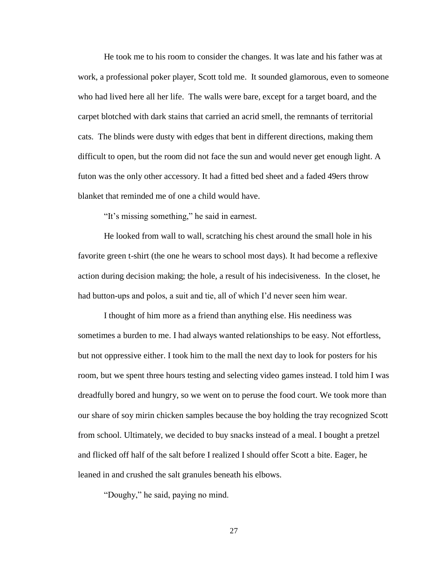He took me to his room to consider the changes. It was late and his father was at work, a professional poker player, Scott told me. It sounded glamorous, even to someone who had lived here all her life. The walls were bare, except for a target board, and the carpet blotched with dark stains that carried an acrid smell, the remnants of territorial cats. The blinds were dusty with edges that bent in different directions, making them difficult to open, but the room did not face the sun and would never get enough light. A futon was the only other accessory. It had a fitted bed sheet and a faded 49ers throw blanket that reminded me of one a child would have.

"It's missing something," he said in earnest.

He looked from wall to wall, scratching his chest around the small hole in his favorite green t-shirt (the one he wears to school most days). It had become a reflexive action during decision making; the hole, a result of his indecisiveness. In the closet, he had button-ups and polos, a suit and tie, all of which I'd never seen him wear.

I thought of him more as a friend than anything else. His neediness was sometimes a burden to me. I had always wanted relationships to be easy. Not effortless, but not oppressive either. I took him to the mall the next day to look for posters for his room, but we spent three hours testing and selecting video games instead. I told him I was dreadfully bored and hungry, so we went on to peruse the food court. We took more than our share of soy mirin chicken samples because the boy holding the tray recognized Scott from school. Ultimately, we decided to buy snacks instead of a meal. I bought a pretzel and flicked off half of the salt before I realized I should offer Scott a bite. Eager, he leaned in and crushed the salt granules beneath his elbows.

"Doughy," he said, paying no mind.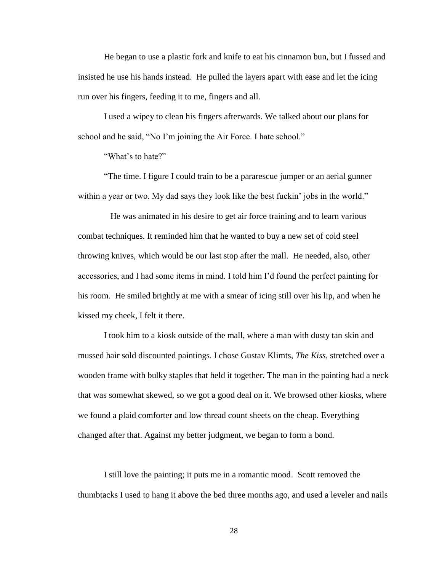He began to use a plastic fork and knife to eat his cinnamon bun, but I fussed and insisted he use his hands instead. He pulled the layers apart with ease and let the icing run over his fingers, feeding it to me, fingers and all.

I used a wipey to clean his fingers afterwards. We talked about our plans for school and he said, "No I'm joining the Air Force. I hate school."

"What's to hate?"

"The time. I figure I could train to be a pararescue jumper or an aerial gunner within a year or two. My dad says they look like the best fuckin' jobs in the world."

 He was animated in his desire to get air force training and to learn various combat techniques. It reminded him that he wanted to buy a new set of cold steel throwing knives, which would be our last stop after the mall. He needed, also, other accessories, and I had some items in mind. I told him I'd found the perfect painting for his room. He smiled brightly at me with a smear of icing still over his lip, and when he kissed my cheek, I felt it there.

I took him to a kiosk outside of the mall, where a man with dusty tan skin and mussed hair sold discounted paintings. I chose Gustav Klimts, *The Kiss,* stretched over a wooden frame with bulky staples that held it together. The man in the painting had a neck that was somewhat skewed, so we got a good deal on it. We browsed other kiosks, where we found a plaid comforter and low thread count sheets on the cheap. Everything changed after that. Against my better judgment, we began to form a bond.

I still love the painting; it puts me in a romantic mood. Scott removed the thumbtacks I used to hang it above the bed three months ago, and used a leveler and nails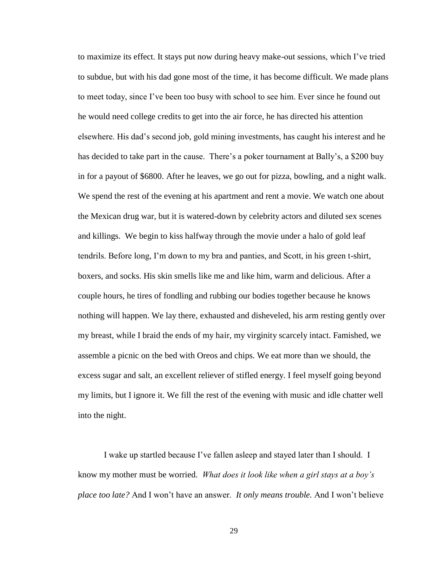to maximize its effect. It stays put now during heavy make-out sessions, which I've tried to subdue, but with his dad gone most of the time, it has become difficult. We made plans to meet today, since I've been too busy with school to see him. Ever since he found out he would need college credits to get into the air force, he has directed his attention elsewhere. His dad's second job, gold mining investments, has caught his interest and he has decided to take part in the cause. There's a poker tournament at Bally's, a \$200 buy in for a payout of \$6800. After he leaves, we go out for pizza, bowling, and a night walk. We spend the rest of the evening at his apartment and rent a movie. We watch one about the Mexican drug war, but it is watered-down by celebrity actors and diluted sex scenes and killings. We begin to kiss halfway through the movie under a halo of gold leaf tendrils. Before long, I'm down to my bra and panties, and Scott, in his green t-shirt, boxers, and socks. His skin smells like me and like him, warm and delicious. After a couple hours, he tires of fondling and rubbing our bodies together because he knows nothing will happen. We lay there, exhausted and disheveled, his arm resting gently over my breast, while I braid the ends of my hair, my virginity scarcely intact. Famished, we assemble a picnic on the bed with Oreos and chips. We eat more than we should, the excess sugar and salt, an excellent reliever of stifled energy. I feel myself going beyond my limits, but I ignore it. We fill the rest of the evening with music and idle chatter well into the night.

I wake up startled because I've fallen asleep and stayed later than I should. I know my mother must be worried. *What does it look like when a girl stays at a boy's place too late?* And I won't have an answer. *It only means trouble.* And I won't believe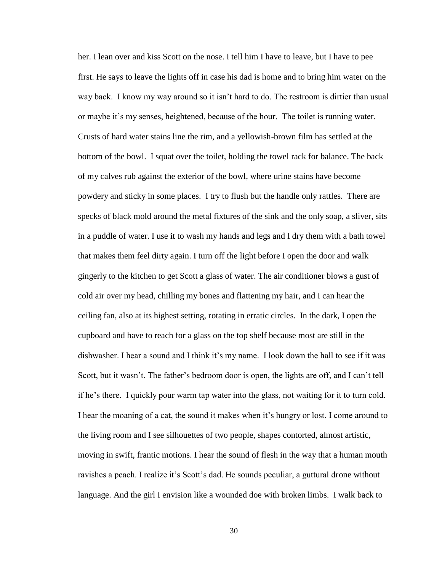her. I lean over and kiss Scott on the nose. I tell him I have to leave, but I have to pee first. He says to leave the lights off in case his dad is home and to bring him water on the way back. I know my way around so it isn't hard to do. The restroom is dirtier than usual or maybe it's my senses, heightened, because of the hour. The toilet is running water. Crusts of hard water stains line the rim, and a yellowish-brown film has settled at the bottom of the bowl. I squat over the toilet, holding the towel rack for balance. The back of my calves rub against the exterior of the bowl, where urine stains have become powdery and sticky in some places. I try to flush but the handle only rattles. There are specks of black mold around the metal fixtures of the sink and the only soap, a sliver, sits in a puddle of water. I use it to wash my hands and legs and I dry them with a bath towel that makes them feel dirty again. I turn off the light before I open the door and walk gingerly to the kitchen to get Scott a glass of water. The air conditioner blows a gust of cold air over my head, chilling my bones and flattening my hair, and I can hear the ceiling fan, also at its highest setting, rotating in erratic circles. In the dark, I open the cupboard and have to reach for a glass on the top shelf because most are still in the dishwasher. I hear a sound and I think it's my name. I look down the hall to see if it was Scott, but it wasn't. The father's bedroom door is open, the lights are off, and I can't tell if he's there. I quickly pour warm tap water into the glass, not waiting for it to turn cold. I hear the moaning of a cat, the sound it makes when it's hungry or lost. I come around to the living room and I see silhouettes of two people, shapes contorted, almost artistic, moving in swift, frantic motions. I hear the sound of flesh in the way that a human mouth ravishes a peach. I realize it's Scott's dad. He sounds peculiar, a guttural drone without language. And the girl I envision like a wounded doe with broken limbs. I walk back to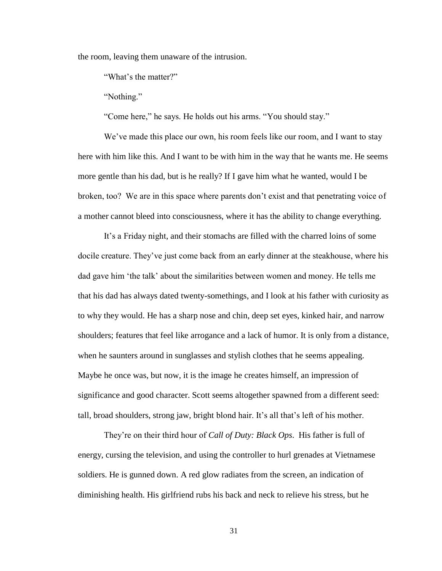the room, leaving them unaware of the intrusion.

"What's the matter?"

"Nothing."

"Come here," he says. He holds out his arms. "You should stay."

We've made this place our own, his room feels like our room, and I want to stay here with him like this. And I want to be with him in the way that he wants me. He seems more gentle than his dad, but is he really? If I gave him what he wanted, would I be broken, too? We are in this space where parents don't exist and that penetrating voice of a mother cannot bleed into consciousness, where it has the ability to change everything.

It's a Friday night, and their stomachs are filled with the charred loins of some docile creature. They've just come back from an early dinner at the steakhouse, where his dad gave him 'the talk' about the similarities between women and money. He tells me that his dad has always dated twenty-somethings, and I look at his father with curiosity as to why they would. He has a sharp nose and chin, deep set eyes, kinked hair, and narrow shoulders; features that feel like arrogance and a lack of humor. It is only from a distance, when he saunters around in sunglasses and stylish clothes that he seems appealing. Maybe he once was, but now, it is the image he creates himself, an impression of significance and good character. Scott seems altogether spawned from a different seed: tall, broad shoulders, strong jaw, bright blond hair. It's all that's left of his mother.

They're on their third hour of *Call of Duty: Black Ops*. His father is full of energy, cursing the television, and using the controller to hurl grenades at Vietnamese soldiers. He is gunned down. A red glow radiates from the screen, an indication of diminishing health. His girlfriend rubs his back and neck to relieve his stress, but he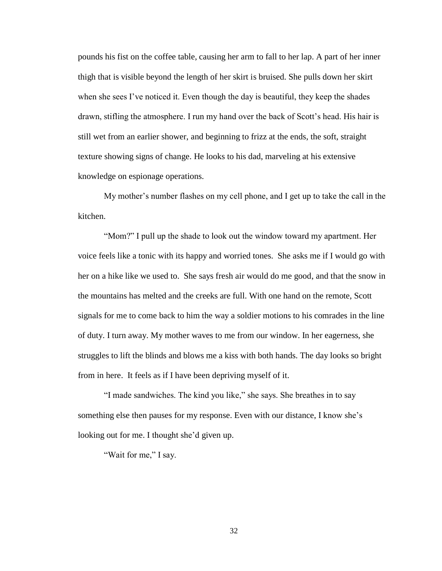pounds his fist on the coffee table, causing her arm to fall to her lap. A part of her inner thigh that is visible beyond the length of her skirt is bruised. She pulls down her skirt when she sees I've noticed it. Even though the day is beautiful, they keep the shades drawn, stifling the atmosphere. I run my hand over the back of Scott's head. His hair is still wet from an earlier shower, and beginning to frizz at the ends, the soft, straight texture showing signs of change. He looks to his dad, marveling at his extensive knowledge on espionage operations.

My mother's number flashes on my cell phone, and I get up to take the call in the kitchen.

"Mom?" I pull up the shade to look out the window toward my apartment. Her voice feels like a tonic with its happy and worried tones. She asks me if I would go with her on a hike like we used to. She says fresh air would do me good, and that the snow in the mountains has melted and the creeks are full. With one hand on the remote, Scott signals for me to come back to him the way a soldier motions to his comrades in the line of duty. I turn away. My mother waves to me from our window. In her eagerness, she struggles to lift the blinds and blows me a kiss with both hands. The day looks so bright from in here. It feels as if I have been depriving myself of it.

"I made sandwiches. The kind you like," she says. She breathes in to say something else then pauses for my response. Even with our distance, I know she's looking out for me. I thought she'd given up.

"Wait for me," I say.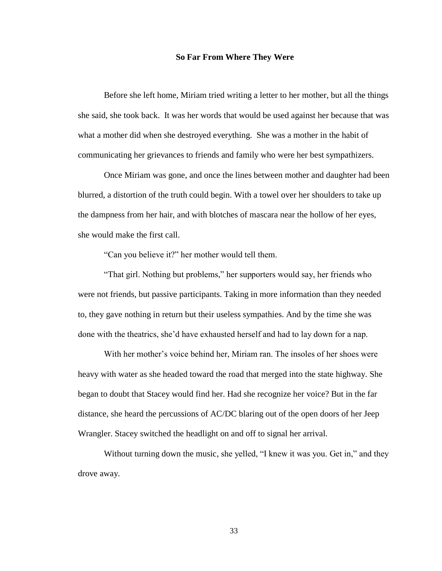## **So Far From Where They Were**

Before she left home, Miriam tried writing a letter to her mother, but all the things she said, she took back. It was her words that would be used against her because that was what a mother did when she destroyed everything. She was a mother in the habit of communicating her grievances to friends and family who were her best sympathizers.

Once Miriam was gone, and once the lines between mother and daughter had been blurred, a distortion of the truth could begin. With a towel over her shoulders to take up the dampness from her hair, and with blotches of mascara near the hollow of her eyes, she would make the first call.

"Can you believe it?" her mother would tell them.

"That girl. Nothing but problems," her supporters would say, her friends who were not friends, but passive participants. Taking in more information than they needed to, they gave nothing in return but their useless sympathies. And by the time she was done with the theatrics, she'd have exhausted herself and had to lay down for a nap.

With her mother's voice behind her, Miriam ran. The insoles of her shoes were heavy with water as she headed toward the road that merged into the state highway. She began to doubt that Stacey would find her. Had she recognize her voice? But in the far distance, she heard the percussions of AC/DC blaring out of the open doors of her Jeep Wrangler. Stacey switched the headlight on and off to signal her arrival.

Without turning down the music, she yelled, "I knew it was you. Get in," and they drove away.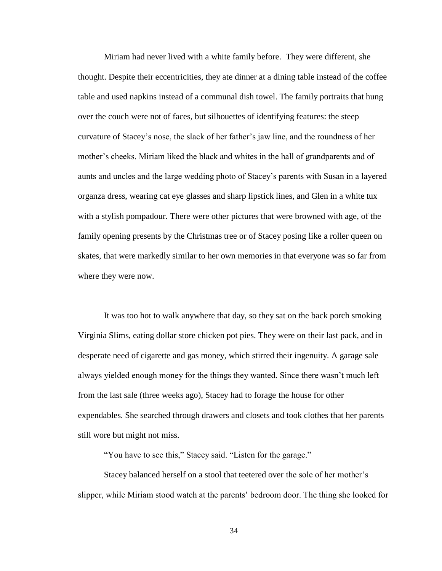Miriam had never lived with a white family before. They were different, she thought. Despite their eccentricities, they ate dinner at a dining table instead of the coffee table and used napkins instead of a communal dish towel. The family portraits that hung over the couch were not of faces, but silhouettes of identifying features: the steep curvature of Stacey's nose, the slack of her father's jaw line, and the roundness of her mother's cheeks. Miriam liked the black and whites in the hall of grandparents and of aunts and uncles and the large wedding photo of Stacey's parents with Susan in a layered organza dress, wearing cat eye glasses and sharp lipstick lines, and Glen in a white tux with a stylish pompadour. There were other pictures that were browned with age, of the family opening presents by the Christmas tree or of Stacey posing like a roller queen on skates, that were markedly similar to her own memories in that everyone was so far from where they were now.

It was too hot to walk anywhere that day, so they sat on the back porch smoking Virginia Slims, eating dollar store chicken pot pies. They were on their last pack, and in desperate need of cigarette and gas money, which stirred their ingenuity. A garage sale always yielded enough money for the things they wanted. Since there wasn't much left from the last sale (three weeks ago), Stacey had to forage the house for other expendables. She searched through drawers and closets and took clothes that her parents still wore but might not miss.

"You have to see this," Stacey said. "Listen for the garage."

Stacey balanced herself on a stool that teetered over the sole of her mother's slipper, while Miriam stood watch at the parents' bedroom door. The thing she looked for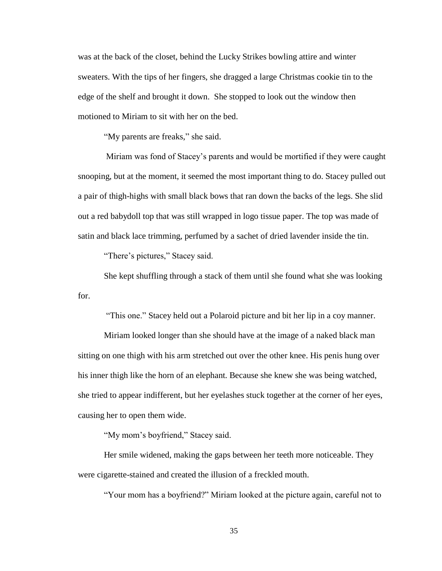was at the back of the closet, behind the Lucky Strikes bowling attire and winter sweaters. With the tips of her fingers, she dragged a large Christmas cookie tin to the edge of the shelf and brought it down. She stopped to look out the window then motioned to Miriam to sit with her on the bed.

"My parents are freaks," she said.

Miriam was fond of Stacey's parents and would be mortified if they were caught snooping, but at the moment, it seemed the most important thing to do. Stacey pulled out a pair of thigh-highs with small black bows that ran down the backs of the legs. She slid out a red babydoll top that was still wrapped in logo tissue paper. The top was made of satin and black lace trimming, perfumed by a sachet of dried lavender inside the tin.

"There's pictures," Stacey said.

She kept shuffling through a stack of them until she found what she was looking for.

"This one." Stacey held out a Polaroid picture and bit her lip in a coy manner.

Miriam looked longer than she should have at the image of a naked black man sitting on one thigh with his arm stretched out over the other knee. His penis hung over his inner thigh like the horn of an elephant. Because she knew she was being watched, she tried to appear indifferent, but her eyelashes stuck together at the corner of her eyes, causing her to open them wide.

"My mom's boyfriend," Stacey said.

Her smile widened, making the gaps between her teeth more noticeable. They were cigarette-stained and created the illusion of a freckled mouth.

"Your mom has a boyfriend?" Miriam looked at the picture again, careful not to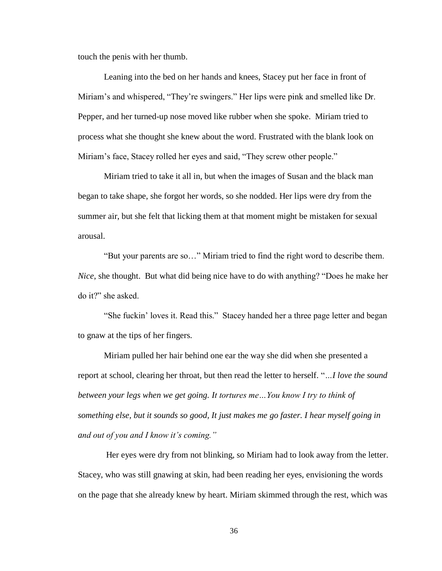touch the penis with her thumb.

Leaning into the bed on her hands and knees, Stacey put her face in front of Miriam's and whispered, "They're swingers." Her lips were pink and smelled like Dr. Pepper, and her turned-up nose moved like rubber when she spoke. Miriam tried to process what she thought she knew about the word. Frustrated with the blank look on Miriam's face, Stacey rolled her eyes and said, "They screw other people."

Miriam tried to take it all in, but when the images of Susan and the black man began to take shape, she forgot her words, so she nodded. Her lips were dry from the summer air, but she felt that licking them at that moment might be mistaken for sexual arousal.

"But your parents are so…" Miriam tried to find the right word to describe them. *Nice*, she thought. But what did being nice have to do with anything? "Does he make her do it?" she asked.

"She fuckin' loves it. Read this." Stacey handed her a three page letter and began to gnaw at the tips of her fingers.

Miriam pulled her hair behind one ear the way she did when she presented a report at school, clearing her throat, but then read the letter to herself. "*…I love the sound between your legs when we get going. It tortures me…You know I try to think of something else, but it sounds so good, It just makes me go faster. I hear myself going in and out of you and I know it's coming."*

Her eyes were dry from not blinking, so Miriam had to look away from the letter. Stacey, who was still gnawing at skin, had been reading her eyes, envisioning the words on the page that she already knew by heart. Miriam skimmed through the rest, which was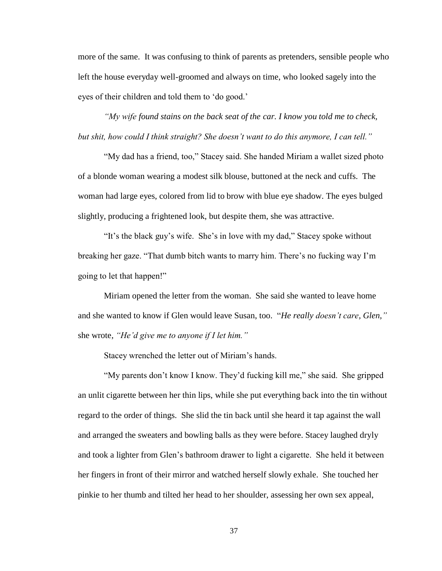more of the same. It was confusing to think of parents as pretenders, sensible people who left the house everyday well-groomed and always on time, who looked sagely into the eyes of their children and told them to 'do good.'

*"My wife found stains on the back seat of the car. I know you told me to check, but shit, how could I think straight? She doesn't want to do this anymore, I can tell."*

"My dad has a friend, too," Stacey said. She handed Miriam a wallet sized photo of a blonde woman wearing a modest silk blouse, buttoned at the neck and cuffs. The woman had large eyes, colored from lid to brow with blue eye shadow. The eyes bulged slightly, producing a frightened look, but despite them, she was attractive.

"It's the black guy's wife. She's in love with my dad," Stacey spoke without breaking her gaze. "That dumb bitch wants to marry him. There's no fucking way I'm going to let that happen!"

Miriam opened the letter from the woman. She said she wanted to leave home and she wanted to know if Glen would leave Susan, too. "*He really doesn't care, Glen,"*  she wrote, *"He'd give me to anyone if I let him."* 

Stacey wrenched the letter out of Miriam's hands.

"My parents don't know I know. They'd fucking kill me," she said. She gripped an unlit cigarette between her thin lips, while she put everything back into the tin without regard to the order of things. She slid the tin back until she heard it tap against the wall and arranged the sweaters and bowling balls as they were before. Stacey laughed dryly and took a lighter from Glen's bathroom drawer to light a cigarette. She held it between her fingers in front of their mirror and watched herself slowly exhale. She touched her pinkie to her thumb and tilted her head to her shoulder, assessing her own sex appeal,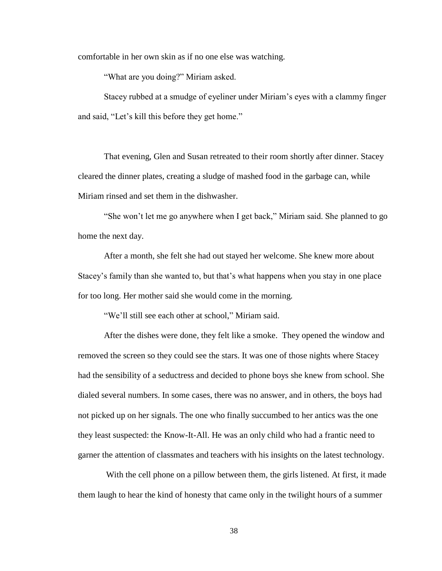comfortable in her own skin as if no one else was watching.

"What are you doing?" Miriam asked.

Stacey rubbed at a smudge of eyeliner under Miriam's eyes with a clammy finger and said, "Let's kill this before they get home."

That evening, Glen and Susan retreated to their room shortly after dinner. Stacey cleared the dinner plates, creating a sludge of mashed food in the garbage can, while Miriam rinsed and set them in the dishwasher.

"She won't let me go anywhere when I get back," Miriam said. She planned to go home the next day.

After a month, she felt she had out stayed her welcome. She knew more about Stacey's family than she wanted to, but that's what happens when you stay in one place for too long. Her mother said she would come in the morning.

"We'll still see each other at school," Miriam said.

After the dishes were done, they felt like a smoke. They opened the window and removed the screen so they could see the stars. It was one of those nights where Stacey had the sensibility of a seductress and decided to phone boys she knew from school. She dialed several numbers. In some cases, there was no answer, and in others, the boys had not picked up on her signals. The one who finally succumbed to her antics was the one they least suspected: the Know-It-All. He was an only child who had a frantic need to garner the attention of classmates and teachers with his insights on the latest technology.

With the cell phone on a pillow between them, the girls listened. At first, it made them laugh to hear the kind of honesty that came only in the twilight hours of a summer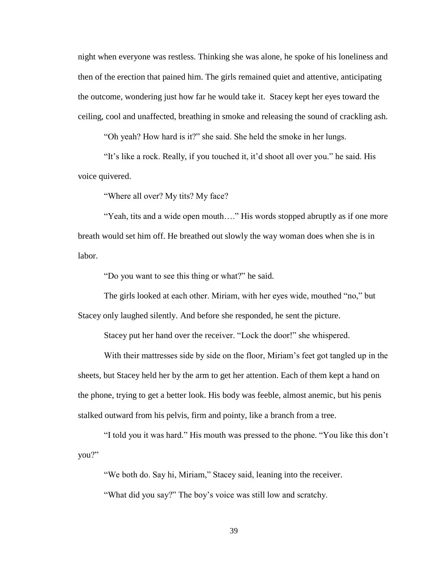night when everyone was restless. Thinking she was alone, he spoke of his loneliness and then of the erection that pained him. The girls remained quiet and attentive, anticipating the outcome, wondering just how far he would take it. Stacey kept her eyes toward the ceiling, cool and unaffected, breathing in smoke and releasing the sound of crackling ash.

"Oh yeah? How hard is it?" she said. She held the smoke in her lungs.

"It's like a rock. Really, if you touched it, it'd shoot all over you." he said. His voice quivered.

"Where all over? My tits? My face?

"Yeah, tits and a wide open mouth…." His words stopped abruptly as if one more breath would set him off. He breathed out slowly the way woman does when she is in labor.

"Do you want to see this thing or what?" he said.

The girls looked at each other. Miriam, with her eyes wide, mouthed "no," but Stacey only laughed silently. And before she responded, he sent the picture.

Stacey put her hand over the receiver. "Lock the door!" she whispered.

With their mattresses side by side on the floor, Miriam's feet got tangled up in the sheets, but Stacey held her by the arm to get her attention. Each of them kept a hand on the phone, trying to get a better look. His body was feeble, almost anemic, but his penis stalked outward from his pelvis, firm and pointy, like a branch from a tree.

"I told you it was hard." His mouth was pressed to the phone. "You like this don't you?"

"We both do. Say hi, Miriam," Stacey said, leaning into the receiver. "What did you say?" The boy's voice was still low and scratchy.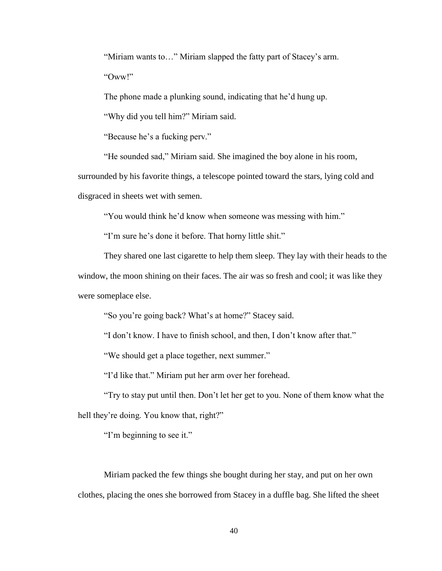"Miriam wants to…" Miriam slapped the fatty part of Stacey's arm.

"Oww!"

The phone made a plunking sound, indicating that he'd hung up.

"Why did you tell him?" Miriam said.

"Because he's a fucking perv."

"He sounded sad," Miriam said. She imagined the boy alone in his room,

surrounded by his favorite things, a telescope pointed toward the stars, lying cold and

disgraced in sheets wet with semen.

"You would think he'd know when someone was messing with him."

"I'm sure he's done it before. That horny little shit."

They shared one last cigarette to help them sleep. They lay with their heads to the window, the moon shining on their faces. The air was so fresh and cool; it was like they were someplace else.

"So you're going back? What's at home?" Stacey said.

"I don't know. I have to finish school, and then, I don't know after that."

"We should get a place together, next summer."

"I'd like that." Miriam put her arm over her forehead.

"Try to stay put until then. Don't let her get to you. None of them know what the hell they're doing. You know that, right?"

"I'm beginning to see it."

Miriam packed the few things she bought during her stay, and put on her own clothes, placing the ones she borrowed from Stacey in a duffle bag. She lifted the sheet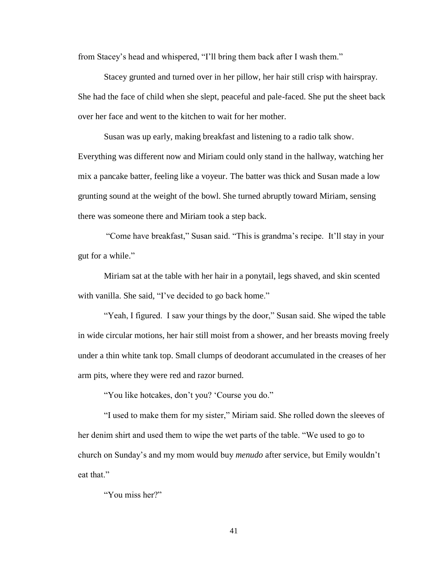from Stacey's head and whispered, "I'll bring them back after I wash them."

Stacey grunted and turned over in her pillow, her hair still crisp with hairspray. She had the face of child when she slept, peaceful and pale-faced. She put the sheet back over her face and went to the kitchen to wait for her mother.

Susan was up early, making breakfast and listening to a radio talk show. Everything was different now and Miriam could only stand in the hallway, watching her mix a pancake batter, feeling like a voyeur. The batter was thick and Susan made a low grunting sound at the weight of the bowl. She turned abruptly toward Miriam, sensing there was someone there and Miriam took a step back.

"Come have breakfast," Susan said. "This is grandma's recipe. It'll stay in your gut for a while."

Miriam sat at the table with her hair in a ponytail, legs shaved, and skin scented with vanilla. She said, "I've decided to go back home."

"Yeah, I figured. I saw your things by the door," Susan said. She wiped the table in wide circular motions, her hair still moist from a shower, and her breasts moving freely under a thin white tank top. Small clumps of deodorant accumulated in the creases of her arm pits, where they were red and razor burned.

"You like hotcakes, don't you? 'Course you do."

"I used to make them for my sister," Miriam said. She rolled down the sleeves of her denim shirt and used them to wipe the wet parts of the table. "We used to go to church on Sunday's and my mom would buy *menudo* after service, but Emily wouldn't eat that."

"You miss her?"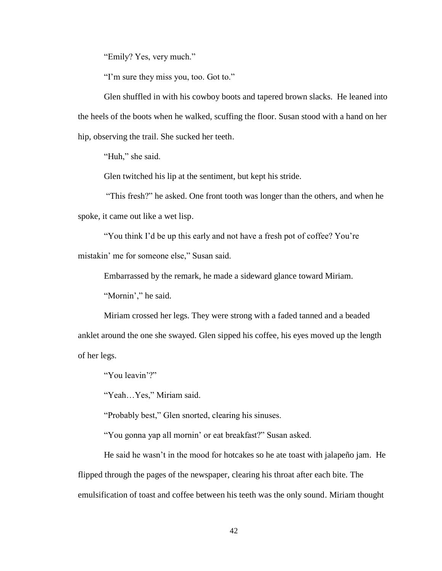"Emily? Yes, very much."

"I'm sure they miss you, too. Got to."

Glen shuffled in with his cowboy boots and tapered brown slacks. He leaned into the heels of the boots when he walked, scuffing the floor. Susan stood with a hand on her hip, observing the trail. She sucked her teeth.

"Huh," she said.

Glen twitched his lip at the sentiment, but kept his stride.

"This fresh?" he asked. One front tooth was longer than the others, and when he spoke, it came out like a wet lisp.

"You think I'd be up this early and not have a fresh pot of coffee? You're mistakin' me for someone else," Susan said.

Embarrassed by the remark, he made a sideward glance toward Miriam.

"Mornin'," he said.

Miriam crossed her legs. They were strong with a faded tanned and a beaded anklet around the one she swayed. Glen sipped his coffee, his eyes moved up the length of her legs.

"You leavin'?"

"Yeah…Yes," Miriam said.

"Probably best," Glen snorted, clearing his sinuses.

"You gonna yap all mornin' or eat breakfast?" Susan asked.

He said he wasn't in the mood for hotcakes so he ate toast with jalapeño jam. He flipped through the pages of the newspaper, clearing his throat after each bite. The emulsification of toast and coffee between his teeth was the only sound. Miriam thought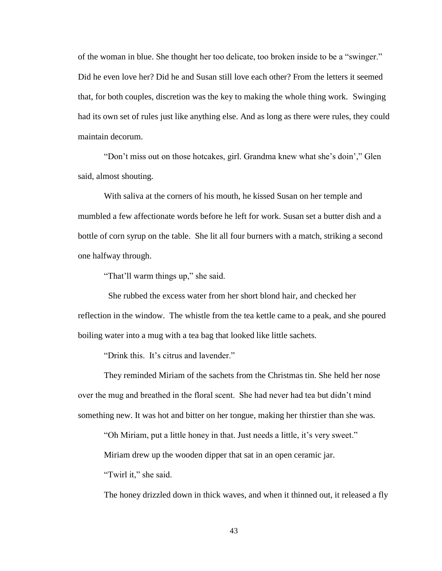of the woman in blue. She thought her too delicate, too broken inside to be a "swinger." Did he even love her? Did he and Susan still love each other? From the letters it seemed that, for both couples, discretion was the key to making the whole thing work. Swinging had its own set of rules just like anything else. And as long as there were rules, they could maintain decorum.

"Don't miss out on those hotcakes, girl. Grandma knew what she's doin'," Glen said, almost shouting.

With saliva at the corners of his mouth, he kissed Susan on her temple and mumbled a few affectionate words before he left for work. Susan set a butter dish and a bottle of corn syrup on the table. She lit all four burners with a match, striking a second one halfway through.

"That'll warm things up," she said.

 She rubbed the excess water from her short blond hair, and checked her reflection in the window. The whistle from the tea kettle came to a peak, and she poured boiling water into a mug with a tea bag that looked like little sachets.

"Drink this. It's citrus and lavender."

They reminded Miriam of the sachets from the Christmas tin. She held her nose over the mug and breathed in the floral scent. She had never had tea but didn't mind something new. It was hot and bitter on her tongue, making her thirstier than she was.

"Oh Miriam, put a little honey in that. Just needs a little, it's very sweet."

Miriam drew up the wooden dipper that sat in an open ceramic jar.

"Twirl it," she said.

The honey drizzled down in thick waves, and when it thinned out, it released a fly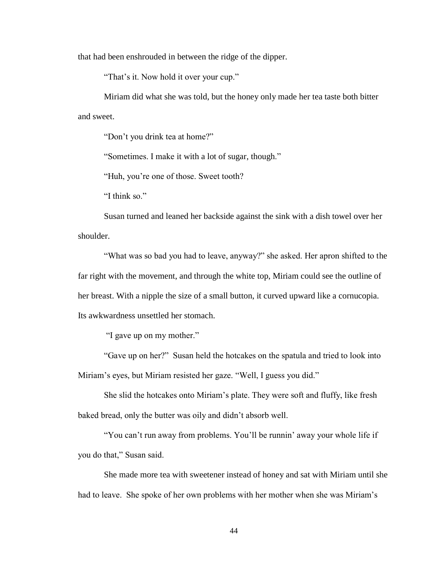that had been enshrouded in between the ridge of the dipper.

"That's it. Now hold it over your cup."

Miriam did what she was told, but the honey only made her tea taste both bitter and sweet.

"Don't you drink tea at home?"

"Sometimes. I make it with a lot of sugar, though."

"Huh, you're one of those. Sweet tooth?

"I think so."

Susan turned and leaned her backside against the sink with a dish towel over her shoulder.

"What was so bad you had to leave, anyway?" she asked. Her apron shifted to the far right with the movement, and through the white top, Miriam could see the outline of her breast. With a nipple the size of a small button, it curved upward like a cornucopia. Its awkwardness unsettled her stomach.

"I gave up on my mother."

"Gave up on her?" Susan held the hotcakes on the spatula and tried to look into Miriam's eyes, but Miriam resisted her gaze. "Well, I guess you did."

She slid the hotcakes onto Miriam's plate. They were soft and fluffy, like fresh baked bread, only the butter was oily and didn't absorb well.

"You can't run away from problems. You'll be runnin' away your whole life if you do that," Susan said.

She made more tea with sweetener instead of honey and sat with Miriam until she had to leave. She spoke of her own problems with her mother when she was Miriam's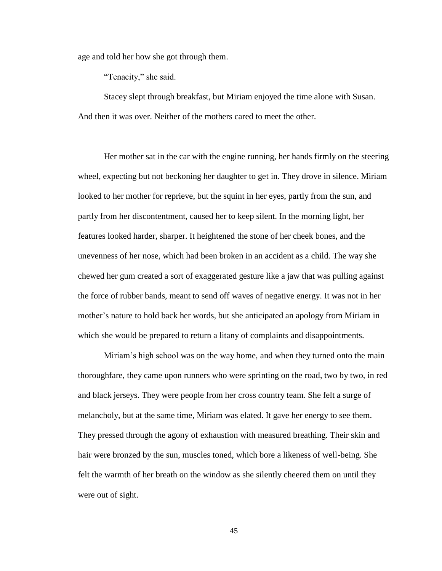age and told her how she got through them.

"Tenacity," she said.

Stacey slept through breakfast, but Miriam enjoyed the time alone with Susan. And then it was over. Neither of the mothers cared to meet the other.

Her mother sat in the car with the engine running, her hands firmly on the steering wheel, expecting but not beckoning her daughter to get in. They drove in silence. Miriam looked to her mother for reprieve, but the squint in her eyes, partly from the sun, and partly from her discontentment, caused her to keep silent. In the morning light, her features looked harder, sharper. It heightened the stone of her cheek bones, and the unevenness of her nose, which had been broken in an accident as a child. The way she chewed her gum created a sort of exaggerated gesture like a jaw that was pulling against the force of rubber bands, meant to send off waves of negative energy. It was not in her mother's nature to hold back her words, but she anticipated an apology from Miriam in which she would be prepared to return a litany of complaints and disappointments.

Miriam's high school was on the way home, and when they turned onto the main thoroughfare, they came upon runners who were sprinting on the road, two by two, in red and black jerseys. They were people from her cross country team. She felt a surge of melancholy, but at the same time, Miriam was elated. It gave her energy to see them. They pressed through the agony of exhaustion with measured breathing. Their skin and hair were bronzed by the sun, muscles toned, which bore a likeness of well-being. She felt the warmth of her breath on the window as she silently cheered them on until they were out of sight.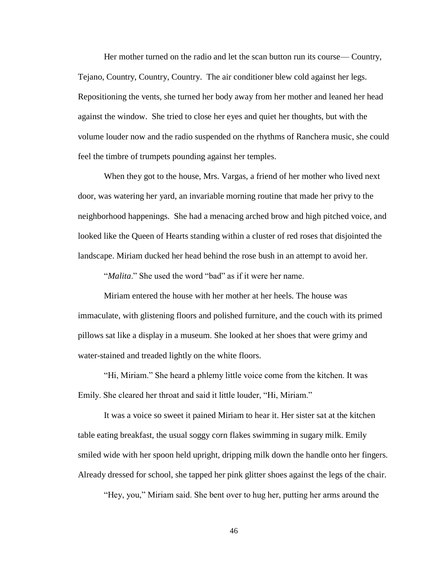Her mother turned on the radio and let the scan button run its course— Country, Tejano, Country, Country, Country. The air conditioner blew cold against her legs. Repositioning the vents, she turned her body away from her mother and leaned her head against the window. She tried to close her eyes and quiet her thoughts, but with the volume louder now and the radio suspended on the rhythms of Ranchera music, she could feel the timbre of trumpets pounding against her temples.

When they got to the house, Mrs. Vargas, a friend of her mother who lived next door, was watering her yard, an invariable morning routine that made her privy to the neighborhood happenings. She had a menacing arched brow and high pitched voice, and looked like the Queen of Hearts standing within a cluster of red roses that disjointed the landscape. Miriam ducked her head behind the rose bush in an attempt to avoid her.

"*Malita*." She used the word "bad" as if it were her name.

Miriam entered the house with her mother at her heels. The house was immaculate, with glistening floors and polished furniture, and the couch with its primed pillows sat like a display in a museum. She looked at her shoes that were grimy and water-stained and treaded lightly on the white floors.

"Hi, Miriam." She heard a phlemy little voice come from the kitchen. It was Emily. She cleared her throat and said it little louder, "Hi, Miriam."

It was a voice so sweet it pained Miriam to hear it. Her sister sat at the kitchen table eating breakfast, the usual soggy corn flakes swimming in sugary milk. Emily smiled wide with her spoon held upright, dripping milk down the handle onto her fingers. Already dressed for school, she tapped her pink glitter shoes against the legs of the chair.

"Hey, you," Miriam said. She bent over to hug her, putting her arms around the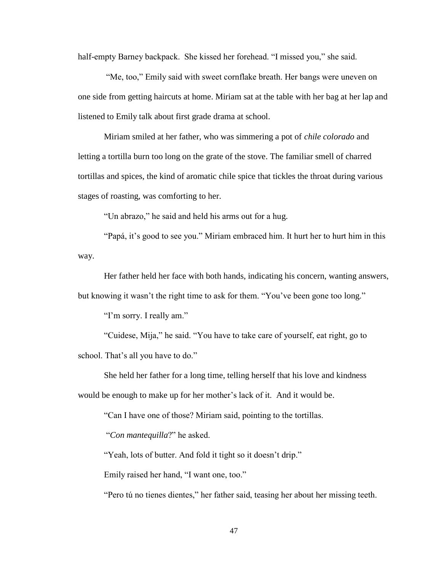half-empty Barney backpack. She kissed her forehead. "I missed you," she said.

"Me, too," Emily said with sweet cornflake breath. Her bangs were uneven on one side from getting haircuts at home. Miriam sat at the table with her bag at her lap and listened to Emily talk about first grade drama at school.

Miriam smiled at her father, who was simmering a pot of *chile colorado* and letting a tortilla burn too long on the grate of the stove. The familiar smell of charred tortillas and spices, the kind of aromatic chile spice that tickles the throat during various stages of roasting, was comforting to her.

"Un abrazo," he said and held his arms out for a hug.

"Papá, it's good to see you." Miriam embraced him. It hurt her to hurt him in this way.

Her father held her face with both hands, indicating his concern, wanting answers, but knowing it wasn't the right time to ask for them. "You've been gone too long."

"I'm sorry. I really am."

"Cuidese, Mija," he said. "You have to take care of yourself, eat right, go to school. That's all you have to do."

She held her father for a long time, telling herself that his love and kindness would be enough to make up for her mother's lack of it. And it would be.

"Can I have one of those? Miriam said, pointing to the tortillas.

"*Con mantequilla*?" he asked.

"Yeah, lots of butter. And fold it tight so it doesn't drip."

Emily raised her hand, "I want one, too."

"Pero tú no tienes dientes," her father said, teasing her about her missing teeth.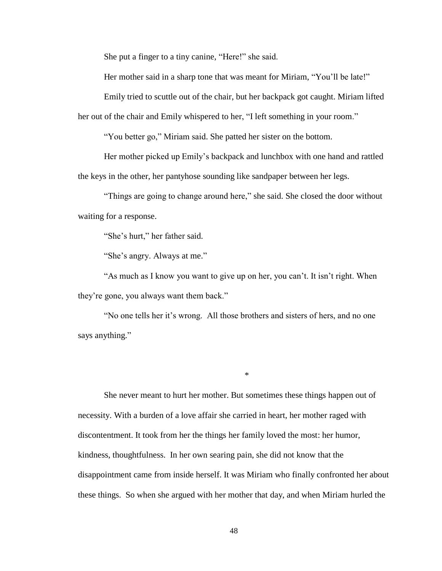She put a finger to a tiny canine, "Here!" she said.

Her mother said in a sharp tone that was meant for Miriam, "You'll be late!"

Emily tried to scuttle out of the chair, but her backpack got caught. Miriam lifted her out of the chair and Emily whispered to her, "I left something in your room."

"You better go," Miriam said. She patted her sister on the bottom.

Her mother picked up Emily's backpack and lunchbox with one hand and rattled the keys in the other, her pantyhose sounding like sandpaper between her legs.

"Things are going to change around here," she said. She closed the door without waiting for a response.

"She's hurt," her father said.

"She's angry. Always at me."

"As much as I know you want to give up on her, you can't. It isn't right. When they're gone, you always want them back."

"No one tells her it's wrong. All those brothers and sisters of hers, and no one says anything."

\*

She never meant to hurt her mother. But sometimes these things happen out of necessity. With a burden of a love affair she carried in heart, her mother raged with discontentment. It took from her the things her family loved the most: her humor, kindness, thoughtfulness. In her own searing pain, she did not know that the disappointment came from inside herself. It was Miriam who finally confronted her about these things. So when she argued with her mother that day, and when Miriam hurled the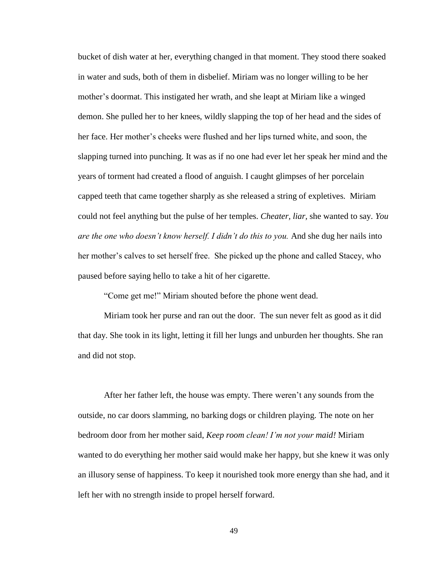bucket of dish water at her, everything changed in that moment. They stood there soaked in water and suds, both of them in disbelief. Miriam was no longer willing to be her mother's doormat. This instigated her wrath, and she leapt at Miriam like a winged demon. She pulled her to her knees, wildly slapping the top of her head and the sides of her face. Her mother's cheeks were flushed and her lips turned white, and soon, the slapping turned into punching. It was as if no one had ever let her speak her mind and the years of torment had created a flood of anguish. I caught glimpses of her porcelain capped teeth that came together sharply as she released a string of expletives. Miriam could not feel anything but the pulse of her temples. *Cheater, liar,* she wanted to say. *You are the one who doesn't know herself. I didn't do this to you.* And she dug her nails into her mother's calves to set herself free. She picked up the phone and called Stacey, who paused before saying hello to take a hit of her cigarette.

"Come get me!" Miriam shouted before the phone went dead.

Miriam took her purse and ran out the door. The sun never felt as good as it did that day. She took in its light, letting it fill her lungs and unburden her thoughts. She ran and did not stop.

After her father left, the house was empty. There weren't any sounds from the outside, no car doors slamming, no barking dogs or children playing. The note on her bedroom door from her mother said, *Keep room clean! I'm not your maid!* Miriam wanted to do everything her mother said would make her happy, but she knew it was only an illusory sense of happiness. To keep it nourished took more energy than she had, and it left her with no strength inside to propel herself forward.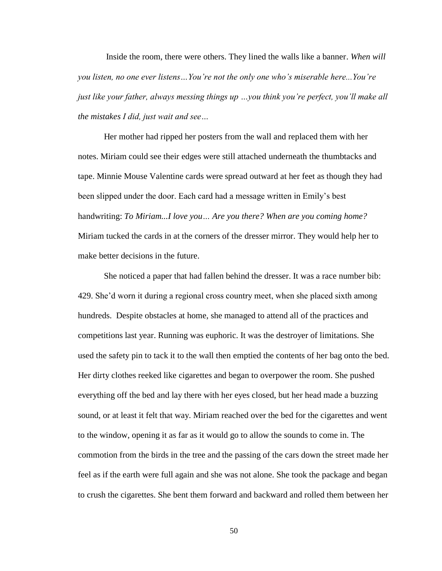Inside the room, there were others. They lined the walls like a banner. *When will you listen, no one ever listens…You're not the only one who's miserable here...You're just like your father, always messing things up …you think you're perfect, you'll make all the mistakes I did, just wait and see…*

Her mother had ripped her posters from the wall and replaced them with her notes. Miriam could see their edges were still attached underneath the thumbtacks and tape. Minnie Mouse Valentine cards were spread outward at her feet as though they had been slipped under the door. Each card had a message written in Emily's best handwriting: *To Miriam...I love you… Are you there? When are you coming home?* Miriam tucked the cards in at the corners of the dresser mirror. They would help her to make better decisions in the future.

She noticed a paper that had fallen behind the dresser. It was a race number bib: 429. She'd worn it during a regional cross country meet, when she placed sixth among hundreds. Despite obstacles at home, she managed to attend all of the practices and competitions last year. Running was euphoric. It was the destroyer of limitations. She used the safety pin to tack it to the wall then emptied the contents of her bag onto the bed. Her dirty clothes reeked like cigarettes and began to overpower the room. She pushed everything off the bed and lay there with her eyes closed, but her head made a buzzing sound, or at least it felt that way. Miriam reached over the bed for the cigarettes and went to the window, opening it as far as it would go to allow the sounds to come in. The commotion from the birds in the tree and the passing of the cars down the street made her feel as if the earth were full again and she was not alone. She took the package and began to crush the cigarettes. She bent them forward and backward and rolled them between her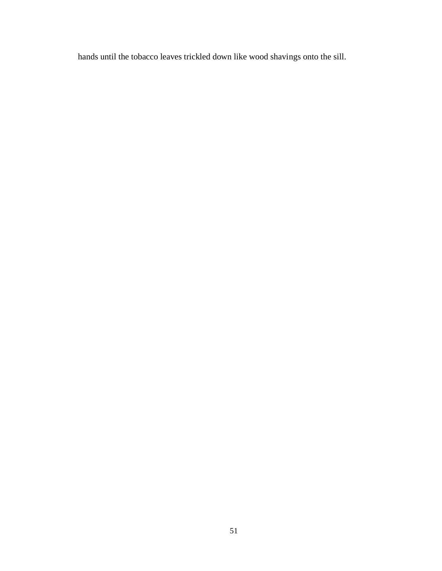hands until the tobacco leaves trickled down like wood shavings onto the sill.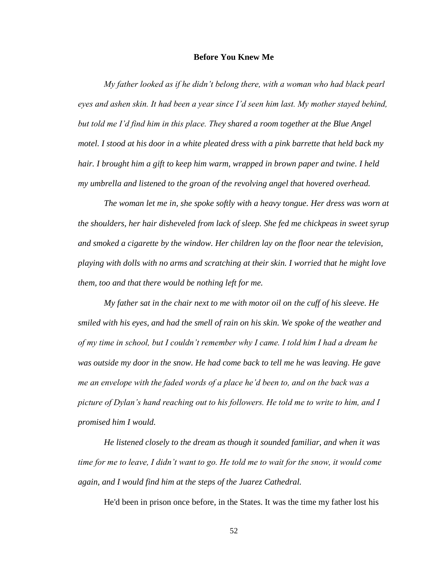## **Before You Knew Me**

*My father looked as if he didn't belong there, with a woman who had black pearl eyes and ashen skin. It had been a year since I'd seen him last. My mother stayed behind, but told me I'd find him in this place. They shared a room together at the Blue Angel motel. I stood at his door in a white pleated dress with a pink barrette that held back my hair. I brought him a gift to keep him warm, wrapped in brown paper and twine. I held my umbrella and listened to the groan of the revolving angel that hovered overhead.* 

*The woman let me in, she spoke softly with a heavy tongue. Her dress was worn at the shoulders, her hair disheveled from lack of sleep. She fed me chickpeas in sweet syrup and smoked a cigarette by the window. Her children lay on the floor near the television, playing with dolls with no arms and scratching at their skin. I worried that he might love them, too and that there would be nothing left for me.* 

*My father sat in the chair next to me with motor oil on the cuff of his sleeve. He smiled with his eyes, and had the smell of rain on his skin. We spoke of the weather and of my time in school, but I couldn't remember why I came. I told him I had a dream he was outside my door in the snow. He had come back to tell me he was leaving. He gave me an envelope with the faded words of a place he'd been to, and on the back was a picture of Dylan's hand reaching out to his followers. He told me to write to him, and I promised him I would.*

*He listened closely to the dream as though it sounded familiar, and when it was time for me to leave, I didn't want to go. He told me to wait for the snow, it would come again, and I would find him at the steps of the Juarez Cathedral.*

He'd been in prison once before, in the States. It was the time my father lost his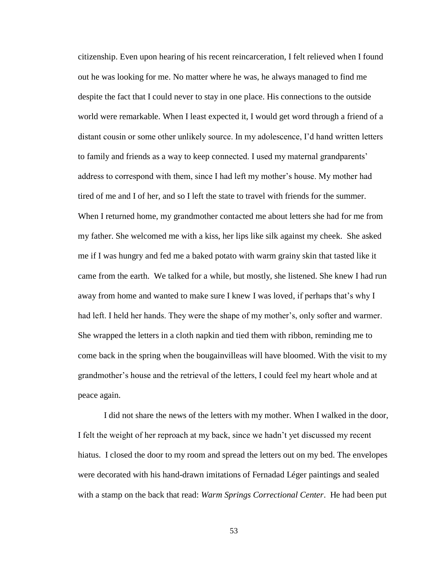citizenship. Even upon hearing of his recent reincarceration, I felt relieved when I found out he was looking for me. No matter where he was, he always managed to find me despite the fact that I could never to stay in one place. His connections to the outside world were remarkable. When I least expected it, I would get word through a friend of a distant cousin or some other unlikely source. In my adolescence, I'd hand written letters to family and friends as a way to keep connected. I used my maternal grandparents' address to correspond with them, since I had left my mother's house. My mother had tired of me and I of her, and so I left the state to travel with friends for the summer. When I returned home, my grandmother contacted me about letters she had for me from my father. She welcomed me with a kiss, her lips like silk against my cheek. She asked me if I was hungry and fed me a baked potato with warm grainy skin that tasted like it came from the earth. We talked for a while, but mostly, she listened. She knew I had run away from home and wanted to make sure I knew I was loved, if perhaps that's why I had left. I held her hands. They were the shape of my mother's, only softer and warmer. She wrapped the letters in a cloth napkin and tied them with ribbon, reminding me to come back in the spring when the bougainvilleas will have bloomed. With the visit to my grandmother's house and the retrieval of the letters, I could feel my heart whole and at peace again.

I did not share the news of the letters with my mother. When I walked in the door, I felt the weight of her reproach at my back, since we hadn't yet discussed my recent hiatus. I closed the door to my room and spread the letters out on my bed. The envelopes were decorated with his hand-drawn imitations of Fernadad Léger paintings and sealed with a stamp on the back that read: *Warm Springs Correctional Center*. He had been put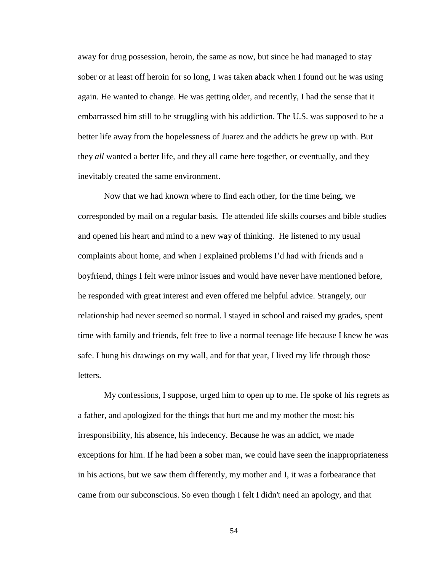away for drug possession, heroin, the same as now, but since he had managed to stay sober or at least off heroin for so long, I was taken aback when I found out he was using again. He wanted to change. He was getting older, and recently, I had the sense that it embarrassed him still to be struggling with his addiction. The U.S. was supposed to be a better life away from the hopelessness of Juarez and the addicts he grew up with. But they *all* wanted a better life, and they all came here together, or eventually, and they inevitably created the same environment.

Now that we had known where to find each other, for the time being, we corresponded by mail on a regular basis. He attended life skills courses and bible studies and opened his heart and mind to a new way of thinking. He listened to my usual complaints about home, and when I explained problems I'd had with friends and a boyfriend, things I felt were minor issues and would have never have mentioned before, he responded with great interest and even offered me helpful advice. Strangely, our relationship had never seemed so normal. I stayed in school and raised my grades, spent time with family and friends, felt free to live a normal teenage life because I knew he was safe. I hung his drawings on my wall, and for that year, I lived my life through those letters.

My confessions, I suppose, urged him to open up to me. He spoke of his regrets as a father, and apologized for the things that hurt me and my mother the most: his irresponsibility, his absence, his indecency. Because he was an addict, we made exceptions for him. If he had been a sober man, we could have seen the inappropriateness in his actions, but we saw them differently, my mother and I, it was a forbearance that came from our subconscious. So even though I felt I didn't need an apology, and that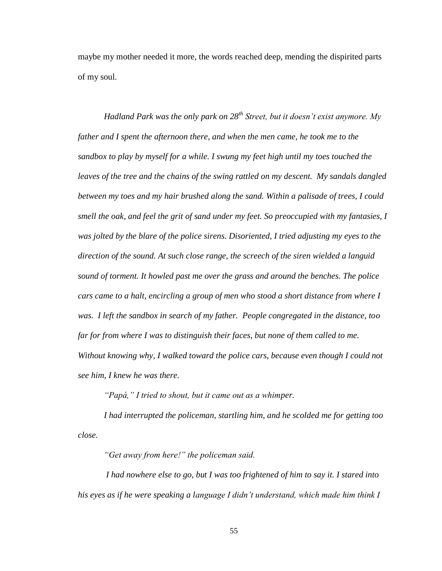maybe my mother needed it more, the words reached deep, mending the dispirited parts of my soul.

*Hadland Park was the only park on 28th Street, but it doesn't exist anymore. My father and I spent the afternoon there, and when the men came, he took me to the sandbox to play by myself for a while. I swung my feet high until my toes touched the leaves of the tree and the chains of the swing rattled on my descent. My sandals dangled between my toes and my hair brushed along the sand. Within a palisade of trees, I could smell the oak, and feel the grit of sand under my feet. So preoccupied with my fantasies, I was jolted by the blare of the police sirens. Disoriented, I tried adjusting my eyes to the direction of the sound. At such close range, the screech of the siren wielded a languid sound of torment. It howled past me over the grass and around the benches. The police cars came to a halt, encircling a group of men who stood a short distance from where I was. I left the sandbox in search of my father. People congregated in the distance, too far for from where I was to distinguish their faces, but none of them called to me. Without knowing why, I walked toward the police cars, because even though I could not see him, I knew he was there.* 

*"Papá," I tried to shout, but it came out as a whimper.* 

*I had interrupted the policeman, startling him, and he scolded me for getting too close.*

*"Get away from here!" the policeman said.*

*I had nowhere else to go, but I was too frightened of him to say it. I stared into his eyes as if he were speaking a language I didn't understand, which made him think I*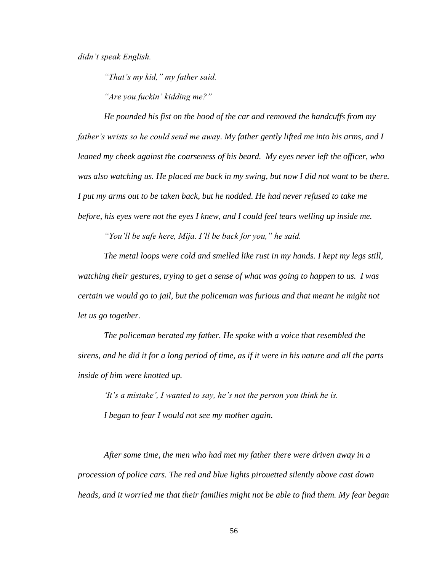*didn't speak English.* 

*"That's my kid," my father said.* 

*"Are you fuckin' kidding me?"*

*He pounded his fist on the hood of the car and removed the handcuffs from my father's wrists so he could send me away. My father gently lifted me into his arms, and I leaned my cheek against the coarseness of his beard. My eyes never left the officer, who*  was also watching us. He placed me back in my swing, but now I did not want to be there. *I put my arms out to be taken back, but he nodded. He had never refused to take me before, his eyes were not the eyes I knew, and I could feel tears welling up inside me.*

*"You'll be safe here, Mija. I'll be back for you," he said.* 

*The metal loops were cold and smelled like rust in my hands. I kept my legs still, watching their gestures, trying to get a sense of what was going to happen to us. I was certain we would go to jail, but the policeman was furious and that meant he might not let us go together.* 

*The policeman berated my father. He spoke with a voice that resembled the sirens, and he did it for a long period of time, as if it were in his nature and all the parts inside of him were knotted up.* 

*'It's a mistake', I wanted to say, he's not the person you think he is. I began to fear I would not see my mother again.* 

*After some time, the men who had met my father there were driven away in a procession of police cars. The red and blue lights pirouetted silently above cast down heads, and it worried me that their families might not be able to find them. My fear began*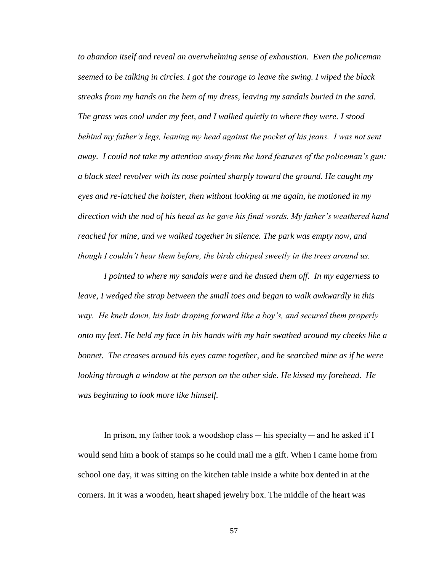*to abandon itself and reveal an overwhelming sense of exhaustion. Even the policeman seemed to be talking in circles. I got the courage to leave the swing. I wiped the black streaks from my hands on the hem of my dress, leaving my sandals buried in the sand. The grass was cool under my feet, and I walked quietly to where they were. I stood behind my father's legs, leaning my head against the pocket of his jeans. I was not sent away. I could not take my attention away from the hard features of the policeman's gun: a black steel revolver with its nose pointed sharply toward the ground. He caught my eyes and re-latched the holster, then without looking at me again, he motioned in my direction with the nod of his head as he gave his final words. My father's weathered hand reached for mine, and we walked together in silence. The park was empty now, and though I couldn't hear them before, the birds chirped sweetly in the trees around us.* 

*I pointed to where my sandals were and he dusted them off. In my eagerness to leave, I wedged the strap between the small toes and began to walk awkwardly in this way. He knelt down, his hair draping forward like a boy's, and secured them properly onto my feet. He held my face in his hands with my hair swathed around my cheeks like a bonnet. The creases around his eyes came together, and he searched mine as if he were looking through a window at the person on the other side. He kissed my forehead. He was beginning to look more like himself.*

In prison, my father took a woodshop class — his specialty — and he asked if I would send him a book of stamps so he could mail me a gift. When I came home from school one day, it was sitting on the kitchen table inside a white box dented in at the corners. In it was a wooden, heart shaped jewelry box. The middle of the heart was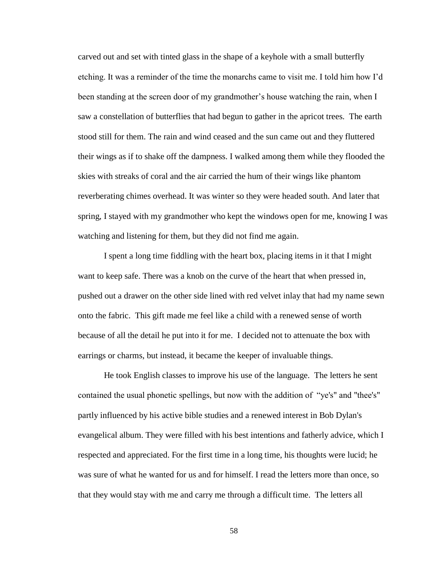carved out and set with tinted glass in the shape of a keyhole with a small butterfly etching. It was a reminder of the time the monarchs came to visit me. I told him how I'd been standing at the screen door of my grandmother's house watching the rain, when I saw a constellation of butterflies that had begun to gather in the apricot trees. The earth stood still for them. The rain and wind ceased and the sun came out and they fluttered their wings as if to shake off the dampness. I walked among them while they flooded the skies with streaks of coral and the air carried the hum of their wings like phantom reverberating chimes overhead. It was winter so they were headed south. And later that spring, I stayed with my grandmother who kept the windows open for me, knowing I was watching and listening for them, but they did not find me again.

I spent a long time fiddling with the heart box, placing items in it that I might want to keep safe. There was a knob on the curve of the heart that when pressed in, pushed out a drawer on the other side lined with red velvet inlay that had my name sewn onto the fabric. This gift made me feel like a child with a renewed sense of worth because of all the detail he put into it for me. I decided not to attenuate the box with earrings or charms, but instead, it became the keeper of invaluable things.

He took English classes to improve his use of the language. The letters he sent contained the usual phonetic spellings, but now with the addition of "ye's" and "thee's" partly influenced by his active bible studies and a renewed interest in Bob Dylan's evangelical album. They were filled with his best intentions and fatherly advice, which I respected and appreciated. For the first time in a long time, his thoughts were lucid; he was sure of what he wanted for us and for himself. I read the letters more than once, so that they would stay with me and carry me through a difficult time. The letters all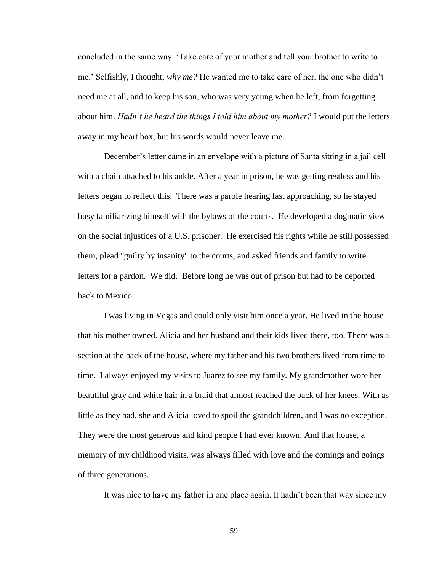concluded in the same way: 'Take care of your mother and tell your brother to write to me.' Selfishly, I thought, *why me?* He wanted me to take care of her, the one who didn't need me at all, and to keep his son, who was very young when he left, from forgetting about him. *Hadn't he heard the things I told him about my mother?* I would put the letters away in my heart box, but his words would never leave me.

December's letter came in an envelope with a picture of Santa sitting in a jail cell with a chain attached to his ankle. After a year in prison, he was getting restless and his letters began to reflect this. There was a parole hearing fast approaching, so he stayed busy familiarizing himself with the bylaws of the courts. He developed a dogmatic view on the social injustices of a U.S. prisoner. He exercised his rights while he still possessed them, plead "guilty by insanity" to the courts, and asked friends and family to write letters for a pardon. We did. Before long he was out of prison but had to be deported back to Mexico.

I was living in Vegas and could only visit him once a year. He lived in the house that his mother owned. Alicia and her husband and their kids lived there, too. There was a section at the back of the house, where my father and his two brothers lived from time to time. I always enjoyed my visits to Juarez to see my family. My grandmother wore her beautiful gray and white hair in a braid that almost reached the back of her knees. With as little as they had, she and Alicia loved to spoil the grandchildren, and I was no exception. They were the most generous and kind people I had ever known. And that house, a memory of my childhood visits, was always filled with love and the comings and goings of three generations.

It was nice to have my father in one place again. It hadn't been that way since my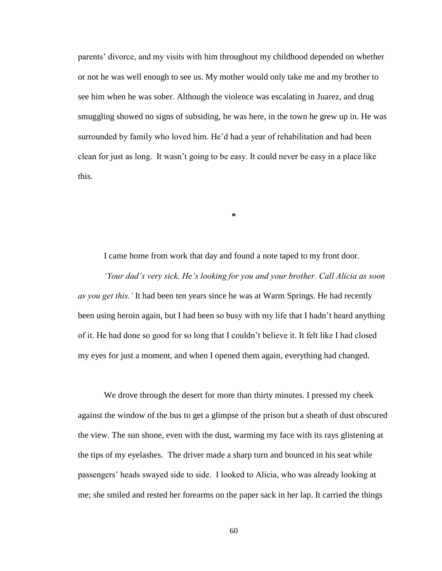parents' divorce, and my visits with him throughout my childhood depended on whether or not he was well enough to see us. My mother would only take me and my brother to see him when he was sober. Although the violence was escalating in Juarez, and drug smuggling showed no signs of subsiding, he was here, in the town he grew up in. He was surrounded by family who loved him. He'd had a year of rehabilitation and had been clean for just as long. It wasn't going to be easy. It could never be easy in a place like this.

I came home from work that day and found a note taped to my front door. *'Your dad's very sick. He's looking for you and your brother. Call Alicia as soon as you get this.'* It had been ten years since he was at Warm Springs. He had recently been using heroin again, but I had been so busy with my life that I hadn't heard anything of it. He had done so good for so long that I couldn't believe it. It felt like I had closed my eyes for just a moment, and when I opened them again, everything had changed.

**\***

We drove through the desert for more than thirty minutes. I pressed my cheek against the window of the bus to get a glimpse of the prison but a sheath of dust obscured the view. The sun shone, even with the dust, warming my face with its rays glistening at the tips of my eyelashes. The driver made a sharp turn and bounced in his seat while passengers' heads swayed side to side. I looked to Alicia, who was already looking at me; she smiled and rested her forearms on the paper sack in her lap. It carried the things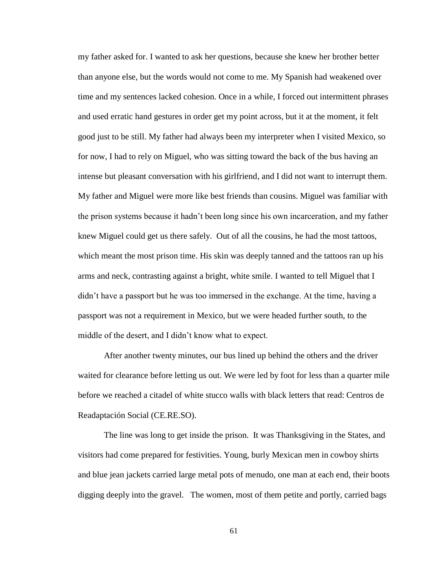my father asked for. I wanted to ask her questions, because she knew her brother better than anyone else, but the words would not come to me. My Spanish had weakened over time and my sentences lacked cohesion. Once in a while, I forced out intermittent phrases and used erratic hand gestures in order get my point across, but it at the moment, it felt good just to be still. My father had always been my interpreter when I visited Mexico, so for now, I had to rely on Miguel, who was sitting toward the back of the bus having an intense but pleasant conversation with his girlfriend, and I did not want to interrupt them. My father and Miguel were more like best friends than cousins. Miguel was familiar with the prison systems because it hadn't been long since his own incarceration, and my father knew Miguel could get us there safely. Out of all the cousins, he had the most tattoos, which meant the most prison time. His skin was deeply tanned and the tattoos ran up his arms and neck, contrasting against a bright, white smile. I wanted to tell Miguel that I didn't have a passport but he was too immersed in the exchange. At the time, having a passport was not a requirement in Mexico, but we were headed further south, to the middle of the desert, and I didn't know what to expect.

After another twenty minutes, our bus lined up behind the others and the driver waited for clearance before letting us out. We were led by foot for less than a quarter mile before we reached a citadel of white stucco walls with black letters that read: Centros de Readaptación Social (CE.RE.SO).

The line was long to get inside the prison. It was Thanksgiving in the States, and visitors had come prepared for festivities. Young, burly Mexican men in cowboy shirts and blue jean jackets carried large metal pots of menudo, one man at each end, their boots digging deeply into the gravel. The women, most of them petite and portly, carried bags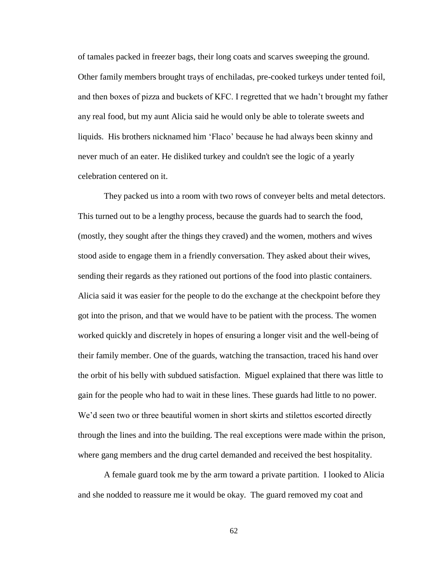of tamales packed in freezer bags, their long coats and scarves sweeping the ground. Other family members brought trays of enchiladas, pre-cooked turkeys under tented foil, and then boxes of pizza and buckets of KFC. I regretted that we hadn't brought my father any real food, but my aunt Alicia said he would only be able to tolerate sweets and liquids. His brothers nicknamed him 'Flaco' because he had always been skinny and never much of an eater. He disliked turkey and couldn't see the logic of a yearly celebration centered on it.

They packed us into a room with two rows of conveyer belts and metal detectors. This turned out to be a lengthy process, because the guards had to search the food, (mostly, they sought after the things they craved) and the women, mothers and wives stood aside to engage them in a friendly conversation. They asked about their wives, sending their regards as they rationed out portions of the food into plastic containers. Alicia said it was easier for the people to do the exchange at the checkpoint before they got into the prison, and that we would have to be patient with the process. The women worked quickly and discretely in hopes of ensuring a longer visit and the well-being of their family member. One of the guards, watching the transaction, traced his hand over the orbit of his belly with subdued satisfaction. Miguel explained that there was little to gain for the people who had to wait in these lines. These guards had little to no power. We'd seen two or three beautiful women in short skirts and stilettos escorted directly through the lines and into the building. The real exceptions were made within the prison, where gang members and the drug cartel demanded and received the best hospitality.

A female guard took me by the arm toward a private partition. I looked to Alicia and she nodded to reassure me it would be okay. The guard removed my coat and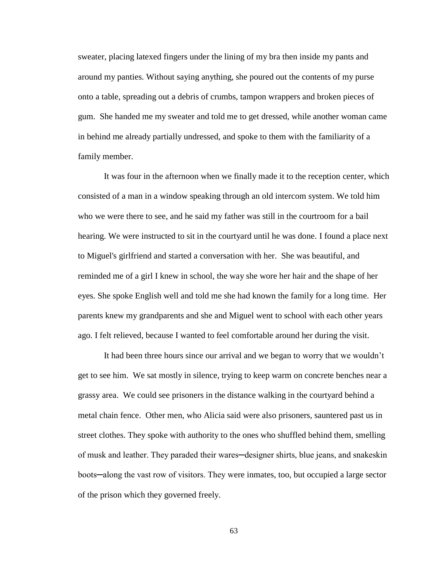sweater, placing latexed fingers under the lining of my bra then inside my pants and around my panties. Without saying anything, she poured out the contents of my purse onto a table, spreading out a debris of crumbs, tampon wrappers and broken pieces of gum. She handed me my sweater and told me to get dressed, while another woman came in behind me already partially undressed, and spoke to them with the familiarity of a family member.

It was four in the afternoon when we finally made it to the reception center, which consisted of a man in a window speaking through an old intercom system. We told him who we were there to see, and he said my father was still in the courtroom for a bail hearing. We were instructed to sit in the courtyard until he was done. I found a place next to Miguel's girlfriend and started a conversation with her. She was beautiful, and reminded me of a girl I knew in school, the way she wore her hair and the shape of her eyes. She spoke English well and told me she had known the family for a long time. Her parents knew my grandparents and she and Miguel went to school with each other years ago. I felt relieved, because I wanted to feel comfortable around her during the visit.

It had been three hours since our arrival and we began to worry that we wouldn't get to see him. We sat mostly in silence, trying to keep warm on concrete benches near a grassy area. We could see prisoners in the distance walking in the courtyard behind a metal chain fence. Other men, who Alicia said were also prisoners, sauntered past us in street clothes. They spoke with authority to the ones who shuffled behind them, smelling of musk and leather. They paraded their wares─designer shirts, blue jeans, and snakeskin boots─along the vast row of visitors. They were inmates, too, but occupied a large sector of the prison which they governed freely.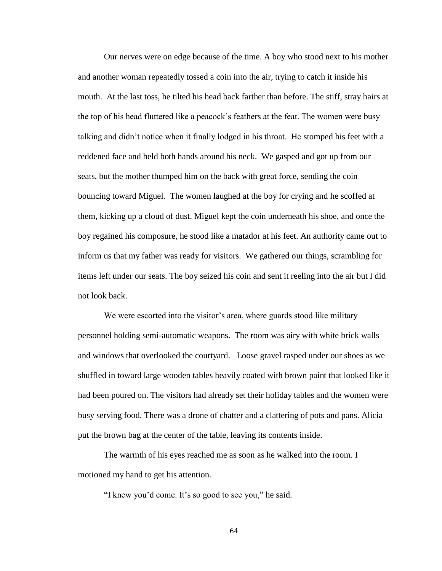Our nerves were on edge because of the time. A boy who stood next to his mother and another woman repeatedly tossed a coin into the air, trying to catch it inside his mouth. At the last toss, he tilted his head back farther than before. The stiff, stray hairs at the top of his head fluttered like a peacock's feathers at the feat. The women were busy talking and didn't notice when it finally lodged in his throat. He stomped his feet with a reddened face and held both hands around his neck. We gasped and got up from our seats, but the mother thumped him on the back with great force, sending the coin bouncing toward Miguel. The women laughed at the boy for crying and he scoffed at them, kicking up a cloud of dust. Miguel kept the coin underneath his shoe, and once the boy regained his composure, he stood like a matador at his feet. An authority came out to inform us that my father was ready for visitors. We gathered our things, scrambling for items left under our seats. The boy seized his coin and sent it reeling into the air but I did not look back.

We were escorted into the visitor's area, where guards stood like military personnel holding semi-automatic weapons. The room was airy with white brick walls and windows that overlooked the courtyard. Loose gravel rasped under our shoes as we shuffled in toward large wooden tables heavily coated with brown paint that looked like it had been poured on. The visitors had already set their holiday tables and the women were busy serving food. There was a drone of chatter and a clattering of pots and pans. Alicia put the brown bag at the center of the table, leaving its contents inside.

The warmth of his eyes reached me as soon as he walked into the room. I motioned my hand to get his attention.

"I knew you'd come. It's so good to see you," he said.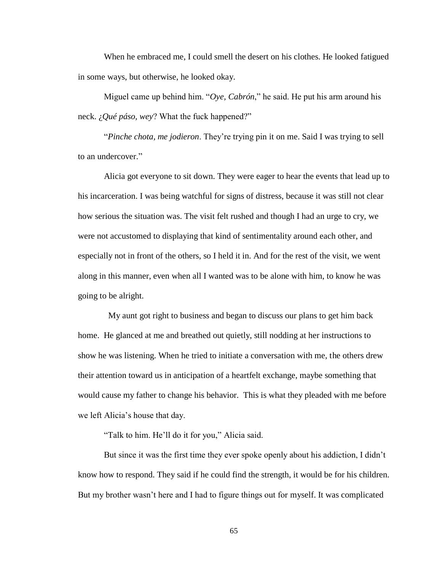When he embraced me, I could smell the desert on his clothes. He looked fatigued in some ways, but otherwise, he looked okay.

Miguel came up behind him. "*Oye, Cabrón*," he said. He put his arm around his neck. ¿*Qué páso, wey*? What the fuck happened?"

"*Pinche chota, me jodieron*. They're trying pin it on me. Said I was trying to sell to an undercover."

Alicia got everyone to sit down. They were eager to hear the events that lead up to his incarceration. I was being watchful for signs of distress, because it was still not clear how serious the situation was. The visit felt rushed and though I had an urge to cry, we were not accustomed to displaying that kind of sentimentality around each other, and especially not in front of the others, so I held it in. And for the rest of the visit, we went along in this manner, even when all I wanted was to be alone with him, to know he was going to be alright.

 My aunt got right to business and began to discuss our plans to get him back home. He glanced at me and breathed out quietly, still nodding at her instructions to show he was listening. When he tried to initiate a conversation with me, the others drew their attention toward us in anticipation of a heartfelt exchange, maybe something that would cause my father to change his behavior. This is what they pleaded with me before we left Alicia's house that day.

"Talk to him. He'll do it for you," Alicia said.

But since it was the first time they ever spoke openly about his addiction, I didn't know how to respond. They said if he could find the strength, it would be for his children. But my brother wasn't here and I had to figure things out for myself. It was complicated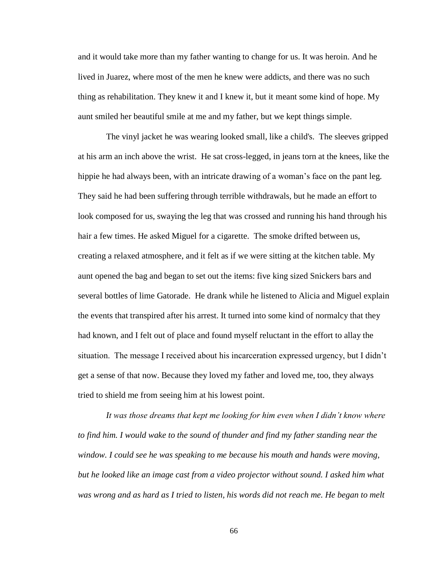and it would take more than my father wanting to change for us. It was heroin. And he lived in Juarez, where most of the men he knew were addicts, and there was no such thing as rehabilitation. They knew it and I knew it, but it meant some kind of hope. My aunt smiled her beautiful smile at me and my father, but we kept things simple.

The vinyl jacket he was wearing looked small, like a child's. The sleeves gripped at his arm an inch above the wrist. He sat cross-legged, in jeans torn at the knees, like the hippie he had always been, with an intricate drawing of a woman's face on the pant leg. They said he had been suffering through terrible withdrawals, but he made an effort to look composed for us, swaying the leg that was crossed and running his hand through his hair a few times. He asked Miguel for a cigarette. The smoke drifted between us, creating a relaxed atmosphere, and it felt as if we were sitting at the kitchen table. My aunt opened the bag and began to set out the items: five king sized Snickers bars and several bottles of lime Gatorade. He drank while he listened to Alicia and Miguel explain the events that transpired after his arrest. It turned into some kind of normalcy that they had known, and I felt out of place and found myself reluctant in the effort to allay the situation. The message I received about his incarceration expressed urgency, but I didn't get a sense of that now. Because they loved my father and loved me, too, they always tried to shield me from seeing him at his lowest point.

*It was those dreams that kept me looking for him even when I didn't know where to find him. I would wake to the sound of thunder and find my father standing near the window. I could see he was speaking to me because his mouth and hands were moving, but he looked like an image cast from a video projector without sound. I asked him what*  was wrong and as hard as I tried to listen, his words did not reach me. He began to melt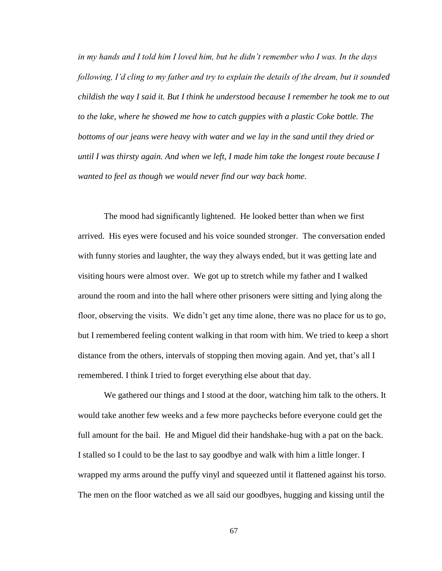*in my hands and I told him I loved him, but he didn't remember who I was. In the days following, I'd cling to my father and try to explain the details of the dream, but it sounded childish the way I said it. But I think he understood because I remember he took me to out*  to the lake, where he showed me how to catch guppies with a plastic Coke bottle. The *bottoms of our jeans were heavy with water and we lay in the sand until they dried or until I was thirsty again. And when we left, I made him take the longest route because I wanted to feel as though we would never find our way back home.* 

The mood had significantly lightened. He looked better than when we first arrived. His eyes were focused and his voice sounded stronger. The conversation ended with funny stories and laughter, the way they always ended, but it was getting late and visiting hours were almost over. We got up to stretch while my father and I walked around the room and into the hall where other prisoners were sitting and lying along the floor, observing the visits. We didn't get any time alone, there was no place for us to go, but I remembered feeling content walking in that room with him. We tried to keep a short distance from the others, intervals of stopping then moving again. And yet, that's all I remembered. I think I tried to forget everything else about that day.

We gathered our things and I stood at the door, watching him talk to the others. It would take another few weeks and a few more paychecks before everyone could get the full amount for the bail. He and Miguel did their handshake-hug with a pat on the back. I stalled so I could to be the last to say goodbye and walk with him a little longer. I wrapped my arms around the puffy vinyl and squeezed until it flattened against his torso. The men on the floor watched as we all said our goodbyes, hugging and kissing until the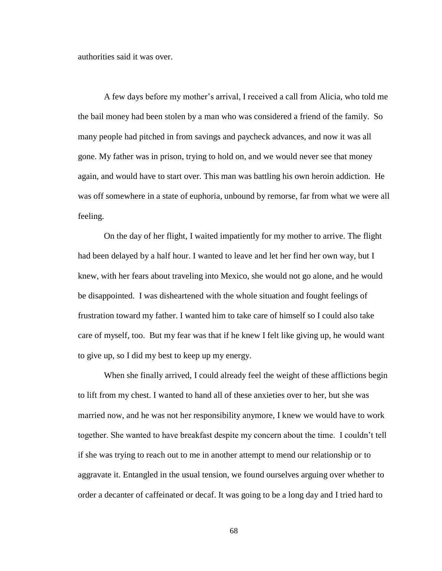authorities said it was over.

A few days before my mother's arrival, I received a call from Alicia, who told me the bail money had been stolen by a man who was considered a friend of the family. So many people had pitched in from savings and paycheck advances, and now it was all gone. My father was in prison, trying to hold on, and we would never see that money again, and would have to start over. This man was battling his own heroin addiction. He was off somewhere in a state of euphoria, unbound by remorse, far from what we were all feeling.

On the day of her flight, I waited impatiently for my mother to arrive. The flight had been delayed by a half hour. I wanted to leave and let her find her own way, but I knew, with her fears about traveling into Mexico, she would not go alone, and he would be disappointed. I was disheartened with the whole situation and fought feelings of frustration toward my father. I wanted him to take care of himself so I could also take care of myself, too. But my fear was that if he knew I felt like giving up, he would want to give up, so I did my best to keep up my energy.

When she finally arrived, I could already feel the weight of these afflictions begin to lift from my chest. I wanted to hand all of these anxieties over to her, but she was married now, and he was not her responsibility anymore, I knew we would have to work together. She wanted to have breakfast despite my concern about the time. I couldn't tell if she was trying to reach out to me in another attempt to mend our relationship or to aggravate it. Entangled in the usual tension, we found ourselves arguing over whether to order a decanter of caffeinated or decaf. It was going to be a long day and I tried hard to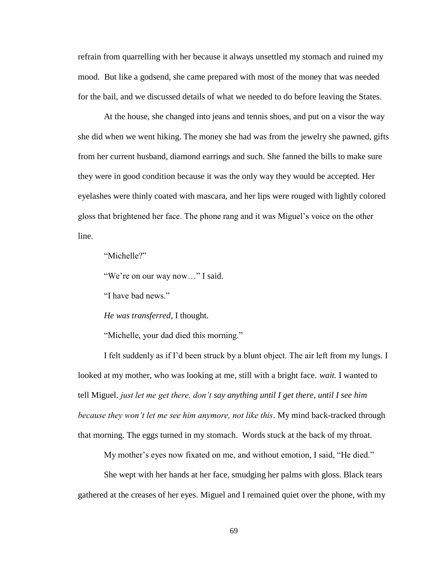refrain from quarrelling with her because it always unsettled my stomach and ruined my mood. But like a godsend, she came prepared with most of the money that was needed for the bail, and we discussed details of what we needed to do before leaving the States.

At the house, she changed into jeans and tennis shoes, and put on a visor the way she did when we went hiking. The money she had was from the jewelry she pawned, gifts from her current husband, diamond earrings and such. She fanned the bills to make sure they were in good condition because it was the only way they would be accepted. Her eyelashes were thinly coated with mascara, and her lips were rouged with lightly colored gloss that brightened her face. The phone rang and it was Miguel's voice on the other line.

"Michelle?"

"We're on our way now…" I said.

"I have bad news."

*He was transferred*, I thought.

"Michelle, your dad died this morning."

I felt suddenly as if I'd been struck by a blunt object. The air left from my lungs. I looked at my mother, who was looking at me, still with a bright face. *wait.* I wanted to tell Miguel. *just let me get there. don't say anything until I get there, until I see him because they won't let me see him anymore, not like this*. My mind back-tracked through that morning. The eggs turned in my stomach. Words stuck at the back of my throat.

My mother's eyes now fixated on me, and without emotion, I said, "He died."

She wept with her hands at her face, smudging her palms with gloss. Black tears gathered at the creases of her eyes. Miguel and I remained quiet over the phone, with my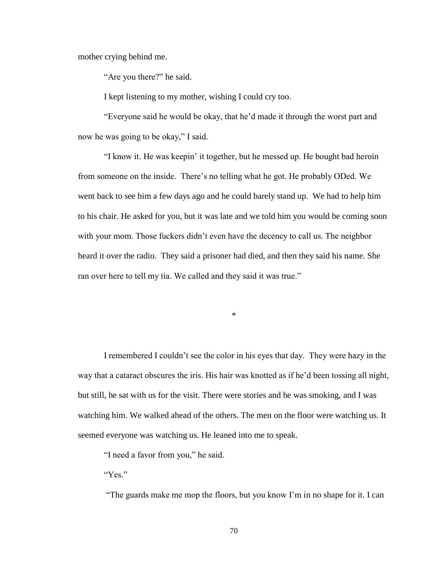mother crying behind me.

"Are you there?" he said.

I kept listening to my mother, wishing I could cry too.

"Everyone said he would be okay, that he'd made it through the worst part and now he was going to be okay," I said.

"I know it. He was keepin' it together, but he messed up. He bought bad heroin from someone on the inside. There's no telling what he got. He probably ODed. We went back to see him a few days ago and he could barely stand up. We had to help him to his chair. He asked for you, but it was late and we told him you would be coming soon with your mom. Those fuckers didn't even have the decency to call us. The neighbor heard it over the radio. They said a prisoner had died, and then they said his name. She ran over here to tell my tía. We called and they said it was true."

\*

I remembered I couldn't see the color in his eyes that day. They were hazy in the way that a cataract obscures the iris. His hair was knotted as if he'd been tossing all night, but still, he sat with us for the visit. There were stories and he was smoking, and I was watching him. We walked ahead of the others. The men on the floor were watching us. It seemed everyone was watching us. He leaned into me to speak.

"I need a favor from you," he said.

"Yes."

"The guards make me mop the floors, but you know I'm in no shape for it. I can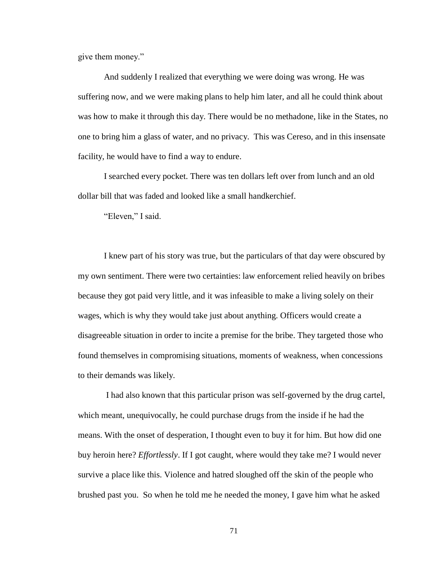give them money."

And suddenly I realized that everything we were doing was wrong. He was suffering now, and we were making plans to help him later, and all he could think about was how to make it through this day. There would be no methadone, like in the States, no one to bring him a glass of water, and no privacy. This was Cereso, and in this insensate facility, he would have to find a way to endure.

I searched every pocket. There was ten dollars left over from lunch and an old dollar bill that was faded and looked like a small handkerchief.

"Eleven," I said.

I knew part of his story was true, but the particulars of that day were obscured by my own sentiment. There were two certainties: law enforcement relied heavily on bribes because they got paid very little, and it was infeasible to make a living solely on their wages, which is why they would take just about anything. Officers would create a disagreeable situation in order to incite a premise for the bribe. They targeted those who found themselves in compromising situations, moments of weakness, when concessions to their demands was likely.

I had also known that this particular prison was self-governed by the drug cartel, which meant, unequivocally, he could purchase drugs from the inside if he had the means. With the onset of desperation, I thought even to buy it for him. But how did one buy heroin here? *Effortlessly*. If I got caught, where would they take me? I would never survive a place like this. Violence and hatred sloughed off the skin of the people who brushed past you. So when he told me he needed the money, I gave him what he asked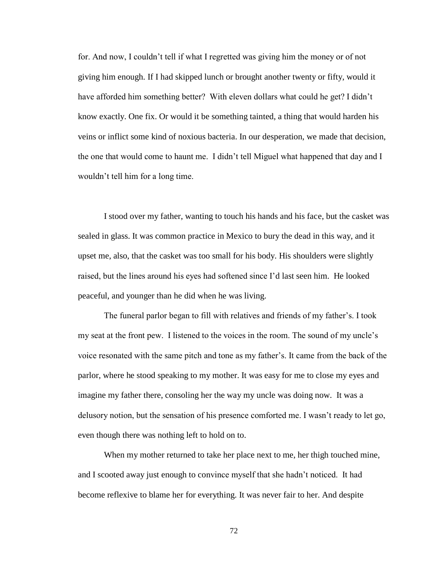for. And now, I couldn't tell if what I regretted was giving him the money or of not giving him enough. If I had skipped lunch or brought another twenty or fifty, would it have afforded him something better? With eleven dollars what could he get? I didn't know exactly. One fix. Or would it be something tainted, a thing that would harden his veins or inflict some kind of noxious bacteria. In our desperation, we made that decision, the one that would come to haunt me. I didn't tell Miguel what happened that day and I wouldn't tell him for a long time.

I stood over my father, wanting to touch his hands and his face, but the casket was sealed in glass. It was common practice in Mexico to bury the dead in this way, and it upset me, also, that the casket was too small for his body. His shoulders were slightly raised, but the lines around his eyes had softened since I'd last seen him. He looked peaceful, and younger than he did when he was living.

The funeral parlor began to fill with relatives and friends of my father's. I took my seat at the front pew. I listened to the voices in the room. The sound of my uncle's voice resonated with the same pitch and tone as my father's. It came from the back of the parlor, where he stood speaking to my mother. It was easy for me to close my eyes and imagine my father there, consoling her the way my uncle was doing now. It was a delusory notion, but the sensation of his presence comforted me. I wasn't ready to let go, even though there was nothing left to hold on to.

When my mother returned to take her place next to me, her thigh touched mine, and I scooted away just enough to convince myself that she hadn't noticed. It had become reflexive to blame her for everything. It was never fair to her. And despite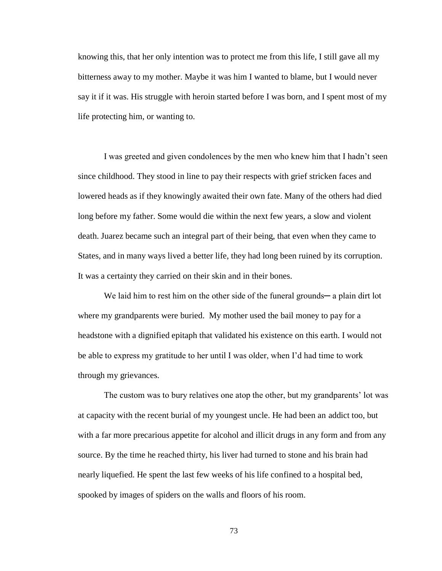knowing this, that her only intention was to protect me from this life, I still gave all my bitterness away to my mother. Maybe it was him I wanted to blame, but I would never say it if it was. His struggle with heroin started before I was born, and I spent most of my life protecting him, or wanting to.

I was greeted and given condolences by the men who knew him that I hadn't seen since childhood. They stood in line to pay their respects with grief stricken faces and lowered heads as if they knowingly awaited their own fate. Many of the others had died long before my father. Some would die within the next few years, a slow and violent death. Juarez became such an integral part of their being, that even when they came to States, and in many ways lived a better life, they had long been ruined by its corruption. It was a certainty they carried on their skin and in their bones.

We laid him to rest him on the other side of the funeral grounds— a plain dirt lot where my grandparents were buried. My mother used the bail money to pay for a headstone with a dignified epitaph that validated his existence on this earth. I would not be able to express my gratitude to her until I was older, when I'd had time to work through my grievances.

The custom was to bury relatives one atop the other, but my grandparents' lot was at capacity with the recent burial of my youngest uncle. He had been an addict too, but with a far more precarious appetite for alcohol and illicit drugs in any form and from any source. By the time he reached thirty, his liver had turned to stone and his brain had nearly liquefied. He spent the last few weeks of his life confined to a hospital bed, spooked by images of spiders on the walls and floors of his room.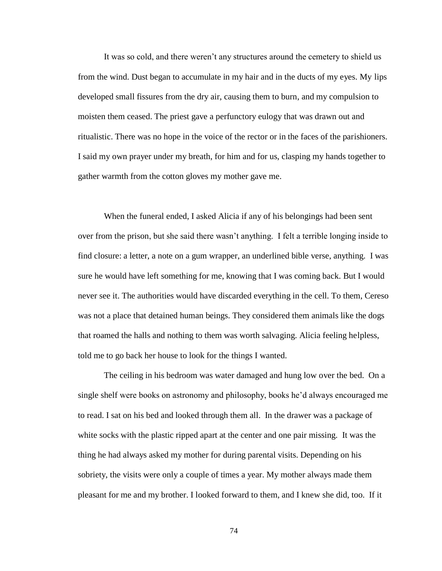It was so cold, and there weren't any structures around the cemetery to shield us from the wind. Dust began to accumulate in my hair and in the ducts of my eyes. My lips developed small fissures from the dry air, causing them to burn, and my compulsion to moisten them ceased. The priest gave a perfunctory eulogy that was drawn out and ritualistic. There was no hope in the voice of the rector or in the faces of the parishioners. I said my own prayer under my breath, for him and for us, clasping my hands together to gather warmth from the cotton gloves my mother gave me.

When the funeral ended, I asked Alicia if any of his belongings had been sent over from the prison, but she said there wasn't anything. I felt a terrible longing inside to find closure: a letter, a note on a gum wrapper, an underlined bible verse, anything. I was sure he would have left something for me, knowing that I was coming back. But I would never see it. The authorities would have discarded everything in the cell. To them, Cereso was not a place that detained human beings. They considered them animals like the dogs that roamed the halls and nothing to them was worth salvaging. Alicia feeling helpless, told me to go back her house to look for the things I wanted.

The ceiling in his bedroom was water damaged and hung low over the bed. On a single shelf were books on astronomy and philosophy, books he'd always encouraged me to read. I sat on his bed and looked through them all. In the drawer was a package of white socks with the plastic ripped apart at the center and one pair missing. It was the thing he had always asked my mother for during parental visits. Depending on his sobriety, the visits were only a couple of times a year. My mother always made them pleasant for me and my brother. I looked forward to them, and I knew she did, too. If it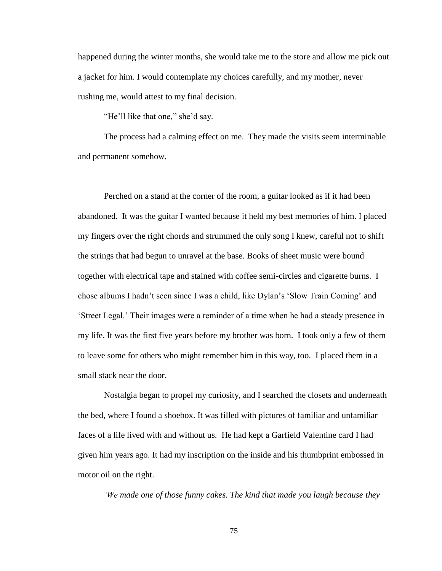happened during the winter months, she would take me to the store and allow me pick out a jacket for him. I would contemplate my choices carefully, and my mother, never rushing me, would attest to my final decision.

"He'll like that one," she'd say.

The process had a calming effect on me. They made the visits seem interminable and permanent somehow.

Perched on a stand at the corner of the room, a guitar looked as if it had been abandoned. It was the guitar I wanted because it held my best memories of him. I placed my fingers over the right chords and strummed the only song I knew, careful not to shift the strings that had begun to unravel at the base. Books of sheet music were bound together with electrical tape and stained with coffee semi-circles and cigarette burns. I chose albums I hadn't seen since I was a child, like Dylan's 'Slow Train Coming' and 'Street Legal.' Their images were a reminder of a time when he had a steady presence in my life. It was the first five years before my brother was born. I took only a few of them to leave some for others who might remember him in this way, too. I placed them in a small stack near the door.

Nostalgia began to propel my curiosity, and I searched the closets and underneath the bed, where I found a shoebox. It was filled with pictures of familiar and unfamiliar faces of a life lived with and without us. He had kept a Garfield Valentine card I had given him years ago. It had my inscription on the inside and his thumbprint embossed in motor oil on the right.

*'We made one of those funny cakes. The kind that made you laugh because they*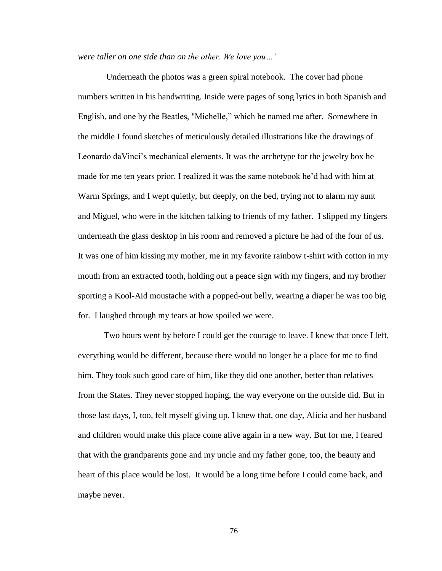*were taller on one side than on the other. We love you…'*

Underneath the photos was a green spiral notebook. The cover had phone numbers written in his handwriting. Inside were pages of song lyrics in both Spanish and English, and one by the Beatles, "Michelle," which he named me after. Somewhere in the middle I found sketches of meticulously detailed illustrations like the drawings of Leonardo daVinci's mechanical elements. It was the archetype for the jewelry box he made for me ten years prior. I realized it was the same notebook he'd had with him at Warm Springs, and I wept quietly, but deeply, on the bed, trying not to alarm my aunt and Miguel, who were in the kitchen talking to friends of my father. I slipped my fingers underneath the glass desktop in his room and removed a picture he had of the four of us. It was one of him kissing my mother, me in my favorite rainbow t-shirt with cotton in my mouth from an extracted tooth, holding out a peace sign with my fingers, and my brother sporting a Kool-Aid moustache with a popped-out belly, wearing a diaper he was too big for. I laughed through my tears at how spoiled we were.

Two hours went by before I could get the courage to leave. I knew that once I left, everything would be different, because there would no longer be a place for me to find him. They took such good care of him, like they did one another, better than relatives from the States. They never stopped hoping, the way everyone on the outside did. But in those last days, I, too, felt myself giving up. I knew that, one day, Alicia and her husband and children would make this place come alive again in a new way. But for me, I feared that with the grandparents gone and my uncle and my father gone, too, the beauty and heart of this place would be lost. It would be a long time before I could come back, and maybe never.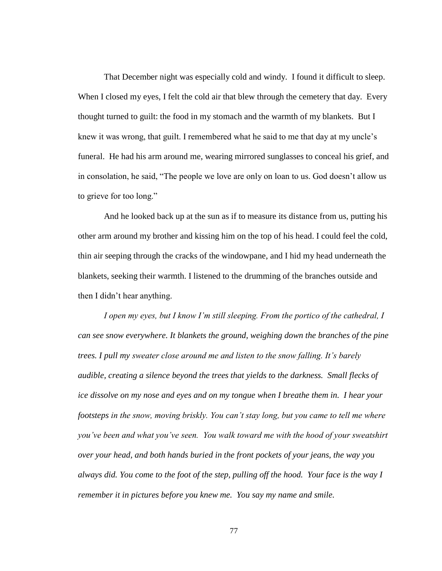That December night was especially cold and windy. I found it difficult to sleep. When I closed my eyes, I felt the cold air that blew through the cemetery that day. Every thought turned to guilt: the food in my stomach and the warmth of my blankets. But I knew it was wrong, that guilt. I remembered what he said to me that day at my uncle's funeral. He had his arm around me, wearing mirrored sunglasses to conceal his grief, and in consolation, he said, "The people we love are only on loan to us. God doesn't allow us to grieve for too long."

And he looked back up at the sun as if to measure its distance from us, putting his other arm around my brother and kissing him on the top of his head. I could feel the cold, thin air seeping through the cracks of the windowpane, and I hid my head underneath the blankets, seeking their warmth. I listened to the drumming of the branches outside and then I didn't hear anything.

*I open my eyes, but I know I'm still sleeping. From the portico of the cathedral, I can see snow everywhere. It blankets the ground, weighing down the branches of the pine trees. I pull my sweater close around me and listen to the snow falling. It's barely audible, creating a silence beyond the trees that yields to the darkness. Small flecks of ice dissolve on my nose and eyes and on my tongue when I breathe them in. I hear your footsteps in the snow, moving briskly. You can't stay long, but you came to tell me where you've been and what you've seen. You walk toward me with the hood of your sweatshirt over your head, and both hands buried in the front pockets of your jeans, the way you always did. You come to the foot of the step, pulling off the hood. Your face is the way I remember it in pictures before you knew me. You say my name and smile.*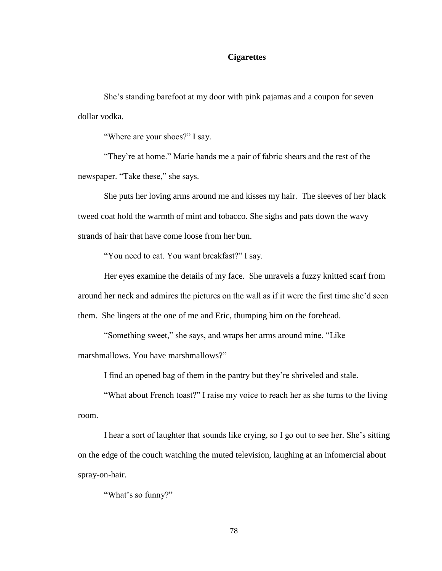## **Cigarettes**

She's standing barefoot at my door with pink pajamas and a coupon for seven dollar vodka.

"Where are your shoes?" I say.

"They're at home." Marie hands me a pair of fabric shears and the rest of the newspaper. "Take these," she says.

She puts her loving arms around me and kisses my hair. The sleeves of her black tweed coat hold the warmth of mint and tobacco. She sighs and pats down the wavy strands of hair that have come loose from her bun.

"You need to eat. You want breakfast?" I say.

Her eyes examine the details of my face. She unravels a fuzzy knitted scarf from around her neck and admires the pictures on the wall as if it were the first time she'd seen them. She lingers at the one of me and Eric, thumping him on the forehead.

"Something sweet," she says, and wraps her arms around mine. "Like marshmallows. You have marshmallows?"

I find an opened bag of them in the pantry but they're shriveled and stale.

"What about French toast?" I raise my voice to reach her as she turns to the living room.

I hear a sort of laughter that sounds like crying, so I go out to see her. She's sitting on the edge of the couch watching the muted television, laughing at an infomercial about spray-on-hair.

"What's so funny?"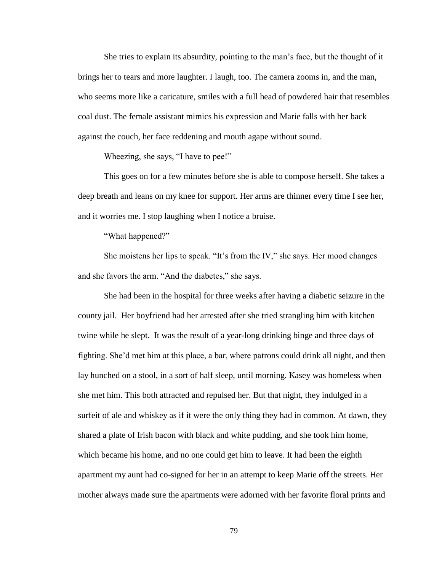She tries to explain its absurdity, pointing to the man's face, but the thought of it brings her to tears and more laughter. I laugh, too. The camera zooms in, and the man, who seems more like a caricature, smiles with a full head of powdered hair that resembles coal dust. The female assistant mimics his expression and Marie falls with her back against the couch, her face reddening and mouth agape without sound.

Wheezing, she says, "I have to pee!"

This goes on for a few minutes before she is able to compose herself. She takes a deep breath and leans on my knee for support. Her arms are thinner every time I see her, and it worries me. I stop laughing when I notice a bruise.

"What happened?"

She moistens her lips to speak. "It's from the IV," she says. Her mood changes and she favors the arm. "And the diabetes," she says.

She had been in the hospital for three weeks after having a diabetic seizure in the county jail. Her boyfriend had her arrested after she tried strangling him with kitchen twine while he slept. It was the result of a year-long drinking binge and three days of fighting. She'd met him at this place, a bar, where patrons could drink all night, and then lay hunched on a stool, in a sort of half sleep, until morning. Kasey was homeless when she met him. This both attracted and repulsed her. But that night, they indulged in a surfeit of ale and whiskey as if it were the only thing they had in common. At dawn, they shared a plate of Irish bacon with black and white pudding, and she took him home, which became his home, and no one could get him to leave. It had been the eighth apartment my aunt had co-signed for her in an attempt to keep Marie off the streets. Her mother always made sure the apartments were adorned with her favorite floral prints and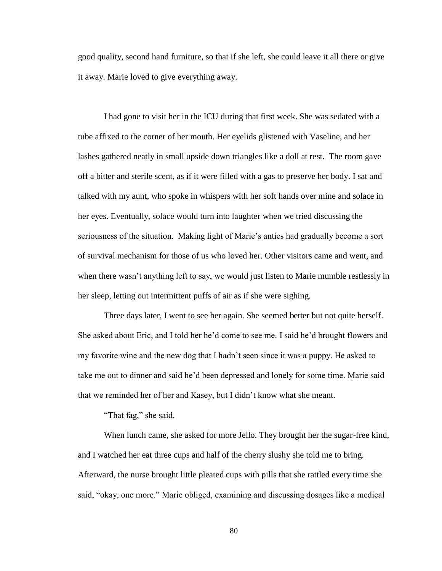good quality, second hand furniture, so that if she left, she could leave it all there or give it away. Marie loved to give everything away.

I had gone to visit her in the ICU during that first week. She was sedated with a tube affixed to the corner of her mouth. Her eyelids glistened with Vaseline, and her lashes gathered neatly in small upside down triangles like a doll at rest. The room gave off a bitter and sterile scent, as if it were filled with a gas to preserve her body. I sat and talked with my aunt, who spoke in whispers with her soft hands over mine and solace in her eyes. Eventually, solace would turn into laughter when we tried discussing the seriousness of the situation. Making light of Marie's antics had gradually become a sort of survival mechanism for those of us who loved her. Other visitors came and went, and when there wasn't anything left to say, we would just listen to Marie mumble restlessly in her sleep, letting out intermittent puffs of air as if she were sighing.

Three days later, I went to see her again. She seemed better but not quite herself. She asked about Eric, and I told her he'd come to see me. I said he'd brought flowers and my favorite wine and the new dog that I hadn't seen since it was a puppy. He asked to take me out to dinner and said he'd been depressed and lonely for some time. Marie said that we reminded her of her and Kasey, but I didn't know what she meant.

"That fag," she said.

When lunch came, she asked for more Jello. They brought her the sugar-free kind, and I watched her eat three cups and half of the cherry slushy she told me to bring. Afterward, the nurse brought little pleated cups with pills that she rattled every time she said, "okay, one more." Marie obliged, examining and discussing dosages like a medical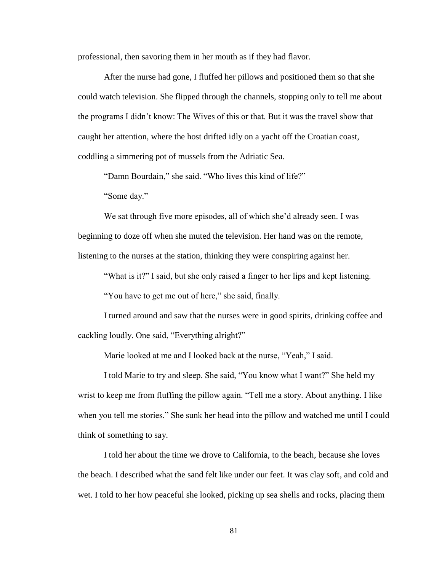professional, then savoring them in her mouth as if they had flavor.

After the nurse had gone, I fluffed her pillows and positioned them so that she could watch television. She flipped through the channels, stopping only to tell me about the programs I didn't know: The Wives of this or that. But it was the travel show that caught her attention, where the host drifted idly on a yacht off the Croatian coast, coddling a simmering pot of mussels from the Adriatic Sea.

"Damn Bourdain," she said. "Who lives this kind of life?"

"Some day."

We sat through five more episodes, all of which she'd already seen. I was beginning to doze off when she muted the television. Her hand was on the remote, listening to the nurses at the station, thinking they were conspiring against her.

"What is it?" I said, but she only raised a finger to her lips and kept listening.

"You have to get me out of here," she said, finally.

I turned around and saw that the nurses were in good spirits, drinking coffee and cackling loudly. One said, "Everything alright?"

Marie looked at me and I looked back at the nurse, "Yeah," I said.

I told Marie to try and sleep. She said, "You know what I want?" She held my wrist to keep me from fluffing the pillow again. "Tell me a story. About anything. I like when you tell me stories." She sunk her head into the pillow and watched me until I could think of something to say.

I told her about the time we drove to California, to the beach, because she loves the beach. I described what the sand felt like under our feet. It was clay soft, and cold and wet. I told to her how peaceful she looked, picking up sea shells and rocks, placing them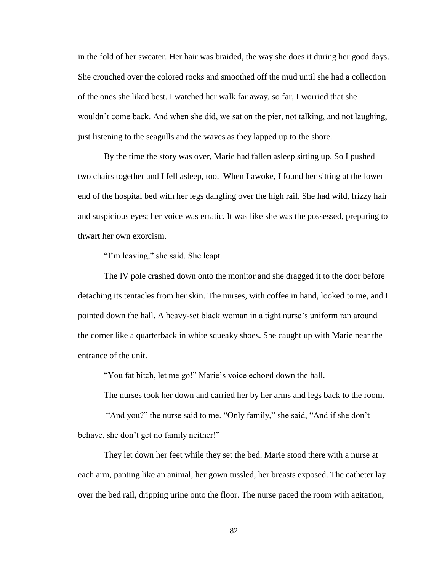in the fold of her sweater. Her hair was braided, the way she does it during her good days. She crouched over the colored rocks and smoothed off the mud until she had a collection of the ones she liked best. I watched her walk far away, so far, I worried that she wouldn't come back. And when she did, we sat on the pier, not talking, and not laughing, just listening to the seagulls and the waves as they lapped up to the shore.

By the time the story was over, Marie had fallen asleep sitting up. So I pushed two chairs together and I fell asleep, too. When I awoke, I found her sitting at the lower end of the hospital bed with her legs dangling over the high rail. She had wild, frizzy hair and suspicious eyes; her voice was erratic. It was like she was the possessed, preparing to thwart her own exorcism.

"I'm leaving," she said. She leapt.

The IV pole crashed down onto the monitor and she dragged it to the door before detaching its tentacles from her skin. The nurses, with coffee in hand, looked to me, and I pointed down the hall. A heavy-set black woman in a tight nurse's uniform ran around the corner like a quarterback in white squeaky shoes. She caught up with Marie near the entrance of the unit.

"You fat bitch, let me go!" Marie's voice echoed down the hall.

The nurses took her down and carried her by her arms and legs back to the room.

"And you?" the nurse said to me. "Only family," she said, "And if she don't behave, she don't get no family neither!"

They let down her feet while they set the bed. Marie stood there with a nurse at each arm, panting like an animal, her gown tussled, her breasts exposed. The catheter lay over the bed rail, dripping urine onto the floor. The nurse paced the room with agitation,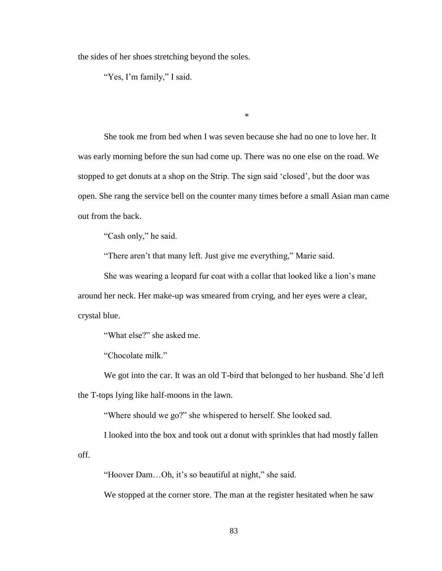the sides of her shoes stretching beyond the soles.

"Yes, I'm family," I said.

\*

She took me from bed when I was seven because she had no one to love her. It was early morning before the sun had come up. There was no one else on the road. We stopped to get donuts at a shop on the Strip. The sign said 'closed', but the door was open. She rang the service bell on the counter many times before a small Asian man came out from the back.

"Cash only," he said.

"There aren't that many left. Just give me everything," Marie said.

She was wearing a leopard fur coat with a collar that looked like a lion's mane around her neck. Her make-up was smeared from crying, and her eyes were a clear, crystal blue.

"What else?" she asked me.

"Chocolate milk."

We got into the car. It was an old T-bird that belonged to her husband. She'd left the T-tops lying like half-moons in the lawn.

"Where should we go?" she whispered to herself. She looked sad.

I looked into the box and took out a donut with sprinkles that had mostly fallen

off.

"Hoover Dam…Oh, it's so beautiful at night," she said.

We stopped at the corner store. The man at the register hesitated when he saw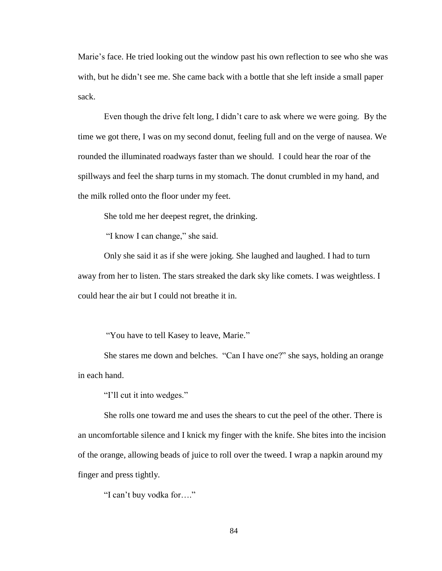Marie's face. He tried looking out the window past his own reflection to see who she was with, but he didn't see me. She came back with a bottle that she left inside a small paper sack.

Even though the drive felt long, I didn't care to ask where we were going. By the time we got there, I was on my second donut, feeling full and on the verge of nausea. We rounded the illuminated roadways faster than we should. I could hear the roar of the spillways and feel the sharp turns in my stomach. The donut crumbled in my hand, and the milk rolled onto the floor under my feet.

She told me her deepest regret, the drinking.

"I know I can change," she said.

Only she said it as if she were joking. She laughed and laughed. I had to turn away from her to listen. The stars streaked the dark sky like comets. I was weightless. I could hear the air but I could not breathe it in.

"You have to tell Kasey to leave, Marie."

She stares me down and belches. "Can I have one?" she says, holding an orange in each hand.

"I'll cut it into wedges."

She rolls one toward me and uses the shears to cut the peel of the other. There is an uncomfortable silence and I knick my finger with the knife. She bites into the incision of the orange, allowing beads of juice to roll over the tweed. I wrap a napkin around my finger and press tightly.

"I can't buy vodka for…."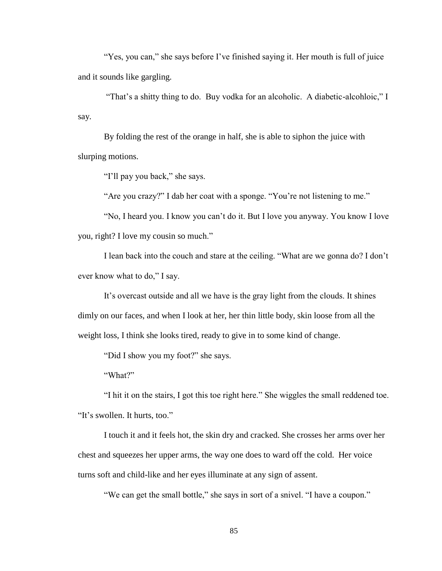"Yes, you can," she says before I've finished saying it. Her mouth is full of juice and it sounds like gargling.

"That's a shitty thing to do. Buy vodka for an alcoholic. A diabetic-alcohloic," I say.

By folding the rest of the orange in half, she is able to siphon the juice with slurping motions.

"I'll pay you back," she says.

"Are you crazy?" I dab her coat with a sponge. "You're not listening to me."

"No, I heard you. I know you can't do it. But I love you anyway. You know I love you, right? I love my cousin so much."

I lean back into the couch and stare at the ceiling. "What are we gonna do? I don't ever know what to do," I say.

It's overcast outside and all we have is the gray light from the clouds. It shines dimly on our faces, and when I look at her, her thin little body, skin loose from all the weight loss, I think she looks tired, ready to give in to some kind of change.

"Did I show you my foot?" she says.

"What?"

"I hit it on the stairs, I got this toe right here." She wiggles the small reddened toe. "It's swollen. It hurts, too."

I touch it and it feels hot, the skin dry and cracked. She crosses her arms over her chest and squeezes her upper arms, the way one does to ward off the cold. Her voice turns soft and child-like and her eyes illuminate at any sign of assent.

"We can get the small bottle," she says in sort of a snivel. "I have a coupon."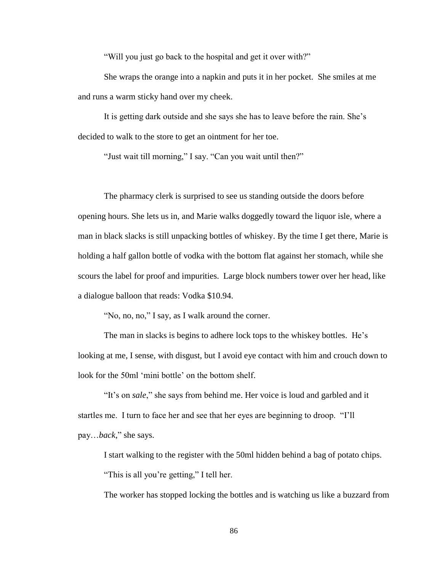"Will you just go back to the hospital and get it over with?"

She wraps the orange into a napkin and puts it in her pocket. She smiles at me and runs a warm sticky hand over my cheek.

It is getting dark outside and she says she has to leave before the rain. She's decided to walk to the store to get an ointment for her toe.

"Just wait till morning," I say. "Can you wait until then?"

The pharmacy clerk is surprised to see us standing outside the doors before opening hours. She lets us in, and Marie walks doggedly toward the liquor isle, where a man in black slacks is still unpacking bottles of whiskey. By the time I get there, Marie is holding a half gallon bottle of vodka with the bottom flat against her stomach, while she scours the label for proof and impurities. Large block numbers tower over her head, like a dialogue balloon that reads: Vodka \$10.94.

"No, no, no," I say, as I walk around the corner.

The man in slacks is begins to adhere lock tops to the whiskey bottles. He's looking at me, I sense, with disgust, but I avoid eye contact with him and crouch down to look for the 50ml 'mini bottle' on the bottom shelf.

"It's on *sale*," she says from behind me. Her voice is loud and garbled and it startles me. I turn to face her and see that her eyes are beginning to droop. "I'll pay…*back*," she says.

I start walking to the register with the 50ml hidden behind a bag of potato chips. "This is all you're getting," I tell her.

The worker has stopped locking the bottles and is watching us like a buzzard from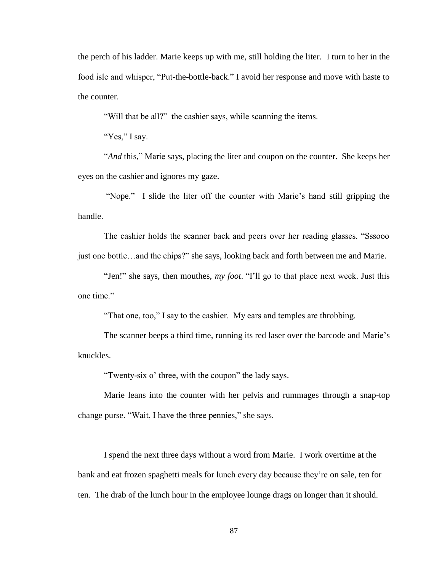the perch of his ladder. Marie keeps up with me, still holding the liter. I turn to her in the food isle and whisper, "Put-the-bottle-back." I avoid her response and move with haste to the counter.

"Will that be all?" the cashier says, while scanning the items.

"Yes," I say.

"*And* this," Marie says, placing the liter and coupon on the counter. She keeps her eyes on the cashier and ignores my gaze.

"Nope." I slide the liter off the counter with Marie's hand still gripping the handle.

The cashier holds the scanner back and peers over her reading glasses. "Sssooo just one bottle…and the chips?" she says, looking back and forth between me and Marie.

"Jen!" she says, then mouthes, *my foot*. "I'll go to that place next week. Just this one time."

"That one, too," I say to the cashier. My ears and temples are throbbing.

The scanner beeps a third time, running its red laser over the barcode and Marie's knuckles.

"Twenty-six o' three, with the coupon" the lady says.

Marie leans into the counter with her pelvis and rummages through a snap-top change purse. "Wait, I have the three pennies," she says.

I spend the next three days without a word from Marie. I work overtime at the bank and eat frozen spaghetti meals for lunch every day because they're on sale, ten for ten. The drab of the lunch hour in the employee lounge drags on longer than it should.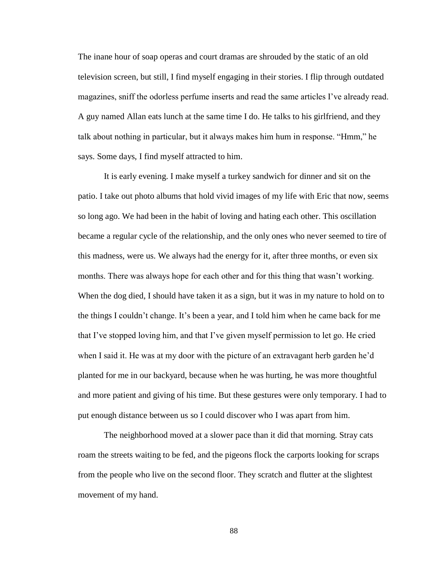The inane hour of soap operas and court dramas are shrouded by the static of an old television screen, but still, I find myself engaging in their stories. I flip through outdated magazines, sniff the odorless perfume inserts and read the same articles I've already read. A guy named Allan eats lunch at the same time I do. He talks to his girlfriend, and they talk about nothing in particular, but it always makes him hum in response. "Hmm," he says. Some days, I find myself attracted to him.

It is early evening. I make myself a turkey sandwich for dinner and sit on the patio. I take out photo albums that hold vivid images of my life with Eric that now, seems so long ago. We had been in the habit of loving and hating each other. This oscillation became a regular cycle of the relationship, and the only ones who never seemed to tire of this madness, were us. We always had the energy for it, after three months, or even six months. There was always hope for each other and for this thing that wasn't working. When the dog died, I should have taken it as a sign, but it was in my nature to hold on to the things I couldn't change. It's been a year, and I told him when he came back for me that I've stopped loving him, and that I've given myself permission to let go. He cried when I said it. He was at my door with the picture of an extravagant herb garden he'd planted for me in our backyard, because when he was hurting, he was more thoughtful and more patient and giving of his time. But these gestures were only temporary. I had to put enough distance between us so I could discover who I was apart from him.

The neighborhood moved at a slower pace than it did that morning. Stray cats roam the streets waiting to be fed, and the pigeons flock the carports looking for scraps from the people who live on the second floor. They scratch and flutter at the slightest movement of my hand.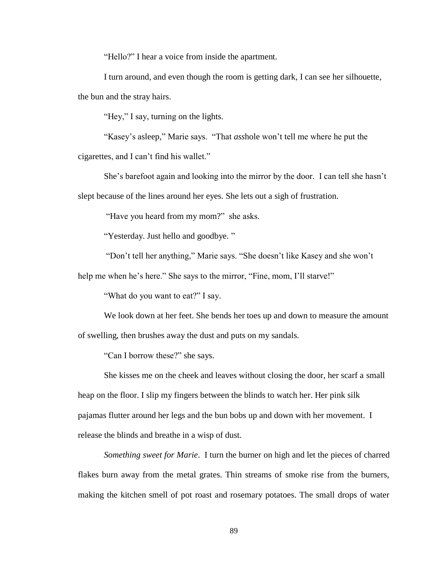"Hello?" I hear a voice from inside the apartment.

I turn around, and even though the room is getting dark, I can see her silhouette, the bun and the stray hairs.

"Hey," I say, turning on the lights.

"Kasey's asleep," Marie says. "That *ass*hole won't tell me where he put the cigarettes, and I can't find his wallet."

She's barefoot again and looking into the mirror by the door. I can tell she hasn't slept because of the lines around her eyes. She lets out a sigh of frustration.

"Have you heard from my mom?" she asks.

"Yesterday. Just hello and goodbye. "

"Don't tell her anything," Marie says. "She doesn't like Kasey and she won't

help me when he's here." She says to the mirror, "Fine, mom, I'll starve!"

"What do you want to eat?" I say.

We look down at her feet. She bends her toes up and down to measure the amount of swelling, then brushes away the dust and puts on my sandals.

"Can I borrow these?" she says.

She kisses me on the cheek and leaves without closing the door, her scarf a small heap on the floor. I slip my fingers between the blinds to watch her. Her pink silk pajamas flutter around her legs and the bun bobs up and down with her movement. I release the blinds and breathe in a wisp of dust.

*Something sweet for Marie*. I turn the burner on high and let the pieces of charred flakes burn away from the metal grates. Thin streams of smoke rise from the burners, making the kitchen smell of pot roast and rosemary potatoes. The small drops of water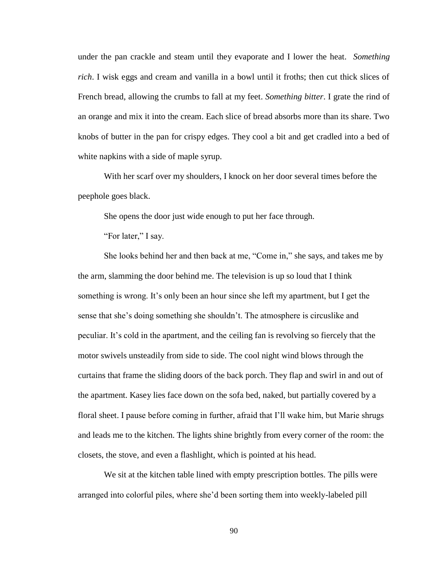under the pan crackle and steam until they evaporate and I lower the heat. *Something rich*. I wisk eggs and cream and vanilla in a bowl until it froths; then cut thick slices of French bread, allowing the crumbs to fall at my feet. *Something bitter*. I grate the rind of an orange and mix it into the cream. Each slice of bread absorbs more than its share. Two knobs of butter in the pan for crispy edges. They cool a bit and get cradled into a bed of white napkins with a side of maple syrup.

With her scarf over my shoulders, I knock on her door several times before the peephole goes black.

She opens the door just wide enough to put her face through.

"For later," I say.

She looks behind her and then back at me, "Come in," she says, and takes me by the arm, slamming the door behind me. The television is up so loud that I think something is wrong. It's only been an hour since she left my apartment, but I get the sense that she's doing something she shouldn't. The atmosphere is circuslike and peculiar. It's cold in the apartment, and the ceiling fan is revolving so fiercely that the motor swivels unsteadily from side to side. The cool night wind blows through the curtains that frame the sliding doors of the back porch. They flap and swirl in and out of the apartment. Kasey lies face down on the sofa bed, naked, but partially covered by a floral sheet. I pause before coming in further, afraid that I'll wake him, but Marie shrugs and leads me to the kitchen. The lights shine brightly from every corner of the room: the closets, the stove, and even a flashlight, which is pointed at his head.

We sit at the kitchen table lined with empty prescription bottles. The pills were arranged into colorful piles, where she'd been sorting them into weekly-labeled pill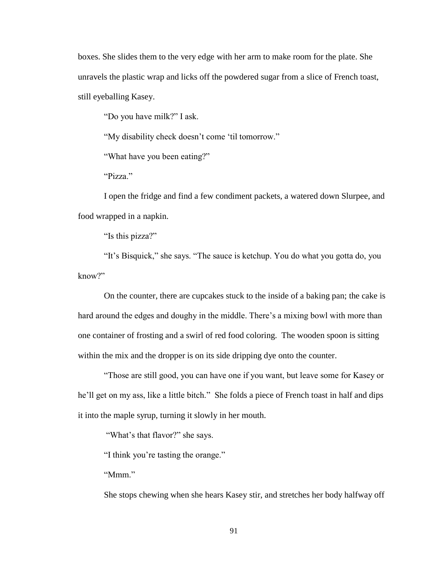boxes. She slides them to the very edge with her arm to make room for the plate. She unravels the plastic wrap and licks off the powdered sugar from a slice of French toast, still eyeballing Kasey.

"Do you have milk?" I ask.

"My disability check doesn't come 'til tomorrow."

"What have you been eating?"

"Pizza."

I open the fridge and find a few condiment packets, a watered down Slurpee, and food wrapped in a napkin.

"Is this pizza?"

"It's Bisquick," she says. "The sauce is ketchup. You do what you gotta do, you know?"

On the counter, there are cupcakes stuck to the inside of a baking pan; the cake is hard around the edges and doughy in the middle. There's a mixing bowl with more than one container of frosting and a swirl of red food coloring. The wooden spoon is sitting within the mix and the dropper is on its side dripping dye onto the counter.

"Those are still good, you can have one if you want, but leave some for Kasey or he'll get on my ass, like a little bitch." She folds a piece of French toast in half and dips it into the maple syrup, turning it slowly in her mouth.

"What's that flavor?" she says.

"I think you're tasting the orange."

"Mmm"

She stops chewing when she hears Kasey stir, and stretches her body halfway off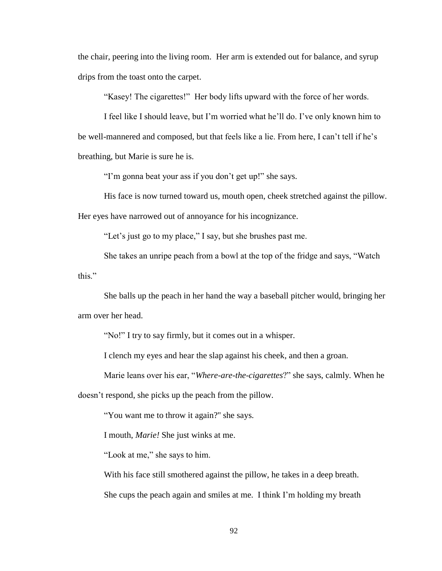the chair, peering into the living room. Her arm is extended out for balance, and syrup drips from the toast onto the carpet.

"Kasey! The cigarettes!" Her body lifts upward with the force of her words.

I feel like I should leave, but I'm worried what he'll do. I've only known him to be well-mannered and composed, but that feels like a lie. From here, I can't tell if he's breathing, but Marie is sure he is.

"I'm gonna beat your ass if you don't get up!" she says.

His face is now turned toward us, mouth open, cheek stretched against the pillow. Her eyes have narrowed out of annoyance for his incognizance.

"Let's just go to my place," I say, but she brushes past me.

She takes an unripe peach from a bowl at the top of the fridge and says, "Watch this"

She balls up the peach in her hand the way a baseball pitcher would, bringing her arm over her head.

"No!" I try to say firmly, but it comes out in a whisper.

I clench my eyes and hear the slap against his cheek, and then a groan.

Marie leans over his ear, "*Where-are-the-cigarettes*?" she says, calmly. When he doesn't respond, she picks up the peach from the pillow.

"You want me to throw it again?" she says.

I mouth, *Marie!* She just winks at me.

"Look at me," she says to him.

With his face still smothered against the pillow, he takes in a deep breath. She cups the peach again and smiles at me. I think I'm holding my breath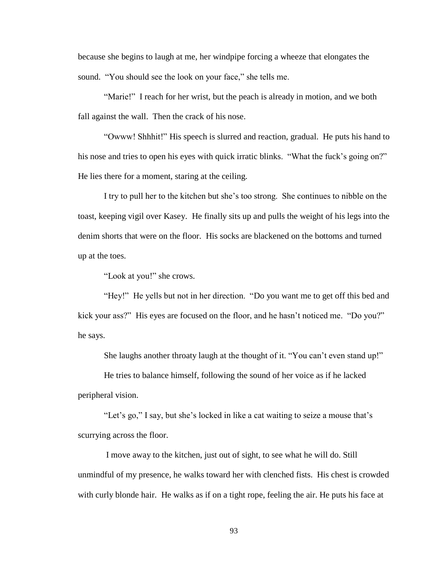because she begins to laugh at me, her windpipe forcing a wheeze that elongates the sound. "You should see the look on your face," she tells me.

"Marie!" I reach for her wrist, but the peach is already in motion, and we both fall against the wall. Then the crack of his nose.

"Owww! Shhhit!" His speech is slurred and reaction, gradual. He puts his hand to his nose and tries to open his eyes with quick irratic blinks. "What the fuck's going on?" He lies there for a moment, staring at the ceiling.

I try to pull her to the kitchen but she's too strong. She continues to nibble on the toast, keeping vigil over Kasey. He finally sits up and pulls the weight of his legs into the denim shorts that were on the floor. His socks are blackened on the bottoms and turned up at the toes.

"Look at you!" she crows.

"Hey!" He yells but not in her direction. "Do you want me to get off this bed and kick your ass?" His eyes are focused on the floor, and he hasn't noticed me. "Do you?" he says.

She laughs another throaty laugh at the thought of it. "You can't even stand up!"

He tries to balance himself, following the sound of her voice as if he lacked peripheral vision.

"Let's go," I say, but she's locked in like a cat waiting to seize a mouse that's scurrying across the floor.

I move away to the kitchen, just out of sight, to see what he will do. Still unmindful of my presence, he walks toward her with clenched fists. His chest is crowded with curly blonde hair. He walks as if on a tight rope, feeling the air. He puts his face at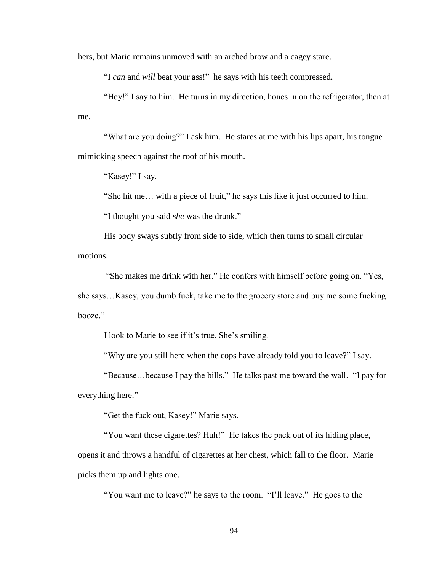hers, but Marie remains unmoved with an arched brow and a cagey stare.

"I *can* and *will* beat your ass!" he says with his teeth compressed.

"Hey!" I say to him. He turns in my direction, hones in on the refrigerator, then at me.

"What are you doing?" I ask him. He stares at me with his lips apart, his tongue mimicking speech against the roof of his mouth.

"Kasey!" I say.

"She hit me… with a piece of fruit," he says this like it just occurred to him.

"I thought you said *she* was the drunk."

His body sways subtly from side to side, which then turns to small circular motions.

"She makes me drink with her." He confers with himself before going on. "Yes, she says…Kasey, you dumb fuck, take me to the grocery store and buy me some fucking booze."

I look to Marie to see if it's true. She's smiling.

"Why are you still here when the cops have already told you to leave?" I say.

"Because…because I pay the bills." He talks past me toward the wall. "I pay for everything here."

"Get the fuck out, Kasey!" Marie says.

"You want these cigarettes? Huh!" He takes the pack out of its hiding place, opens it and throws a handful of cigarettes at her chest, which fall to the floor. Marie picks them up and lights one.

"You want me to leave?" he says to the room. "I'll leave." He goes to the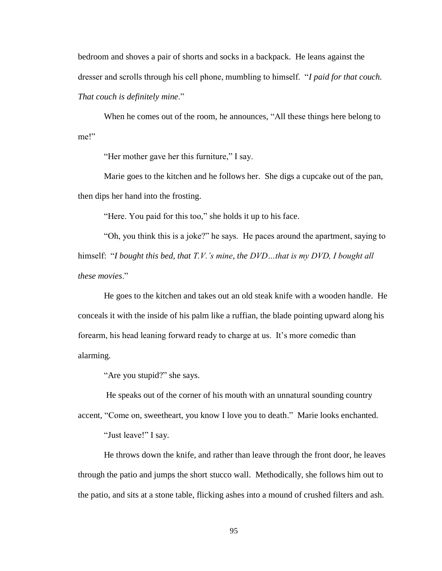bedroom and shoves a pair of shorts and socks in a backpack. He leans against the dresser and scrolls through his cell phone, mumbling to himself. "*I paid for that couch. That couch is definitely mine*."

When he comes out of the room, he announces, "All these things here belong to me!"

"Her mother gave her this furniture," I say.

Marie goes to the kitchen and he follows her. She digs a cupcake out of the pan, then dips her hand into the frosting.

"Here. You paid for this too," she holds it up to his face.

"Oh, you think this is a joke?" he says. He paces around the apartment, saying to himself: "*I bought this bed, that T.V.'s mine, the DVD…that is my DVD, I bought all these movies*."

He goes to the kitchen and takes out an old steak knife with a wooden handle. He conceals it with the inside of his palm like a ruffian, the blade pointing upward along his forearm, his head leaning forward ready to charge at us. It's more comedic than alarming.

"Are you stupid?" she says.

He speaks out of the corner of his mouth with an unnatural sounding country

accent, "Come on, sweetheart, you know I love you to death." Marie looks enchanted.

"Just leave!" I say.

He throws down the knife, and rather than leave through the front door, he leaves through the patio and jumps the short stucco wall. Methodically, she follows him out to the patio, and sits at a stone table, flicking ashes into a mound of crushed filters and ash.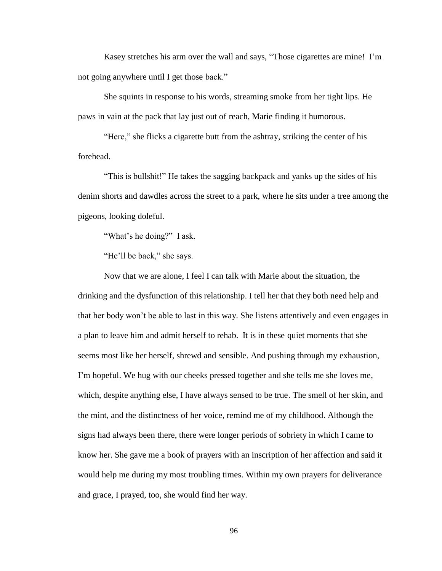Kasey stretches his arm over the wall and says, "Those cigarettes are mine! I'm not going anywhere until I get those back."

She squints in response to his words, streaming smoke from her tight lips. He paws in vain at the pack that lay just out of reach, Marie finding it humorous.

"Here," she flicks a cigarette butt from the ashtray, striking the center of his forehead.

"This is bullshit!" He takes the sagging backpack and yanks up the sides of his denim shorts and dawdles across the street to a park, where he sits under a tree among the pigeons, looking doleful.

"What's he doing?" I ask.

"He'll be back," she says.

Now that we are alone, I feel I can talk with Marie about the situation, the drinking and the dysfunction of this relationship. I tell her that they both need help and that her body won't be able to last in this way. She listens attentively and even engages in a plan to leave him and admit herself to rehab. It is in these quiet moments that she seems most like her herself, shrewd and sensible. And pushing through my exhaustion, I'm hopeful. We hug with our cheeks pressed together and she tells me she loves me, which, despite anything else, I have always sensed to be true. The smell of her skin, and the mint, and the distinctness of her voice, remind me of my childhood. Although the signs had always been there, there were longer periods of sobriety in which I came to know her. She gave me a book of prayers with an inscription of her affection and said it would help me during my most troubling times. Within my own prayers for deliverance and grace, I prayed, too, she would find her way.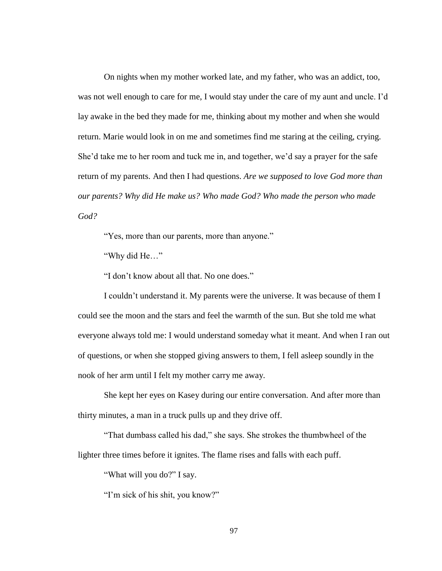On nights when my mother worked late, and my father, who was an addict, too, was not well enough to care for me, I would stay under the care of my aunt and uncle. I'd lay awake in the bed they made for me, thinking about my mother and when she would return. Marie would look in on me and sometimes find me staring at the ceiling, crying. She'd take me to her room and tuck me in, and together, we'd say a prayer for the safe return of my parents. And then I had questions. *Are we supposed to love God more than our parents? Why did He make us? Who made God? Who made the person who made God?*

"Yes, more than our parents, more than anyone."

"Why did He…"

"I don't know about all that. No one does."

I couldn't understand it. My parents were the universe. It was because of them I could see the moon and the stars and feel the warmth of the sun. But she told me what everyone always told me: I would understand someday what it meant. And when I ran out of questions, or when she stopped giving answers to them, I fell asleep soundly in the nook of her arm until I felt my mother carry me away.

She kept her eyes on Kasey during our entire conversation. And after more than thirty minutes, a man in a truck pulls up and they drive off.

"That dumbass called his dad," she says. She strokes the thumbwheel of the lighter three times before it ignites. The flame rises and falls with each puff.

"What will you do?" I say.

"I'm sick of his shit, you know?"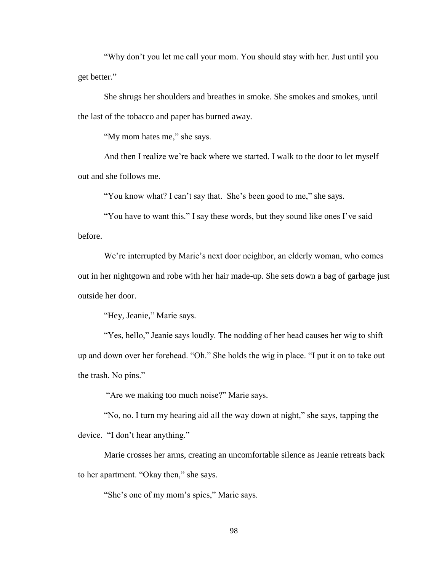"Why don't you let me call your mom. You should stay with her. Just until you get better."

She shrugs her shoulders and breathes in smoke. She smokes and smokes, until the last of the tobacco and paper has burned away.

"My mom hates me," she says.

And then I realize we're back where we started. I walk to the door to let myself out and she follows me.

"You know what? I can't say that. She's been good to me," she says.

"You have to want this." I say these words, but they sound like ones I've said before.

We're interrupted by Marie's next door neighbor, an elderly woman, who comes out in her nightgown and robe with her hair made-up. She sets down a bag of garbage just outside her door.

"Hey, Jeanie," Marie says.

"Yes, hello," Jeanie says loudly. The nodding of her head causes her wig to shift up and down over her forehead. "Oh." She holds the wig in place. "I put it on to take out the trash. No pins."

"Are we making too much noise?" Marie says.

"No, no. I turn my hearing aid all the way down at night," she says, tapping the device. "I don't hear anything."

Marie crosses her arms, creating an uncomfortable silence as Jeanie retreats back to her apartment. "Okay then," she says.

"She's one of my mom's spies," Marie says.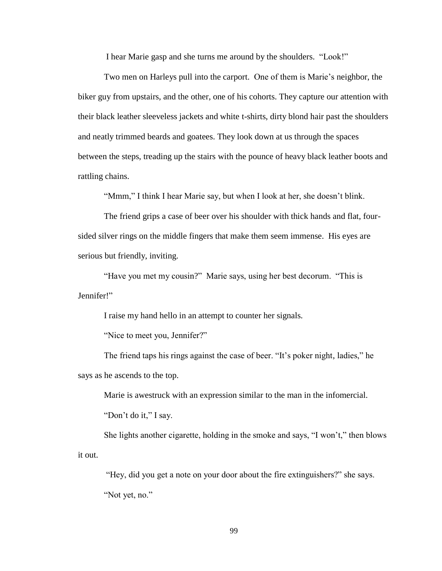I hear Marie gasp and she turns me around by the shoulders. "Look!"

Two men on Harleys pull into the carport. One of them is Marie's neighbor, the biker guy from upstairs, and the other, one of his cohorts. They capture our attention with their black leather sleeveless jackets and white t-shirts, dirty blond hair past the shoulders and neatly trimmed beards and goatees. They look down at us through the spaces between the steps, treading up the stairs with the pounce of heavy black leather boots and rattling chains.

"Mmm," I think I hear Marie say, but when I look at her, she doesn't blink.

The friend grips a case of beer over his shoulder with thick hands and flat, foursided silver rings on the middle fingers that make them seem immense. His eyes are serious but friendly, inviting.

"Have you met my cousin?" Marie says, using her best decorum. "This is Jennifer!"

I raise my hand hello in an attempt to counter her signals.

"Nice to meet you, Jennifer?"

The friend taps his rings against the case of beer. "It's poker night, ladies," he says as he ascends to the top.

Marie is awestruck with an expression similar to the man in the infomercial. "Don't do it," I say.

She lights another cigarette, holding in the smoke and says, "I won't," then blows it out.

"Hey, did you get a note on your door about the fire extinguishers?" she says. "Not yet, no."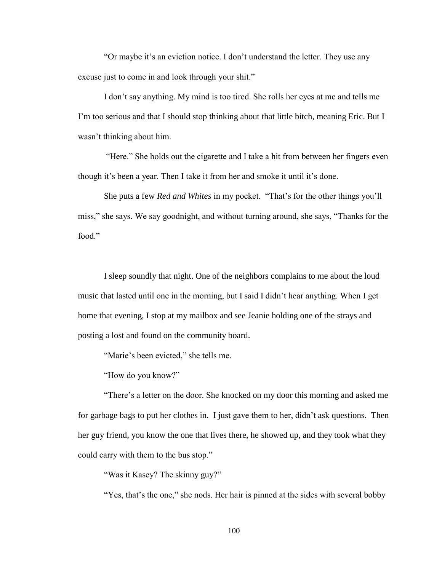"Or maybe it's an eviction notice. I don't understand the letter. They use any excuse just to come in and look through your shit."

I don't say anything. My mind is too tired. She rolls her eyes at me and tells me I'm too serious and that I should stop thinking about that little bitch, meaning Eric. But I wasn't thinking about him.

"Here." She holds out the cigarette and I take a hit from between her fingers even though it's been a year. Then I take it from her and smoke it until it's done.

She puts a few *Red and Whites* in my pocket. "That's for the other things you'll miss," she says. We say goodnight, and without turning around, she says, "Thanks for the food."

I sleep soundly that night. One of the neighbors complains to me about the loud music that lasted until one in the morning, but I said I didn't hear anything. When I get home that evening, I stop at my mailbox and see Jeanie holding one of the strays and posting a lost and found on the community board.

"Marie's been evicted," she tells me.

"How do you know?"

"There's a letter on the door. She knocked on my door this morning and asked me for garbage bags to put her clothes in. I just gave them to her, didn't ask questions. Then her guy friend, you know the one that lives there, he showed up, and they took what they could carry with them to the bus stop."

"Was it Kasey? The skinny guy?"

"Yes, that's the one," she nods. Her hair is pinned at the sides with several bobby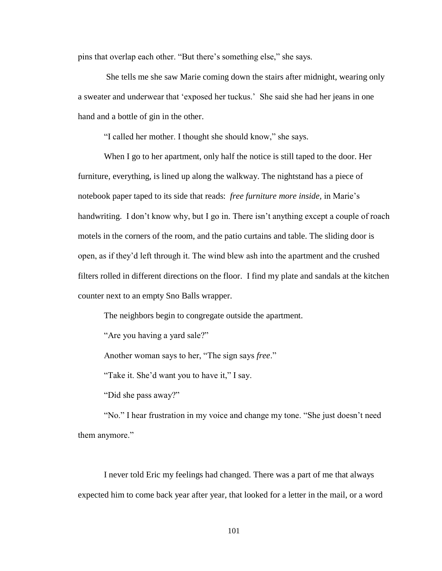pins that overlap each other. "But there's something else," she says.

She tells me she saw Marie coming down the stairs after midnight, wearing only a sweater and underwear that 'exposed her tuckus.' She said she had her jeans in one hand and a bottle of gin in the other.

"I called her mother. I thought she should know," she says.

When I go to her apartment, only half the notice is still taped to the door. Her furniture, everything, is lined up along the walkway. The nightstand has a piece of notebook paper taped to its side that reads: *free furniture more inside,* in Marie's handwriting. I don't know why, but I go in. There isn't anything except a couple of roach motels in the corners of the room, and the patio curtains and table. The sliding door is open, as if they'd left through it. The wind blew ash into the apartment and the crushed filters rolled in different directions on the floor. I find my plate and sandals at the kitchen counter next to an empty Sno Balls wrapper.

The neighbors begin to congregate outside the apartment.

"Are you having a yard sale?"

Another woman says to her, "The sign says *free*."

"Take it. She'd want you to have it," I say.

"Did she pass away?"

"No." I hear frustration in my voice and change my tone. "She just doesn't need them anymore."

I never told Eric my feelings had changed. There was a part of me that always expected him to come back year after year, that looked for a letter in the mail, or a word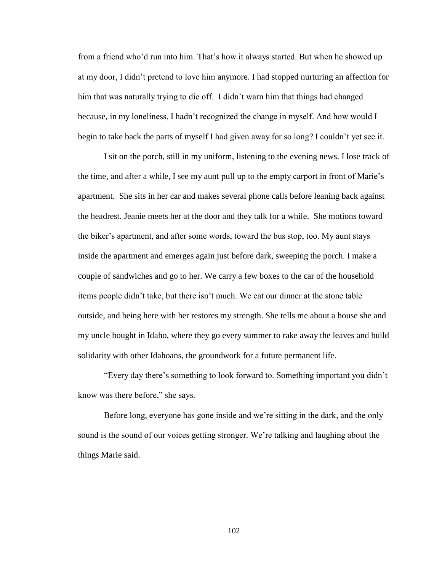from a friend who'd run into him. That's how it always started. But when he showed up at my door, I didn't pretend to love him anymore. I had stopped nurturing an affection for him that was naturally trying to die off. I didn't warn him that things had changed because, in my loneliness, I hadn't recognized the change in myself. And how would I begin to take back the parts of myself I had given away for so long? I couldn't yet see it.

I sit on the porch, still in my uniform, listening to the evening news. I lose track of the time, and after a while, I see my aunt pull up to the empty carport in front of Marie's apartment. She sits in her car and makes several phone calls before leaning back against the headrest. Jeanie meets her at the door and they talk for a while. She motions toward the biker's apartment, and after some words, toward the bus stop, too. My aunt stays inside the apartment and emerges again just before dark, sweeping the porch. I make a couple of sandwiches and go to her. We carry a few boxes to the car of the household items people didn't take, but there isn't much. We eat our dinner at the stone table outside, and being here with her restores my strength. She tells me about a house she and my uncle bought in Idaho, where they go every summer to rake away the leaves and build solidarity with other Idahoans, the groundwork for a future permanent life.

"Every day there's something to look forward to. Something important you didn't know was there before," she says.

Before long, everyone has gone inside and we're sitting in the dark, and the only sound is the sound of our voices getting stronger. We're talking and laughing about the things Marie said.